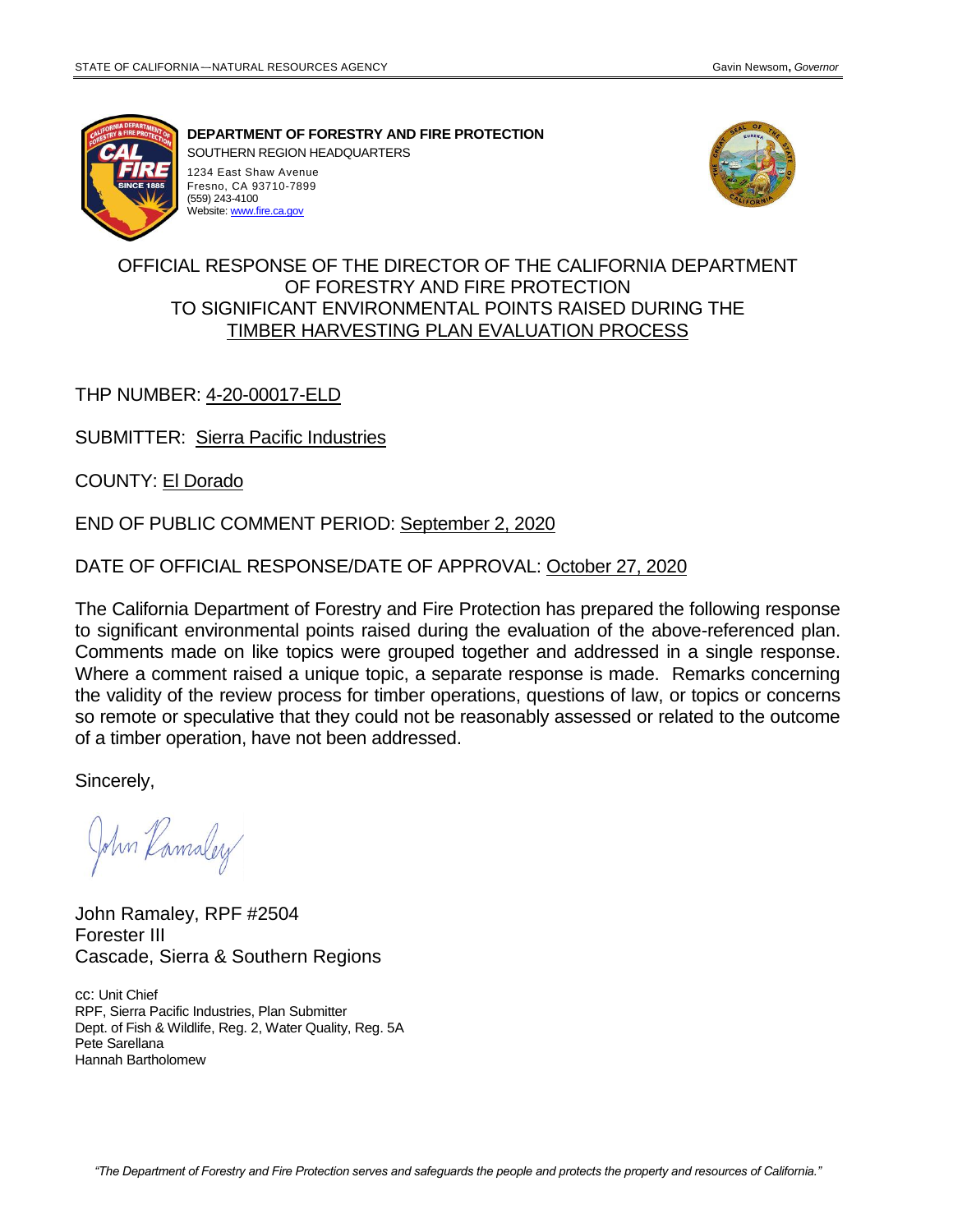(559) 243-4100 Website[: www.fire.ca.gov](http://www.fire.ca.gov/)



**DEPARTMENT OF FORESTRY AND FIRE PROTECTION**

SOUTHERN REGION HEADQUARTERS 1234 East Shaw Avenue Fresno, CA 93710-7899



# OFFICIAL RESPONSE OF THE DIRECTOR OF THE CALIFORNIA DEPARTMENT OF FORESTRY AND FIRE PROTECTION TO SIGNIFICANT ENVIRONMENTAL POINTS RAISED DURING THE TIMBER HARVESTING PLAN EVALUATION PROCESS

## THP NUMBER: 4-20-00017-ELD

SUBMITTER: Sierra Pacific Industries

COUNTY: El Dorado

END OF PUBLIC COMMENT PERIOD: September 2, 2020

DATE OF OFFICIAL RESPONSE/DATE OF APPROVAL: October 27, 2020

The California Department of Forestry and Fire Protection has prepared the following response to significant environmental points raised during the evaluation of the above-referenced plan. Comments made on like topics were grouped together and addressed in a single response. Where a comment raised a unique topic, a separate response is made. Remarks concerning the validity of the review process for timber operations, questions of law, or topics or concerns so remote or speculative that they could not be reasonably assessed or related to the outcome of a timber operation, have not been addressed.

Sincerely,

John Kamaley

John Ramaley, RPF #2504 Forester III Cascade, Sierra & Southern Regions

cc: Unit Chief RPF, Sierra Pacific Industries, Plan Submitter Dept. of Fish & Wildlife, Reg. 2, Water Quality, Reg. 5A Pete Sarellana Hannah Bartholomew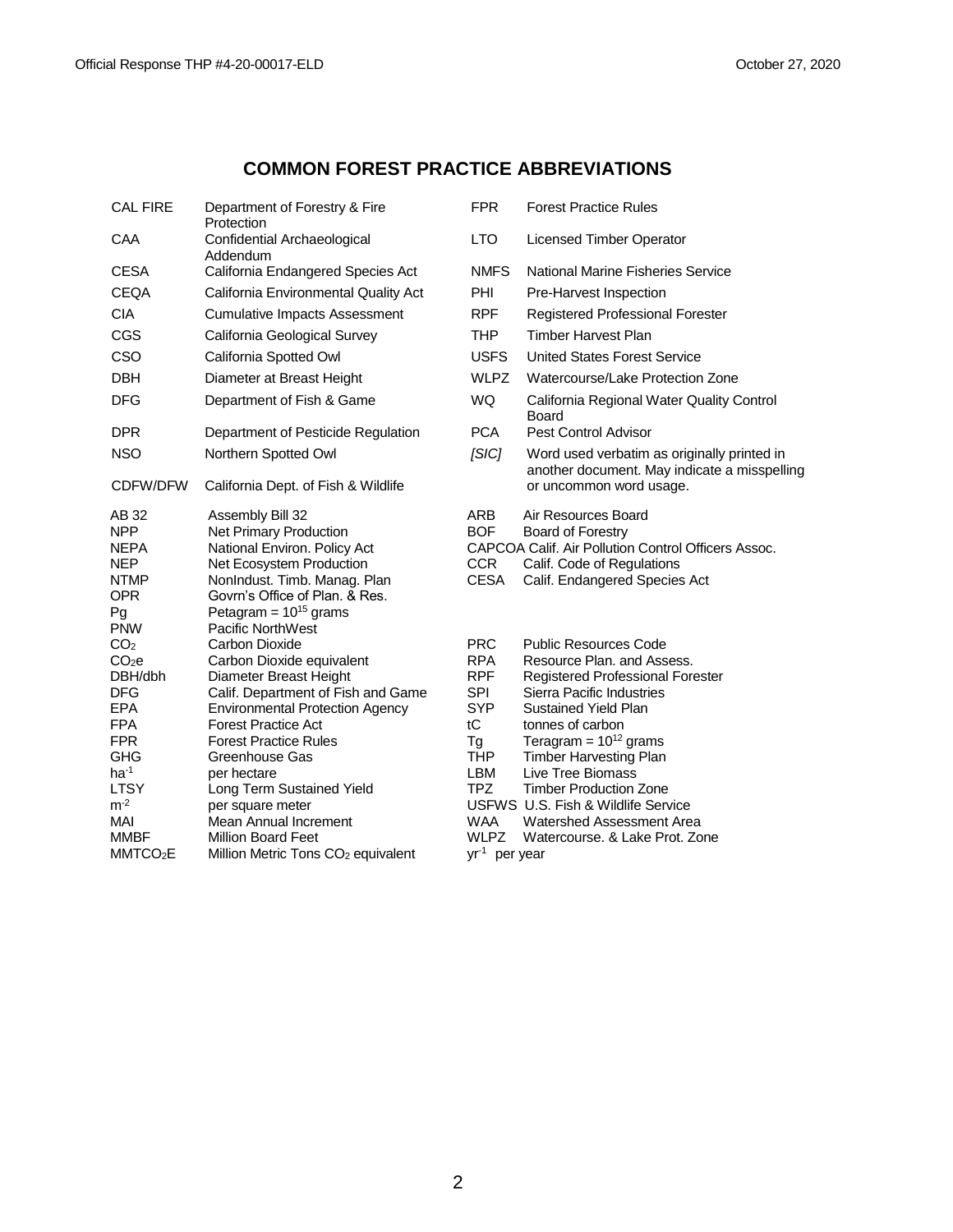# **COMMON FOREST PRACTICE ABBREVIATIONS**

| <b>CAL FIRE</b>                                                                                                                                                                                             | Department of Forestry & Fire<br>Protection                                                                                                                                                                                                                                                                                                                                                                   | <b>FPR</b>                                                                                                                                                                 | <b>Forest Practice Rules</b>                                                                                                                                                                                                                                                                                                                                                                             |
|-------------------------------------------------------------------------------------------------------------------------------------------------------------------------------------------------------------|---------------------------------------------------------------------------------------------------------------------------------------------------------------------------------------------------------------------------------------------------------------------------------------------------------------------------------------------------------------------------------------------------------------|----------------------------------------------------------------------------------------------------------------------------------------------------------------------------|----------------------------------------------------------------------------------------------------------------------------------------------------------------------------------------------------------------------------------------------------------------------------------------------------------------------------------------------------------------------------------------------------------|
| CAA                                                                                                                                                                                                         | Confidential Archaeological<br>Addendum                                                                                                                                                                                                                                                                                                                                                                       | <b>LTO</b>                                                                                                                                                                 | <b>Licensed Timber Operator</b>                                                                                                                                                                                                                                                                                                                                                                          |
| <b>CESA</b>                                                                                                                                                                                                 | California Endangered Species Act                                                                                                                                                                                                                                                                                                                                                                             | <b>NMFS</b>                                                                                                                                                                | National Marine Fisheries Service                                                                                                                                                                                                                                                                                                                                                                        |
| <b>CEQA</b>                                                                                                                                                                                                 | California Environmental Quality Act                                                                                                                                                                                                                                                                                                                                                                          | <b>PHI</b>                                                                                                                                                                 | Pre-Harvest Inspection                                                                                                                                                                                                                                                                                                                                                                                   |
| <b>CIA</b>                                                                                                                                                                                                  | <b>Cumulative Impacts Assessment</b>                                                                                                                                                                                                                                                                                                                                                                          | <b>RPF</b>                                                                                                                                                                 | Registered Professional Forester                                                                                                                                                                                                                                                                                                                                                                         |
| CGS                                                                                                                                                                                                         | California Geological Survey                                                                                                                                                                                                                                                                                                                                                                                  | <b>THP</b>                                                                                                                                                                 | <b>Timber Harvest Plan</b>                                                                                                                                                                                                                                                                                                                                                                               |
| <b>CSO</b>                                                                                                                                                                                                  | California Spotted Owl                                                                                                                                                                                                                                                                                                                                                                                        | <b>USFS</b>                                                                                                                                                                | <b>United States Forest Service</b>                                                                                                                                                                                                                                                                                                                                                                      |
| <b>DBH</b>                                                                                                                                                                                                  | Diameter at Breast Height                                                                                                                                                                                                                                                                                                                                                                                     | <b>WLPZ</b>                                                                                                                                                                | Watercourse/Lake Protection Zone                                                                                                                                                                                                                                                                                                                                                                         |
| <b>DFG</b>                                                                                                                                                                                                  | Department of Fish & Game                                                                                                                                                                                                                                                                                                                                                                                     | WQ                                                                                                                                                                         | California Regional Water Quality Control<br>Board                                                                                                                                                                                                                                                                                                                                                       |
| <b>DPR</b>                                                                                                                                                                                                  | Department of Pesticide Regulation                                                                                                                                                                                                                                                                                                                                                                            | <b>PCA</b>                                                                                                                                                                 | Pest Control Advisor                                                                                                                                                                                                                                                                                                                                                                                     |
| <b>NSO</b>                                                                                                                                                                                                  | Northern Spotted Owl                                                                                                                                                                                                                                                                                                                                                                                          | [SIC]                                                                                                                                                                      | Word used verbatim as originally printed in<br>another document. May indicate a misspe                                                                                                                                                                                                                                                                                                                   |
| CDFW/DFW                                                                                                                                                                                                    | California Dept. of Fish & Wildlife                                                                                                                                                                                                                                                                                                                                                                           |                                                                                                                                                                            | or uncommon word usage.                                                                                                                                                                                                                                                                                                                                                                                  |
| AB 32<br><b>NPP</b><br><b>NEPA</b><br><b>NEP</b><br><b>NTMP</b><br><b>OPR</b><br>Pg<br><b>PNW</b>                                                                                                           | Assembly Bill 32<br>Net Primary Production<br>National Environ. Policy Act<br>Net Ecosystem Production<br>NonIndust. Timb. Manag. Plan<br>Govrn's Office of Plan. & Res.<br>Petagram = $10^{15}$ grams<br><b>Pacific NorthWest</b>                                                                                                                                                                            | ARB<br><b>BOF</b><br><b>CCR</b><br><b>CESA</b>                                                                                                                             | Air Resources Board<br>Board of Forestry<br>CAPCOA Calif. Air Pollution Control Officers Assoc.<br>Calif. Code of Regulations<br>Calif. Endangered Species Act                                                                                                                                                                                                                                           |
| CO <sub>2</sub><br>CO <sub>2</sub> e<br>DBH/dbh<br><b>DFG</b><br><b>EPA</b><br><b>FPA</b><br><b>FPR</b><br><b>GHG</b><br>$ha^{-1}$<br><b>LTSY</b><br>$m^{-2}$<br>MAI<br><b>MMBF</b><br>MMTCO <sub>2</sub> E | Carbon Dioxide<br>Carbon Dioxide equivalent<br>Diameter Breast Height<br>Calif. Department of Fish and Game<br><b>Environmental Protection Agency</b><br><b>Forest Practice Act</b><br><b>Forest Practice Rules</b><br>Greenhouse Gas<br>per hectare<br>Long Term Sustained Yield<br>per square meter<br>Mean Annual Increment<br><b>Million Board Feet</b><br>Million Metric Tons CO <sub>2</sub> equivalent | <b>PRC</b><br><b>RPA</b><br><b>RPF</b><br><b>SPI</b><br><b>SYP</b><br>tC<br>Tg<br><b>THP</b><br>LBM<br><b>TPZ</b><br><b>WAA</b><br><b>WLPZ</b><br>yr <sup>1</sup> per year | <b>Public Resources Code</b><br>Resource Plan, and Assess.<br>Registered Professional Forester<br>Sierra Pacific Industries<br><b>Sustained Yield Plan</b><br>tonnes of carbon<br>Teragram = $10^{12}$ grams<br><b>Timber Harvesting Plan</b><br>Live Tree Biomass<br><b>Timber Production Zone</b><br>USFWS U.S. Fish & Wildlife Service<br>Watershed Assessment Area<br>Watercourse, & Lake Prot, Zone |

| <b>FPR</b>                                                | <b>Forest Practice Rules</b>                                                                                                                                                                                                           |
|-----------------------------------------------------------|----------------------------------------------------------------------------------------------------------------------------------------------------------------------------------------------------------------------------------------|
| <b>LTO</b>                                                | <b>Licensed Timber Operator</b>                                                                                                                                                                                                        |
| <b>NMFS</b>                                               | National Marine Fisheries Service                                                                                                                                                                                                      |
| PHI                                                       | Pre-Harvest Inspection                                                                                                                                                                                                                 |
| <b>RPF</b>                                                | Registered Professional Forester                                                                                                                                                                                                       |
| THP                                                       | <b>Timber Harvest Plan</b>                                                                                                                                                                                                             |
| <b>USES</b>                                               | United States Forest Service                                                                                                                                                                                                           |
| <b>WLPZ</b>                                               | Watercourse/Lake Protection Zone                                                                                                                                                                                                       |
| <b>WQ</b>                                                 | California Regional Water Quality Control<br><b>Board</b>                                                                                                                                                                              |
| <b>PCA</b>                                                | Pest Control Advisor                                                                                                                                                                                                                   |
| <i><b>ISICI</b></i>                                       | Word used verbatim as originally printed in<br>another document. May indicate a misspelling<br>or uncommon word usage.                                                                                                                 |
| ARB<br><b>BOF</b><br>CCR.<br><b>CESA</b>                  | Air Resources Board<br><b>Board of Forestry</b><br>CAPCOA Calif. Air Pollution Control Officers Assoc.<br>Calif. Code of Regulations<br>Calif. Endangered Species Act                                                                  |
| <b>PRC</b><br>RPA<br>RPF<br>SPI<br>SYP<br>tC<br>Tg<br>TUD | <b>Public Resources Code</b><br>Resource Plan, and Assess.<br><b>Registered Professional Forester</b><br>Sierra Pacific Industries<br>Sustained Yield Plan<br>tonnes of carbon<br>Teragram = $10^{12}$ grams<br>Timbor Honrooting Dlan |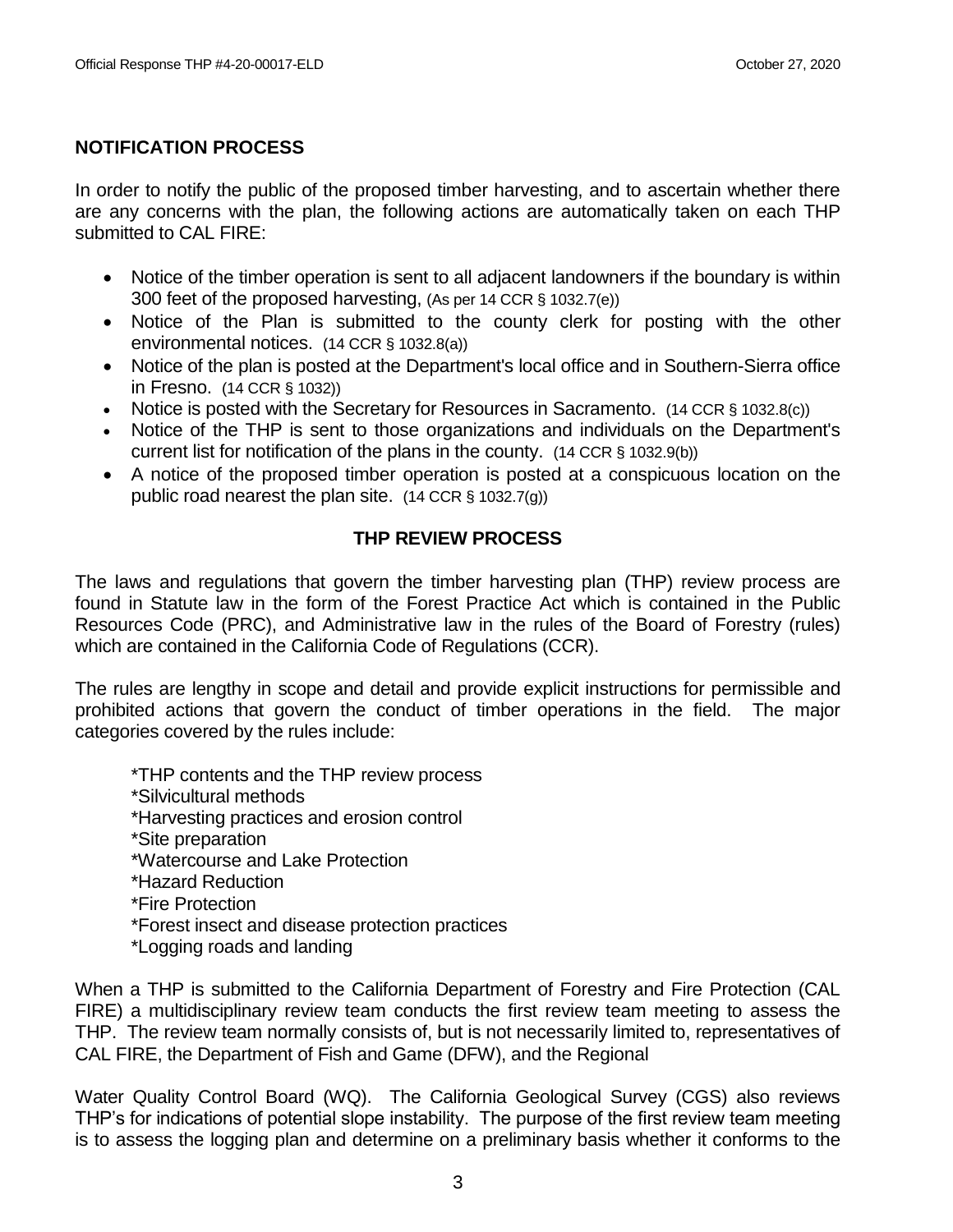# **NOTIFICATION PROCESS**

In order to notify the public of the proposed timber harvesting, and to ascertain whether there are any concerns with the plan, the following actions are automatically taken on each THP submitted to CAL FIRE:

- Notice of the timber operation is sent to all adjacent landowners if the boundary is within 300 feet of the proposed harvesting, (As per 14 CCR § 1032.7(e))
- Notice of the Plan is submitted to the county clerk for posting with the other environmental notices. (14 CCR § 1032.8(a))
- Notice of the plan is posted at the Department's local office and in Southern-Sierra office in Fresno. (14 CCR § 1032))
- Notice is posted with the Secretary for Resources in Sacramento.  $(14 \text{ CCR } \S 1032.8(c))$
- Notice of the THP is sent to those organizations and individuals on the Department's current list for notification of the plans in the county. (14 CCR § 1032.9(b))
- A notice of the proposed timber operation is posted at a conspicuous location on the public road nearest the plan site. (14 CCR § 1032.7(g))

# **THP REVIEW PROCESS**

The laws and regulations that govern the timber harvesting plan (THP) review process are found in Statute law in the form of the Forest Practice Act which is contained in the Public Resources Code (PRC), and Administrative law in the rules of the Board of Forestry (rules) which are contained in the California Code of Regulations (CCR).

The rules are lengthy in scope and detail and provide explicit instructions for permissible and prohibited actions that govern the conduct of timber operations in the field. The major categories covered by the rules include:

\*THP contents and the THP review process

- \*Silvicultural methods
- \*Harvesting practices and erosion control
- \*Site preparation
- \*Watercourse and Lake Protection
- \*Hazard Reduction
- \*Fire Protection
- \*Forest insect and disease protection practices
- \*Logging roads and landing

When a THP is submitted to the California Department of Forestry and Fire Protection (CAL FIRE) a multidisciplinary review team conducts the first review team meeting to assess the THP. The review team normally consists of, but is not necessarily limited to, representatives of CAL FIRE, the Department of Fish and Game (DFW), and the Regional

Water Quality Control Board (WQ). The California Geological Survey (CGS) also reviews THP's for indications of potential slope instability. The purpose of the first review team meeting is to assess the logging plan and determine on a preliminary basis whether it conforms to the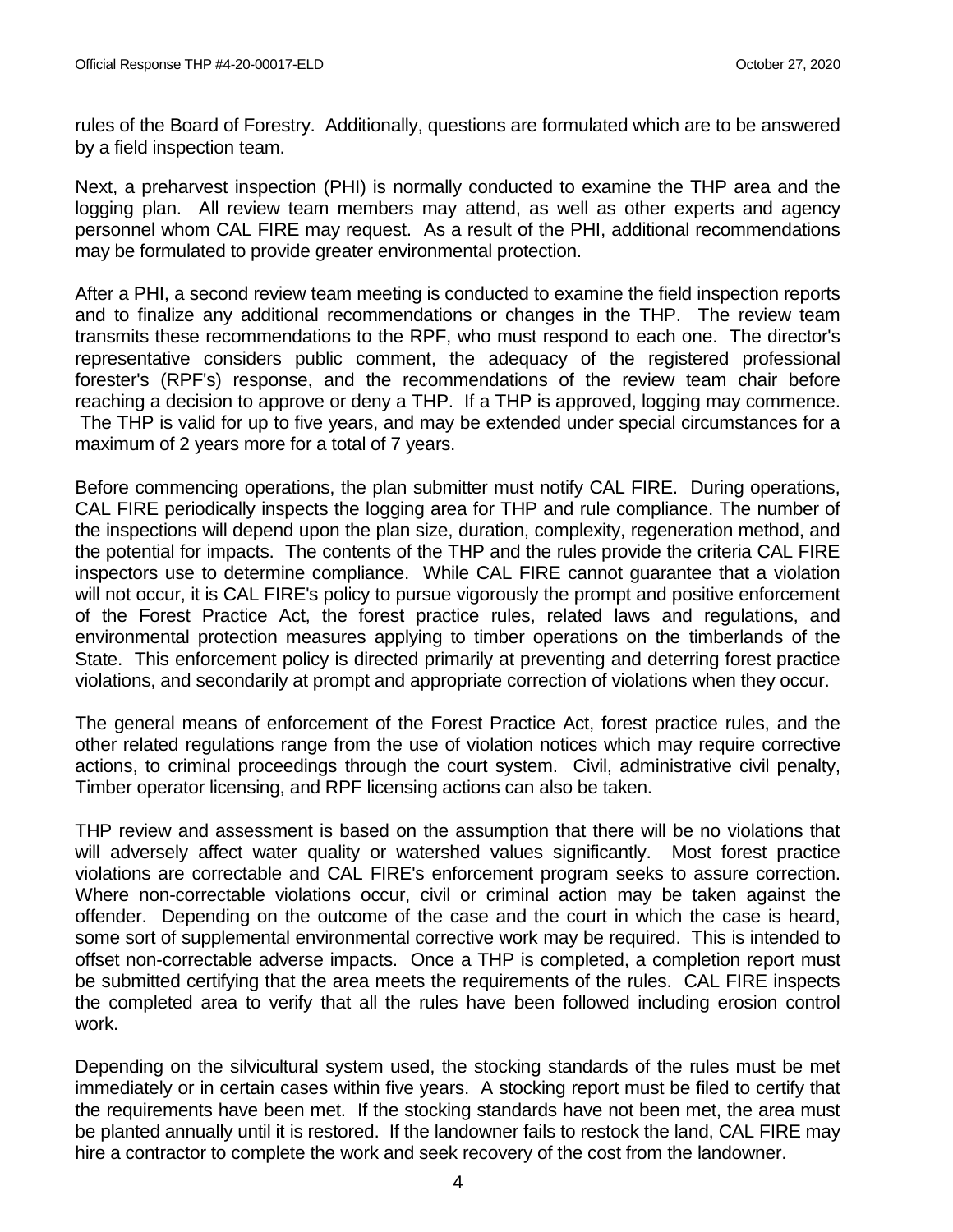rules of the Board of Forestry. Additionally, questions are formulated which are to be answered by a field inspection team.

Next, a preharvest inspection (PHI) is normally conducted to examine the THP area and the logging plan. All review team members may attend, as well as other experts and agency personnel whom CAL FIRE may request. As a result of the PHI, additional recommendations may be formulated to provide greater environmental protection.

After a PHI, a second review team meeting is conducted to examine the field inspection reports and to finalize any additional recommendations or changes in the THP. The review team transmits these recommendations to the RPF, who must respond to each one. The director's representative considers public comment, the adequacy of the registered professional forester's (RPF's) response, and the recommendations of the review team chair before reaching a decision to approve or deny a THP. If a THP is approved, logging may commence. The THP is valid for up to five years, and may be extended under special circumstances for a maximum of 2 years more for a total of 7 years.

Before commencing operations, the plan submitter must notify CAL FIRE. During operations, CAL FIRE periodically inspects the logging area for THP and rule compliance. The number of the inspections will depend upon the plan size, duration, complexity, regeneration method, and the potential for impacts. The contents of the THP and the rules provide the criteria CAL FIRE inspectors use to determine compliance. While CAL FIRE cannot guarantee that a violation will not occur, it is CAL FIRE's policy to pursue vigorously the prompt and positive enforcement of the Forest Practice Act, the forest practice rules, related laws and regulations, and environmental protection measures applying to timber operations on the timberlands of the State. This enforcement policy is directed primarily at preventing and deterring forest practice violations, and secondarily at prompt and appropriate correction of violations when they occur.

The general means of enforcement of the Forest Practice Act, forest practice rules, and the other related regulations range from the use of violation notices which may require corrective actions, to criminal proceedings through the court system. Civil, administrative civil penalty, Timber operator licensing, and RPF licensing actions can also be taken.

THP review and assessment is based on the assumption that there will be no violations that will adversely affect water quality or watershed values significantly. Most forest practice violations are correctable and CAL FIRE's enforcement program seeks to assure correction. Where non-correctable violations occur, civil or criminal action may be taken against the offender. Depending on the outcome of the case and the court in which the case is heard, some sort of supplemental environmental corrective work may be required. This is intended to offset non-correctable adverse impacts. Once a THP is completed, a completion report must be submitted certifying that the area meets the requirements of the rules. CAL FIRE inspects the completed area to verify that all the rules have been followed including erosion control work.

Depending on the silvicultural system used, the stocking standards of the rules must be met immediately or in certain cases within five years. A stocking report must be filed to certify that the requirements have been met. If the stocking standards have not been met, the area must be planted annually until it is restored. If the landowner fails to restock the land, CAL FIRE may hire a contractor to complete the work and seek recovery of the cost from the landowner.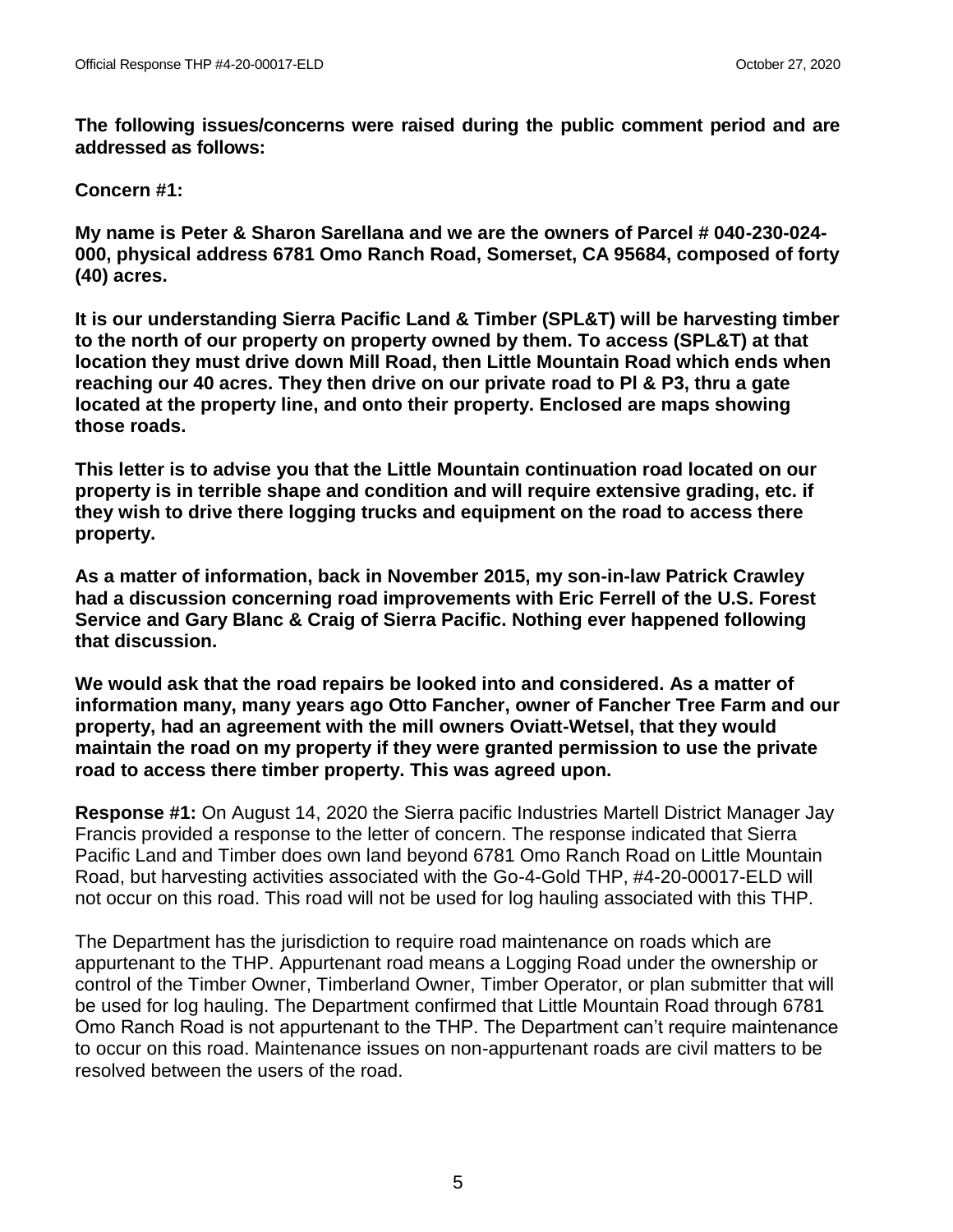**The following issues/concerns were raised during the public comment period and are addressed as follows:**

**Concern #1:** 

**My name is Peter & Sharon Sarellana and we are the owners of Parcel # 040-230-024- 000, physical address 6781 Omo Ranch Road, Somerset, CA 95684, composed of forty (40) acres.** 

**It is our understanding Sierra Pacific Land & Timber (SPL&T) will be harvesting timber to the north of our property on property owned by them. To access (SPL&T) at that location they must drive down Mill Road, then Little Mountain Road which ends when reaching our 40 acres. They then drive on our private road to Pl & P3, thru a gate located at the property line, and onto their property. Enclosed are maps showing those roads.**

**This letter is to advise you that the Little Mountain continuation road located on our property is in terrible shape and condition and will require extensive grading, etc. if they wish to drive there logging trucks and equipment on the road to access there property.**

**As a matter of information, back in November 2015, my son-in-law Patrick Crawley had a discussion concerning road improvements with Eric Ferrell of the U.S. Forest Service and Gary Blanc & Craig of Sierra Pacific. Nothing ever happened following that discussion.**

**We would ask that the road repairs be looked into and considered. As a matter of information many, many years ago Otto Fancher, owner of Fancher Tree Farm and our property, had an agreement with the mill owners Oviatt-Wetsel, that they would maintain the road on my property if they were granted permission to use the private road to access there timber property. This was agreed upon.**

**Response #1:** On August 14, 2020 the Sierra pacific Industries Martell District Manager Jay Francis provided a response to the letter of concern. The response indicated that Sierra Pacific Land and Timber does own land beyond 6781 Omo Ranch Road on Little Mountain Road, but harvesting activities associated with the Go-4-Gold THP, #4-20-00017-ELD will not occur on this road. This road will not be used for log hauling associated with this THP.

The Department has the jurisdiction to require road maintenance on roads which are appurtenant to the THP. Appurtenant road means a Logging Road under the ownership or control of the Timber Owner, Timberland Owner, Timber Operator, or plan submitter that will be used for log hauling. The Department confirmed that Little Mountain Road through 6781 Omo Ranch Road is not appurtenant to the THP. The Department can't require maintenance to occur on this road. Maintenance issues on non-appurtenant roads are civil matters to be resolved between the users of the road.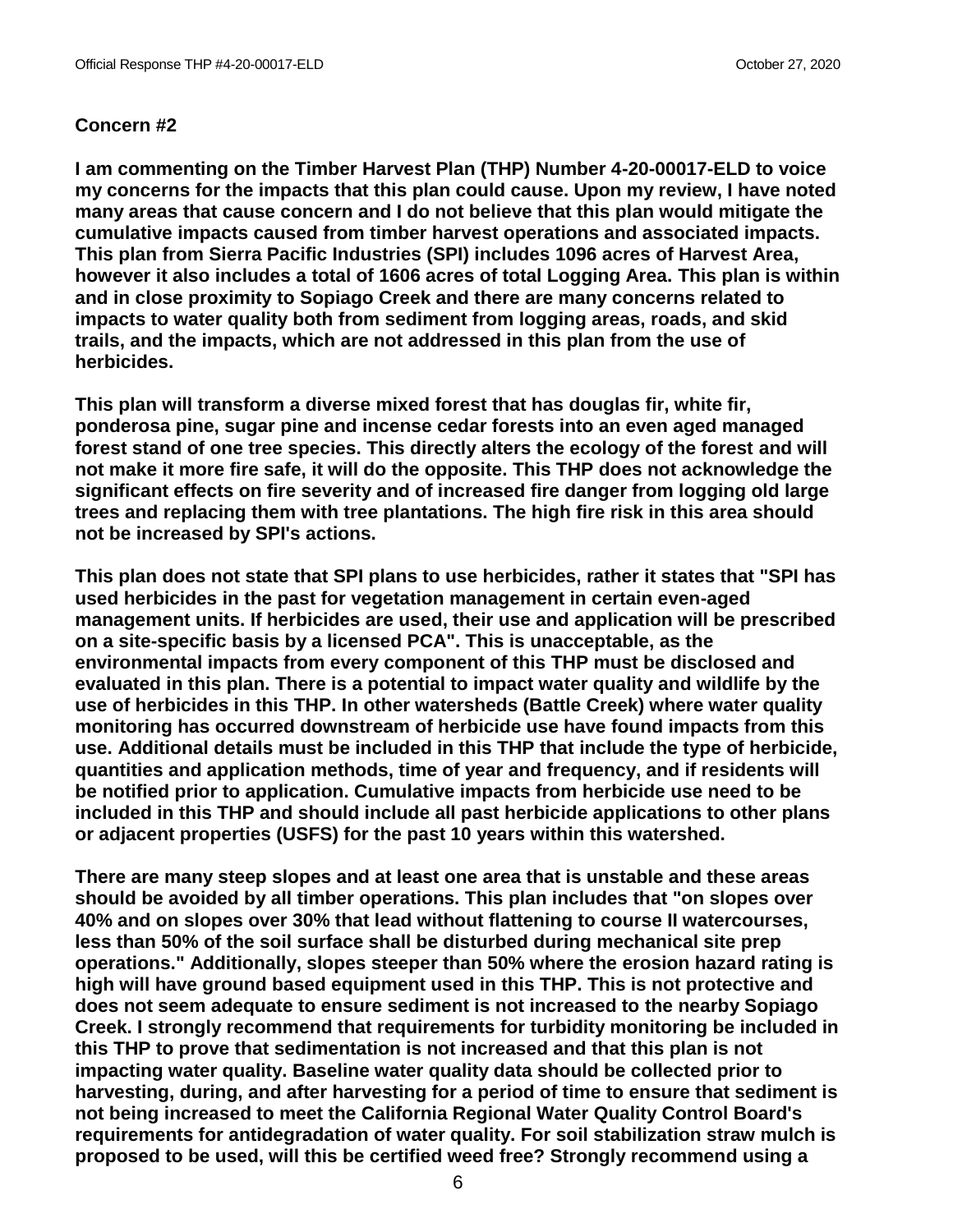## **Concern #2**

**I am commenting on the Timber Harvest Plan (THP) Number 4-20-00017-ELD to voice my concerns for the impacts that this plan could cause. Upon my review, I have noted many areas that cause concern and I do not believe that this plan would mitigate the cumulative impacts caused from timber harvest operations and associated impacts. This plan from Sierra Pacific Industries (SPI) includes 1096 acres of Harvest Area, however it also includes a total of 1606 acres of total Logging Area. This plan is within and in close proximity to Sopiago Creek and there are many concerns related to impacts to water quality both from sediment from logging areas, roads, and skid trails, and the impacts, which are not addressed in this plan from the use of herbicides.**

**This plan will transform a diverse mixed forest that has douglas fir, white fir, ponderosa pine, sugar pine and incense cedar forests into an even aged managed forest stand of one tree species. This directly alters the ecology of the forest and will not make it more fire safe, it will do the opposite. This THP does not acknowledge the significant effects on fire severity and of increased fire danger from logging old large trees and replacing them with tree plantations. The high fire risk in this area should not be increased by SPI's actions.**

**This plan does not state that SPI plans to use herbicides, rather it states that "SPI has used herbicides in the past for vegetation management in certain even-aged management units. If herbicides are used, their use and application will be prescribed on a site-specific basis by a licensed PCA". This is unacceptable, as the environmental impacts from every component of this THP must be disclosed and evaluated in this plan. There is a potential to impact water quality and wildlife by the use of herbicides in this THP. In other watersheds (Battle Creek) where water quality monitoring has occurred downstream of herbicide use have found impacts from this use. Additional details must be included in this THP that include the type of herbicide, quantities and application methods, time of year and frequency, and if residents will be notified prior to application. Cumulative impacts from herbicide use need to be included in this THP and should include all past herbicide applications to other plans or adjacent properties (USFS) for the past 10 years within this watershed.**

**There are many steep slopes and at least one area that is unstable and these areas should be avoided by all timber operations. This plan includes that "on slopes over 40% and on slopes over 30% that lead without flattening to course II watercourses, less than 50% of the soil surface shall be disturbed during mechanical site prep operations." Additionally, slopes steeper than 50% where the erosion hazard rating is high will have ground based equipment used in this THP. This is not protective and does not seem adequate to ensure sediment is not increased to the nearby Sopiago Creek. I strongly recommend that requirements for turbidity monitoring be included in this THP to prove that sedimentation is not increased and that this plan is not impacting water quality. Baseline water quality data should be collected prior to harvesting, during, and after harvesting for a period of time to ensure that sediment is not being increased to meet the California Regional Water Quality Control Board's requirements for antidegradation of water quality. For soil stabilization straw mulch is proposed to be used, will this be certified weed free? Strongly recommend using a**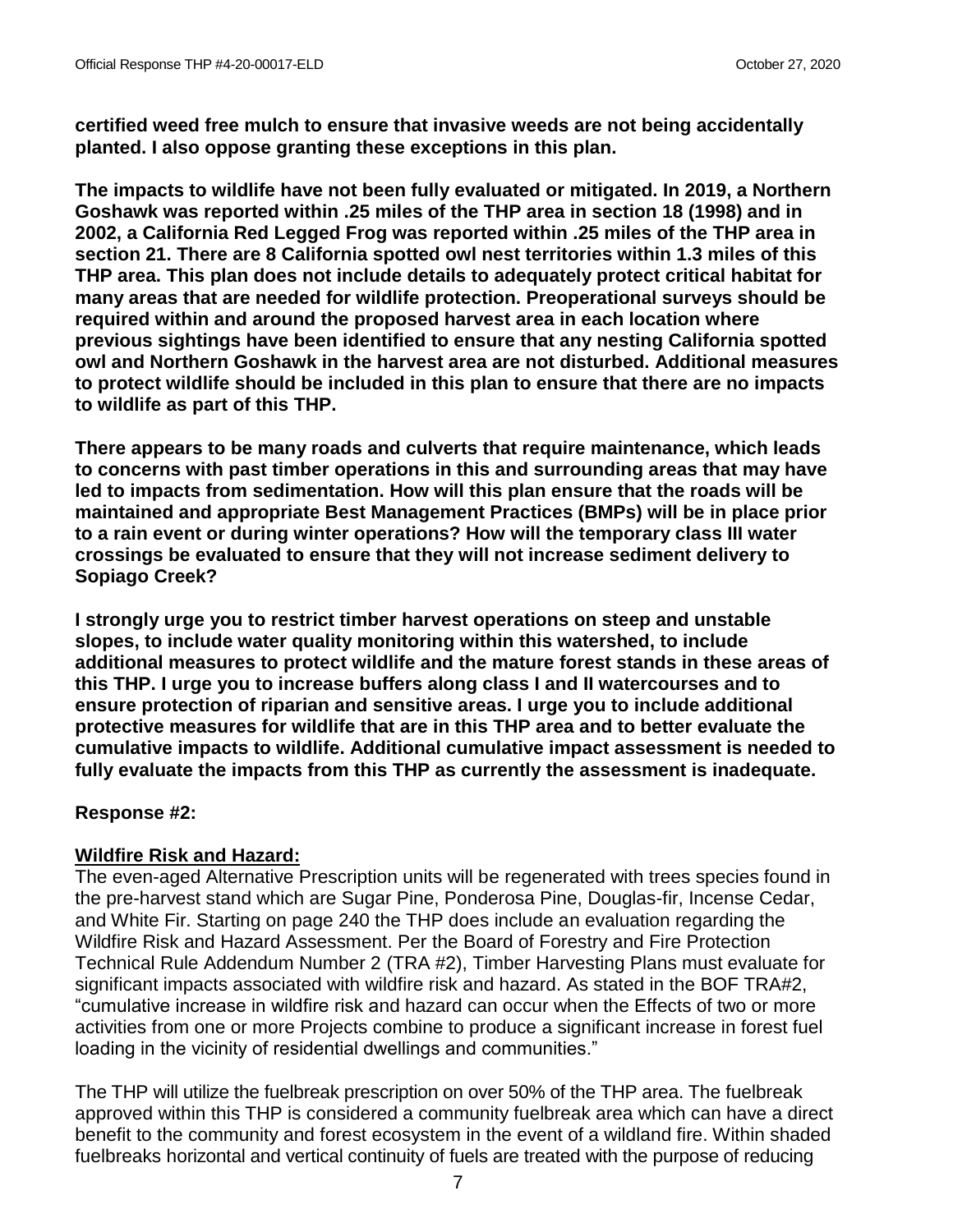**certified weed free mulch to ensure that invasive weeds are not being accidentally planted. I also oppose granting these exceptions in this plan.**

**The impacts to wildlife have not been fully evaluated or mitigated. In 2019, a Northern Goshawk was reported within .25 miles of the THP area in section 18 (1998) and in 2002, a California Red Legged Frog was reported within .25 miles of the THP area in section 21. There are 8 California spotted owl nest territories within 1.3 miles of this THP area. This plan does not include details to adequately protect critical habitat for many areas that are needed for wildlife protection. Preoperational surveys should be required within and around the proposed harvest area in each location where previous sightings have been identified to ensure that any nesting California spotted owl and Northern Goshawk in the harvest area are not disturbed. Additional measures to protect wildlife should be included in this plan to ensure that there are no impacts to wildlife as part of this THP.**

**There appears to be many roads and culverts that require maintenance, which leads to concerns with past timber operations in this and surrounding areas that may have led to impacts from sedimentation. How will this plan ensure that the roads will be maintained and appropriate Best Management Practices (BMPs) will be in place prior to a rain event or during winter operations? How will the temporary class III water crossings be evaluated to ensure that they will not increase sediment delivery to Sopiago Creek?**

**I strongly urge you to restrict timber harvest operations on steep and unstable slopes, to include water quality monitoring within this watershed, to include additional measures to protect wildlife and the mature forest stands in these areas of this THP. I urge you to increase buffers along class I and II watercourses and to ensure protection of riparian and sensitive areas. I urge you to include additional protective measures for wildlife that are in this THP area and to better evaluate the cumulative impacts to wildlife. Additional cumulative impact assessment is needed to fully evaluate the impacts from this THP as currently the assessment is inadequate.** 

# **Response #2:**

# **Wildfire Risk and Hazard:**

The even-aged Alternative Prescription units will be regenerated with trees species found in the pre-harvest stand which are Sugar Pine, Ponderosa Pine, Douglas-fir, Incense Cedar, and White Fir. Starting on page 240 the THP does include an evaluation regarding the Wildfire Risk and Hazard Assessment. Per the Board of Forestry and Fire Protection Technical Rule Addendum Number 2 (TRA #2), Timber Harvesting Plans must evaluate for significant impacts associated with wildfire risk and hazard. As stated in the BOF TRA#2, "cumulative increase in wildfire risk and hazard can occur when the Effects of two or more activities from one or more Projects combine to produce a significant increase in forest fuel loading in the vicinity of residential dwellings and communities."

The THP will utilize the fuelbreak prescription on over 50% of the THP area. The fuelbreak approved within this THP is considered a community fuelbreak area which can have a direct benefit to the community and forest ecosystem in the event of a wildland fire. Within shaded fuelbreaks horizontal and vertical continuity of fuels are treated with the purpose of reducing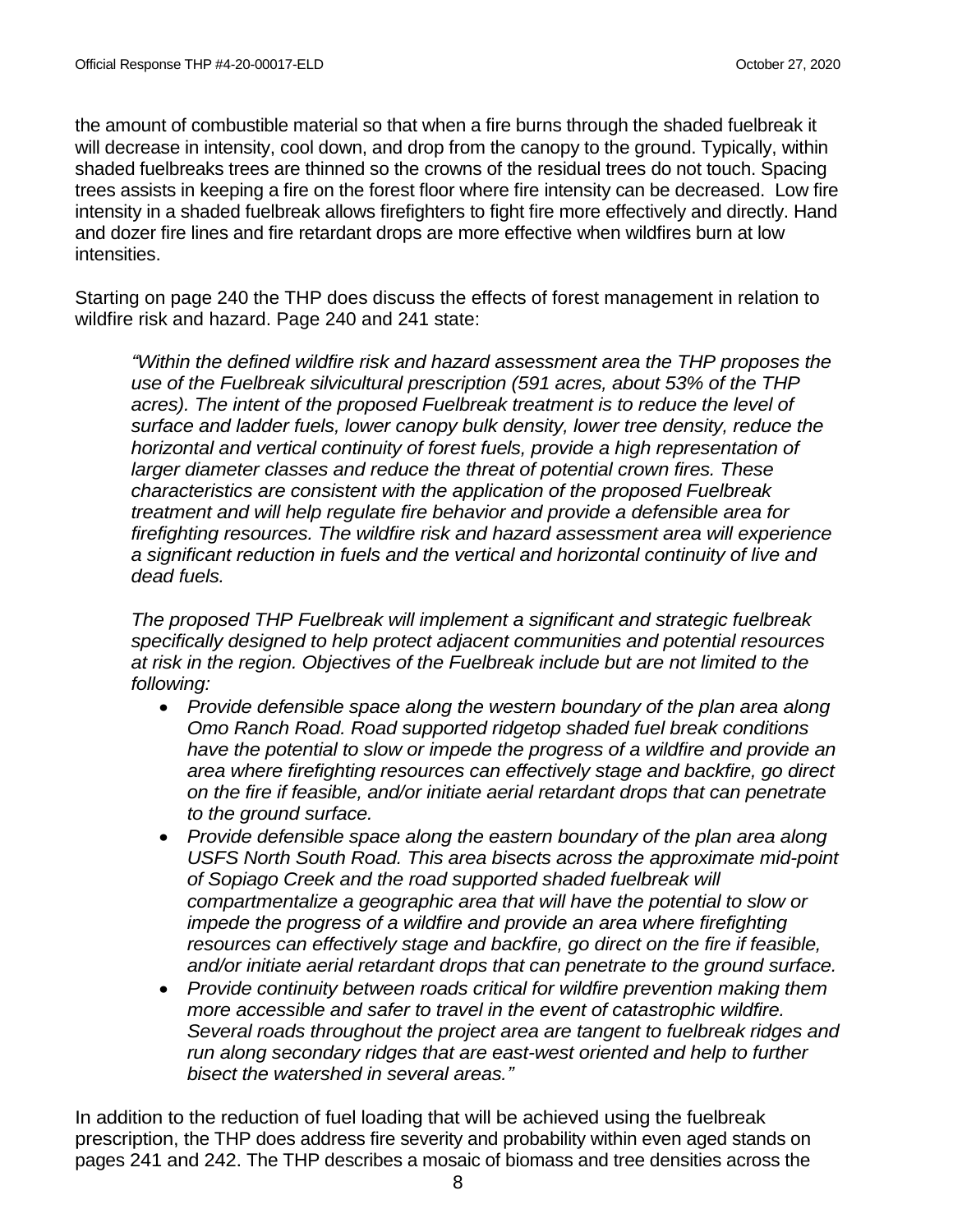the amount of combustible material so that when a fire burns through the shaded fuelbreak it will decrease in intensity, cool down, and drop from the canopy to the ground. Typically, within shaded fuelbreaks trees are thinned so the crowns of the residual trees do not touch. Spacing trees assists in keeping a fire on the forest floor where fire intensity can be decreased. Low fire intensity in a shaded fuelbreak allows firefighters to fight fire more effectively and directly. Hand and dozer fire lines and fire retardant drops are more effective when wildfires burn at low intensities.

Starting on page 240 the THP does discuss the effects of forest management in relation to wildfire risk and hazard. Page 240 and 241 state:

*"Within the defined wildfire risk and hazard assessment area the THP proposes the use of the Fuelbreak silvicultural prescription (591 acres, about 53% of the THP*  acres). The intent of the proposed Fuelbreak treatment is to reduce the level of *surface and ladder fuels, lower canopy bulk density, lower tree density, reduce the horizontal and vertical continuity of forest fuels, provide a high representation of larger diameter classes and reduce the threat of potential crown fires. These characteristics are consistent with the application of the proposed Fuelbreak treatment and will help regulate fire behavior and provide a defensible area for firefighting resources. The wildfire risk and hazard assessment area will experience a significant reduction in fuels and the vertical and horizontal continuity of live and dead fuels.*

*The proposed THP Fuelbreak will implement a significant and strategic fuelbreak specifically designed to help protect adjacent communities and potential resources at risk in the region. Objectives of the Fuelbreak include but are not limited to the following:*

- *Provide defensible space along the western boundary of the plan area along Omo Ranch Road. Road supported ridgetop shaded fuel break conditions have the potential to slow or impede the progress of a wildfire and provide an area where firefighting resources can effectively stage and backfire, go direct on the fire if feasible, and/or initiate aerial retardant drops that can penetrate to the ground surface.*
- *Provide defensible space along the eastern boundary of the plan area along USFS North South Road. This area bisects across the approximate mid-point of Sopiago Creek and the road supported shaded fuelbreak will compartmentalize a geographic area that will have the potential to slow or impede the progress of a wildfire and provide an area where firefighting resources can effectively stage and backfire, go direct on the fire if feasible, and/or initiate aerial retardant drops that can penetrate to the ground surface.*
- *Provide continuity between roads critical for wildfire prevention making them more accessible and safer to travel in the event of catastrophic wildfire. Several roads throughout the project area are tangent to fuelbreak ridges and run along secondary ridges that are east-west oriented and help to further bisect the watershed in several areas."*

In addition to the reduction of fuel loading that will be achieved using the fuelbreak prescription, the THP does address fire severity and probability within even aged stands on pages 241 and 242. The THP describes a mosaic of biomass and tree densities across the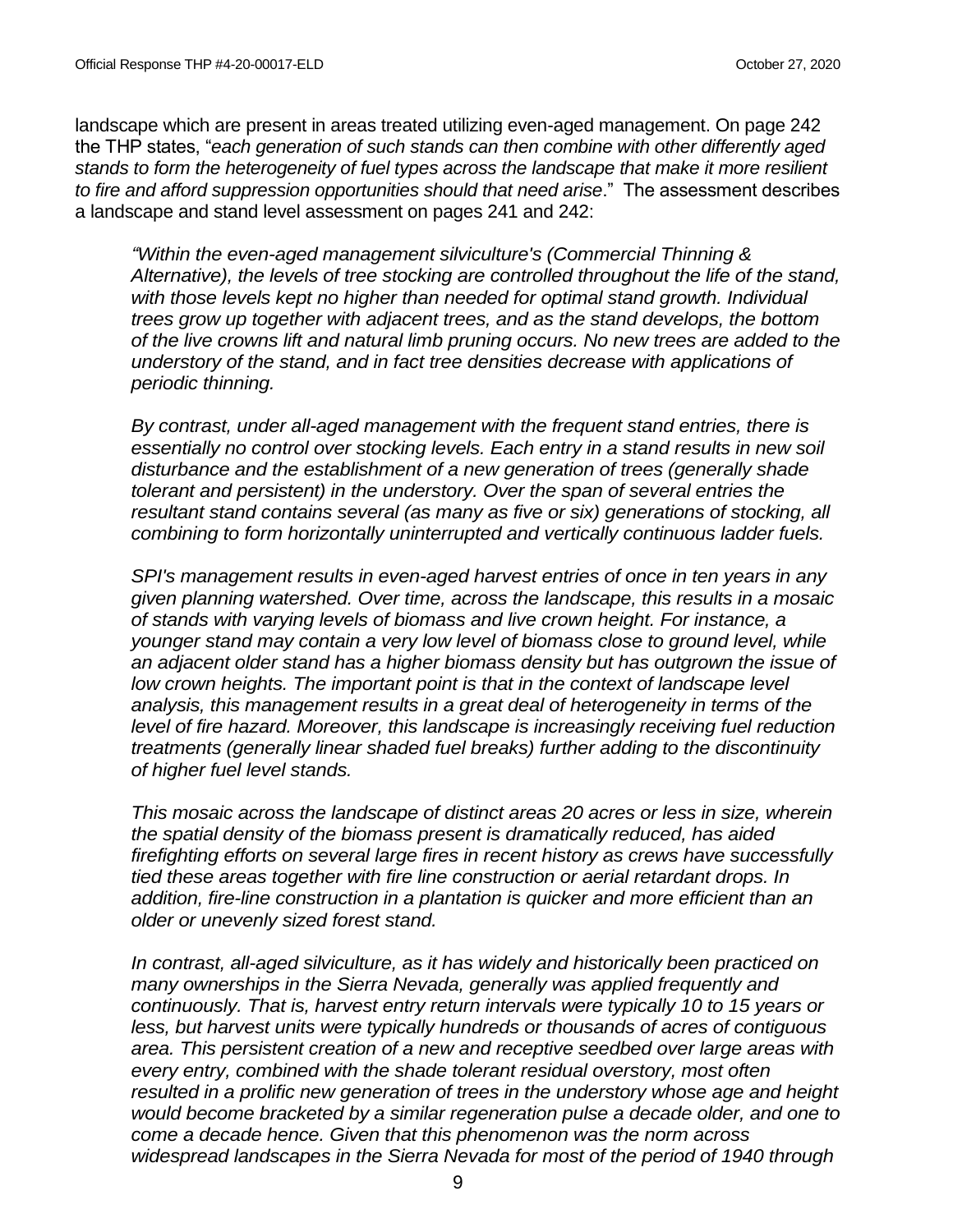landscape which are present in areas treated utilizing even-aged management. On page 242 the THP states, "*each generation of such stands can then combine with other differently aged stands to form the heterogeneity of fuel types across the landscape that make it more resilient to fire and afford suppression opportunities should that need arise*." The assessment describes a landscape and stand level assessment on pages 241 and 242:

*"Within the even-aged management silviculture's (Commercial Thinning & Alternative), the levels of tree stocking are controlled throughout the life of the stand, with those levels kept no higher than needed for optimal stand growth. Individual trees grow up together with adjacent trees, and as the stand develops, the bottom of the live crowns lift and natural limb pruning occurs. No new trees are added to the understory of the stand, and in fact tree densities decrease with applications of periodic thinning.*

*By contrast, under all-aged management with the frequent stand entries, there is essentially no control over stocking levels. Each entry in a stand results in new soil disturbance and the establishment of a new generation of trees (generally shade tolerant and persistent) in the understory. Over the span of several entries the resultant stand contains several (as many as five or six) generations of stocking, all combining to form horizontally uninterrupted and vertically continuous ladder fuels.*

*SPI's management results in even-aged harvest entries of once in ten years in any given planning watershed. Over time, across the landscape, this results in a mosaic of stands with varying levels of biomass and live crown height. For instance, a younger stand may contain a very low level of biomass close to ground level, while an adjacent older stand has a higher biomass density but has outgrown the issue of*  low crown heights. The important point is that in the context of landscape level *analysis, this management results in a great deal of heterogeneity in terms of the level of fire hazard. Moreover, this landscape is increasingly receiving fuel reduction treatments (generally linear shaded fuel breaks) further adding to the discontinuity of higher fuel level stands.*

*This mosaic across the landscape of distinct areas 20 acres or less in size, wherein the spatial density of the biomass present is dramatically reduced, has aided firefighting efforts on several large fires in recent history as crews have successfully tied these areas together with fire line construction or aerial retardant drops. In addition, fire-line construction in a plantation is quicker and more efficient than an older or unevenly sized forest stand.*

*In contrast, all-aged silviculture, as it has widely and historically been practiced on many ownerships in the Sierra Nevada, generally was applied frequently and continuously. That is, harvest entry return intervals were typically 10 to 15 years or less, but harvest units were typically hundreds or thousands of acres of contiguous area. This persistent creation of a new and receptive seedbed over large areas with every entry, combined with the shade tolerant residual overstory, most often resulted in a prolific new generation of trees in the understory whose age and height would become bracketed by a similar regeneration pulse a decade older, and one to come a decade hence. Given that this phenomenon was the norm across widespread landscapes in the Sierra Nevada for most of the period of 1940 through*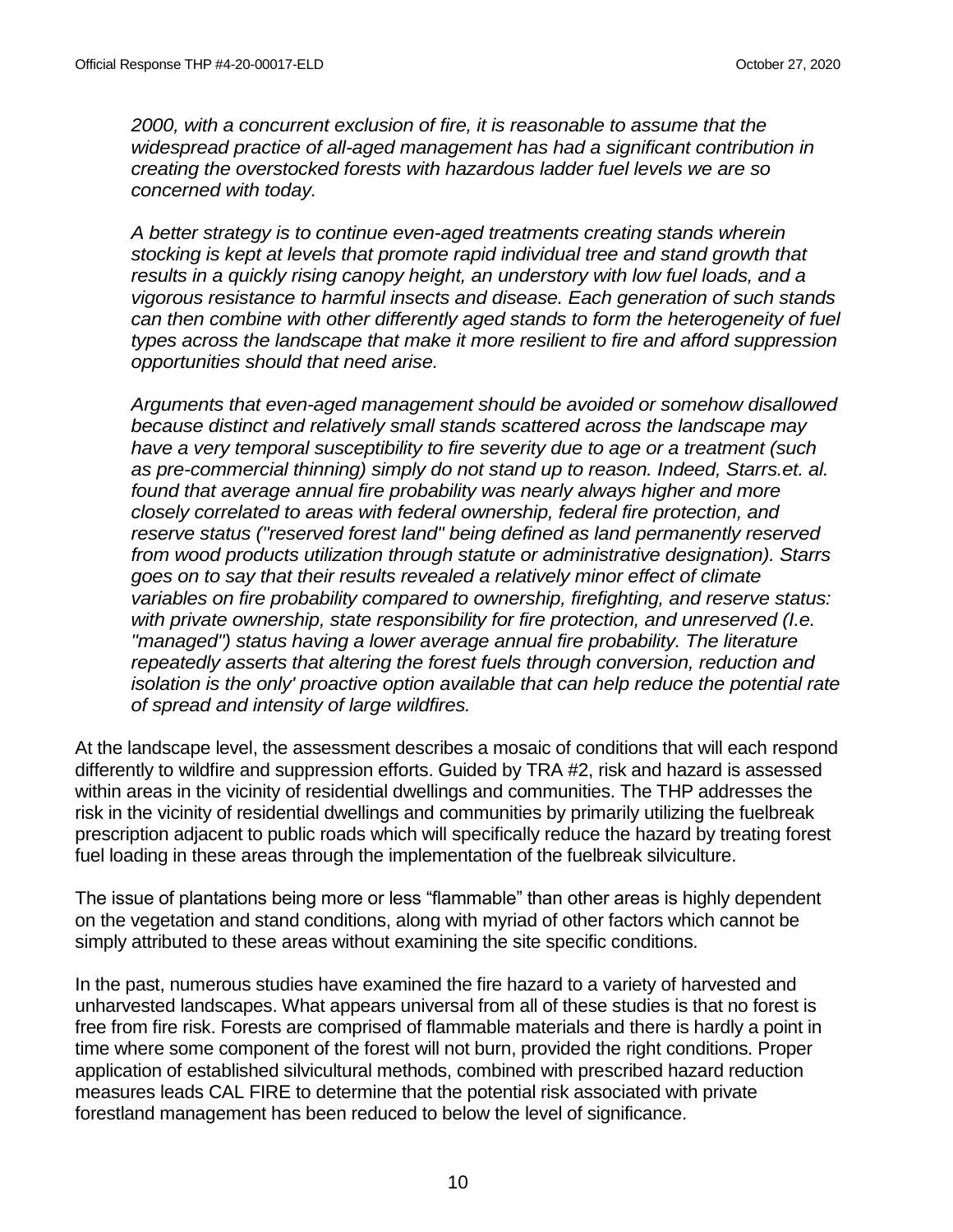*2000, with a concurrent exclusion of fire, it is reasonable to assume that the widespread practice of all-aged management has had a significant contribution in creating the overstocked forests with hazardous ladder fuel levels we are so concerned with today.*

*A better strategy is to continue even-aged treatments creating stands wherein stocking is kept at levels that promote rapid individual tree and stand growth that results in a quickly rising canopy height, an understory with low fuel loads, and a vigorous resistance to harmful insects and disease. Each generation of such stands can then combine with other differently aged stands to form the heterogeneity of fuel types across the landscape that make it more resilient to fire and afford suppression opportunities should that need arise.*

*Arguments that even-aged management should be avoided or somehow disallowed because distinct and relatively small stands scattered across the landscape may have a very temporal susceptibility to fire severity due to age or a treatment (such as pre-commercial thinning) simply do not stand up to reason. Indeed, Starrs.et. al. found that average annual fire probability was nearly always higher and more closely correlated to areas with federal ownership, federal fire protection, and reserve status ("reserved forest land" being defined as land permanently reserved from wood products utilization through statute or administrative designation). Starrs goes on to say that their results revealed a relatively minor effect of climate variables on fire probability compared to ownership, firefighting, and reserve status: with private ownership, state responsibility for fire protection, and unreserved (I.e. "managed") status having a lower average annual fire probability. The literature repeatedly asserts that altering the forest fuels through conversion, reduction and isolation is the only' proactive option available that can help reduce the potential rate of spread and intensity of large wildfires.*

At the landscape level, the assessment describes a mosaic of conditions that will each respond differently to wildfire and suppression efforts. Guided by TRA #2, risk and hazard is assessed within areas in the vicinity of residential dwellings and communities. The THP addresses the risk in the vicinity of residential dwellings and communities by primarily utilizing the fuelbreak prescription adjacent to public roads which will specifically reduce the hazard by treating forest fuel loading in these areas through the implementation of the fuelbreak silviculture.

The issue of plantations being more or less "flammable" than other areas is highly dependent on the vegetation and stand conditions, along with myriad of other factors which cannot be simply attributed to these areas without examining the site specific conditions.

In the past, numerous studies have examined the fire hazard to a variety of harvested and unharvested landscapes. What appears universal from all of these studies is that no forest is free from fire risk. Forests are comprised of flammable materials and there is hardly a point in time where some component of the forest will not burn, provided the right conditions. Proper application of established silvicultural methods, combined with prescribed hazard reduction measures leads CAL FIRE to determine that the potential risk associated with private forestland management has been reduced to below the level of significance.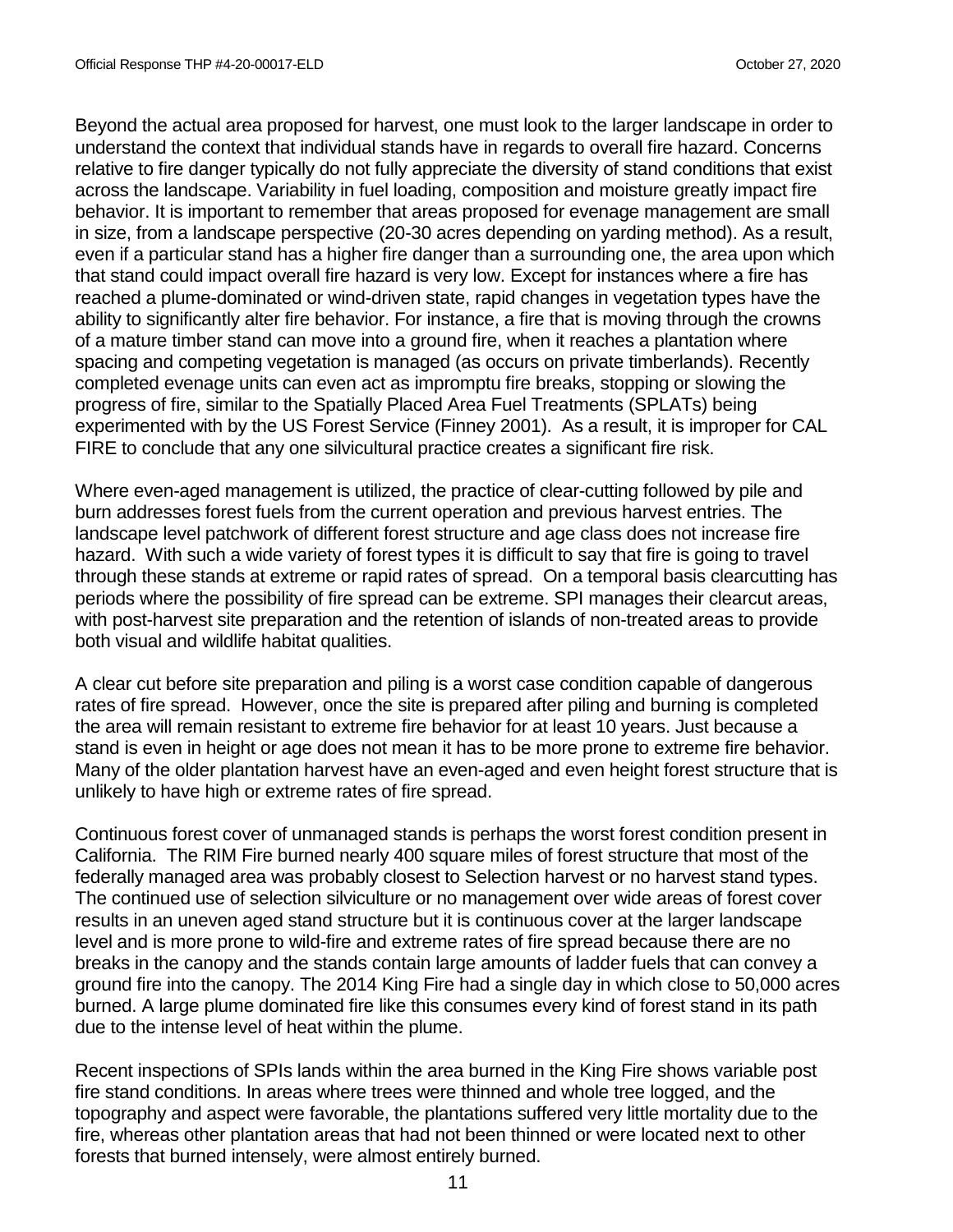Beyond the actual area proposed for harvest, one must look to the larger landscape in order to understand the context that individual stands have in regards to overall fire hazard. Concerns relative to fire danger typically do not fully appreciate the diversity of stand conditions that exist across the landscape. Variability in fuel loading, composition and moisture greatly impact fire behavior. It is important to remember that areas proposed for evenage management are small in size, from a landscape perspective (20-30 acres depending on yarding method). As a result, even if a particular stand has a higher fire danger than a surrounding one, the area upon which that stand could impact overall fire hazard is very low. Except for instances where a fire has reached a plume-dominated or wind-driven state, rapid changes in vegetation types have the ability to significantly alter fire behavior. For instance, a fire that is moving through the crowns of a mature timber stand can move into a ground fire, when it reaches a plantation where spacing and competing vegetation is managed (as occurs on private timberlands). Recently completed evenage units can even act as impromptu fire breaks, stopping or slowing the progress of fire, similar to the Spatially Placed Area Fuel Treatments (SPLATs) being experimented with by the US Forest Service (Finney 2001). As a result, it is improper for CAL FIRE to conclude that any one silvicultural practice creates a significant fire risk.

Where even-aged management is utilized, the practice of clear-cutting followed by pile and burn addresses forest fuels from the current operation and previous harvest entries. The landscape level patchwork of different forest structure and age class does not increase fire hazard. With such a wide variety of forest types it is difficult to say that fire is going to travel through these stands at extreme or rapid rates of spread. On a temporal basis clearcutting has periods where the possibility of fire spread can be extreme. SPI manages their clearcut areas, with post-harvest site preparation and the retention of islands of non-treated areas to provide both visual and wildlife habitat qualities.

A clear cut before site preparation and piling is a worst case condition capable of dangerous rates of fire spread. However, once the site is prepared after piling and burning is completed the area will remain resistant to extreme fire behavior for at least 10 years. Just because a stand is even in height or age does not mean it has to be more prone to extreme fire behavior. Many of the older plantation harvest have an even-aged and even height forest structure that is unlikely to have high or extreme rates of fire spread.

Continuous forest cover of unmanaged stands is perhaps the worst forest condition present in California. The RIM Fire burned nearly 400 square miles of forest structure that most of the federally managed area was probably closest to Selection harvest or no harvest stand types. The continued use of selection silviculture or no management over wide areas of forest cover results in an uneven aged stand structure but it is continuous cover at the larger landscape level and is more prone to wild-fire and extreme rates of fire spread because there are no breaks in the canopy and the stands contain large amounts of ladder fuels that can convey a ground fire into the canopy. The 2014 King Fire had a single day in which close to 50,000 acres burned. A large plume dominated fire like this consumes every kind of forest stand in its path due to the intense level of heat within the plume.

Recent inspections of SPIs lands within the area burned in the King Fire shows variable post fire stand conditions. In areas where trees were thinned and whole tree logged, and the topography and aspect were favorable, the plantations suffered very little mortality due to the fire, whereas other plantation areas that had not been thinned or were located next to other forests that burned intensely, were almost entirely burned.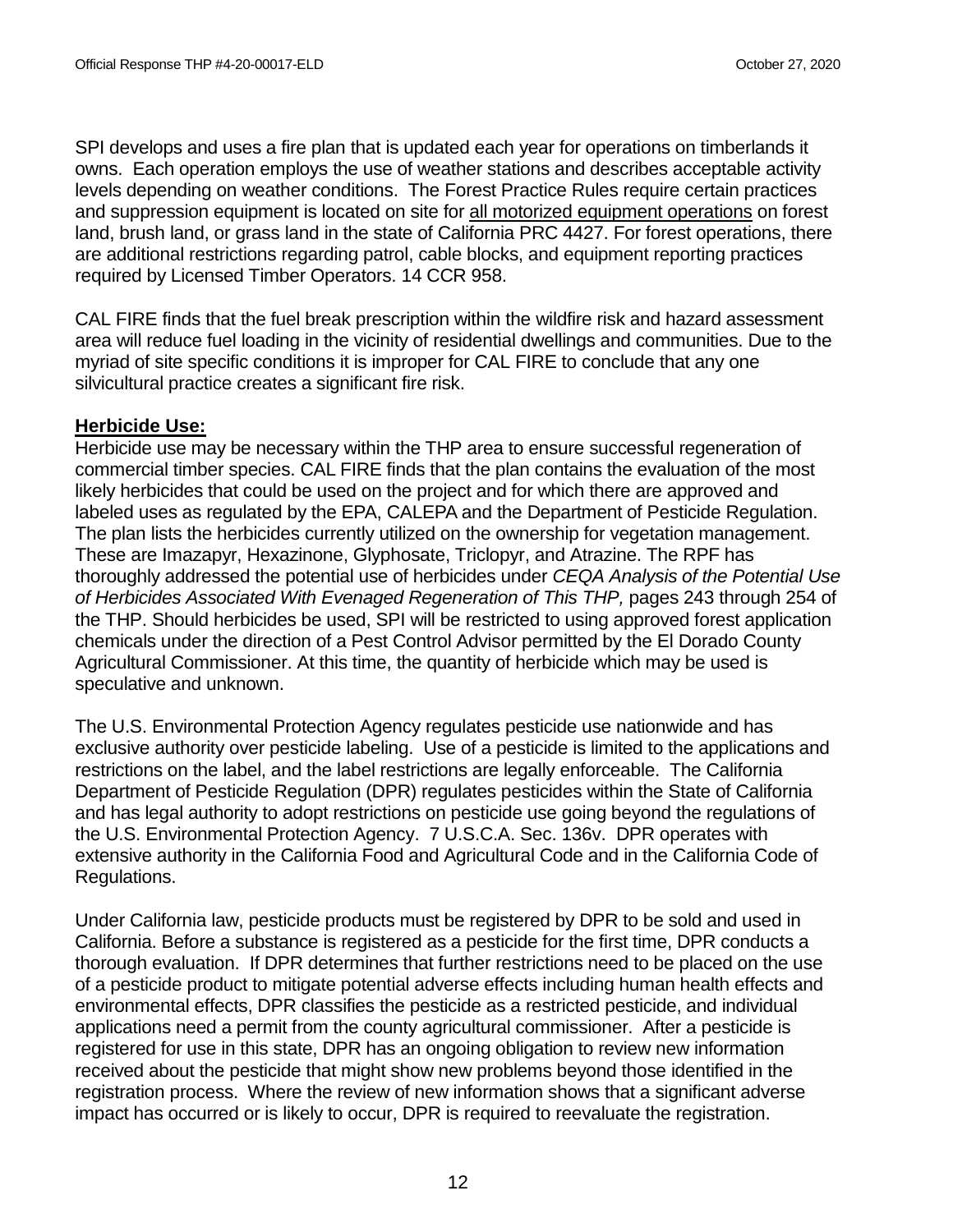SPI develops and uses a fire plan that is updated each year for operations on timberlands it owns. Each operation employs the use of weather stations and describes acceptable activity levels depending on weather conditions. The Forest Practice Rules require certain practices and suppression equipment is located on site for all motorized equipment operations on forest land, brush land, or grass land in the state of California PRC 4427. For forest operations, there are additional restrictions regarding patrol, cable blocks, and equipment reporting practices required by Licensed Timber Operators. 14 CCR 958.

CAL FIRE finds that the fuel break prescription within the wildfire risk and hazard assessment area will reduce fuel loading in the vicinity of residential dwellings and communities. Due to the myriad of site specific conditions it is improper for CAL FIRE to conclude that any one silvicultural practice creates a significant fire risk.

# **Herbicide Use:**

Herbicide use may be necessary within the THP area to ensure successful regeneration of commercial timber species. CAL FIRE finds that the plan contains the evaluation of the most likely herbicides that could be used on the project and for which there are approved and labeled uses as regulated by the EPA, CALEPA and the Department of Pesticide Regulation. The plan lists the herbicides currently utilized on the ownership for vegetation management. These are Imazapyr, Hexazinone, Glyphosate, Triclopyr, and Atrazine. The RPF has thoroughly addressed the potential use of herbicides under *CEQA Analysis of the Potential Use of Herbicides Associated With Evenaged Regeneration of This THP,* pages 243 through 254 of the THP. Should herbicides be used, SPI will be restricted to using approved forest application chemicals under the direction of a Pest Control Advisor permitted by the El Dorado County Agricultural Commissioner. At this time, the quantity of herbicide which may be used is speculative and unknown.

The U.S. Environmental Protection Agency regulates pesticide use nationwide and has exclusive authority over pesticide labeling. Use of a pesticide is limited to the applications and restrictions on the label, and the label restrictions are legally enforceable. The California Department of Pesticide Regulation (DPR) regulates pesticides within the State of California and has legal authority to adopt restrictions on pesticide use going beyond the regulations of the U.S. Environmental Protection Agency. 7 U.S.C.A. Sec. 136v. DPR operates with extensive authority in the California Food and Agricultural Code and in the California Code of Regulations.

Under California law, pesticide products must be registered by DPR to be sold and used in California. Before a substance is registered as a pesticide for the first time, DPR conducts a thorough evaluation. If DPR determines that further restrictions need to be placed on the use of a pesticide product to mitigate potential adverse effects including human health effects and environmental effects, DPR classifies the pesticide as a restricted pesticide, and individual applications need a permit from the county agricultural commissioner. After a pesticide is registered for use in this state, DPR has an ongoing obligation to review new information received about the pesticide that might show new problems beyond those identified in the registration process. Where the review of new information shows that a significant adverse impact has occurred or is likely to occur, DPR is required to reevaluate the registration.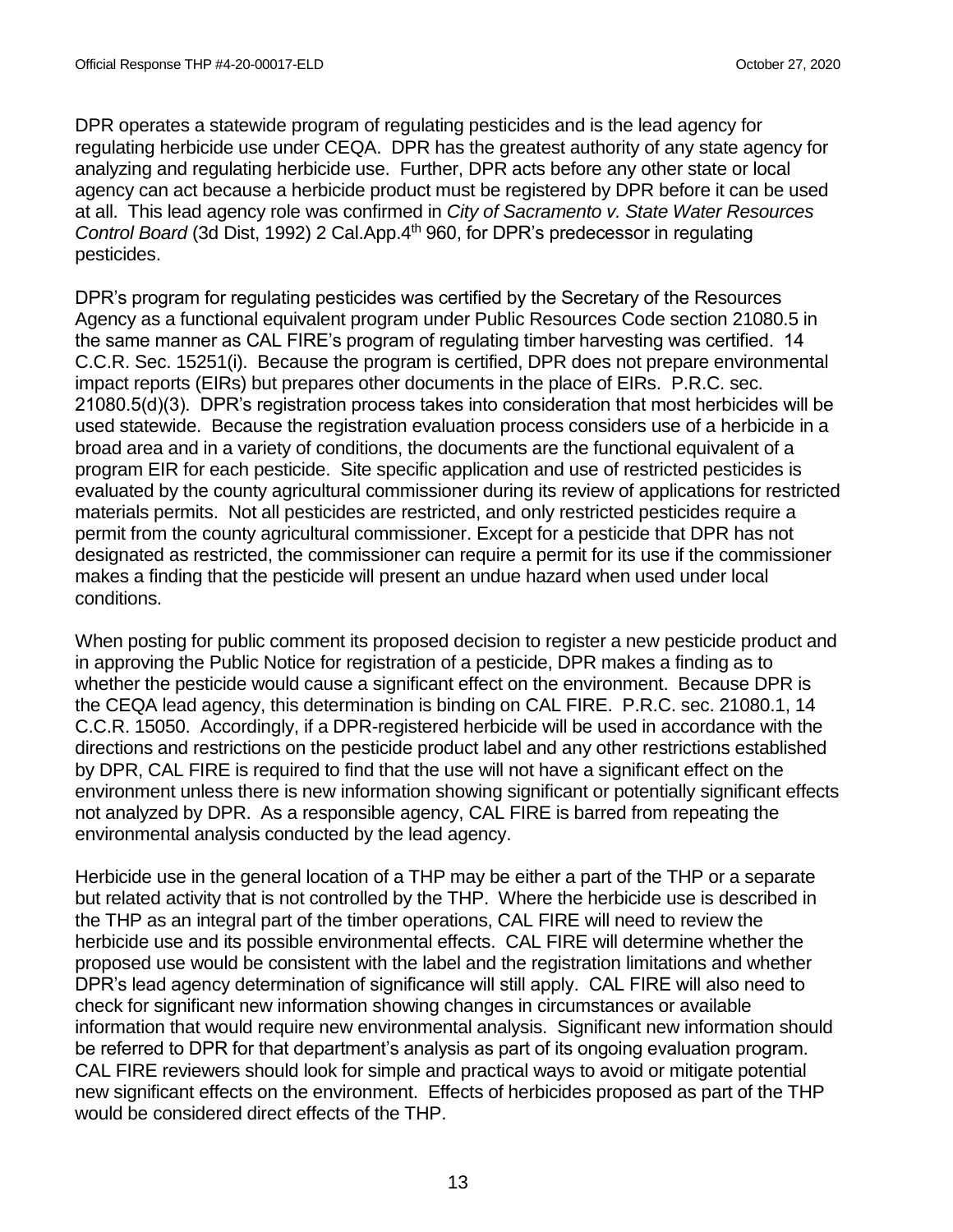DPR operates a statewide program of regulating pesticides and is the lead agency for regulating herbicide use under CEQA. DPR has the greatest authority of any state agency for analyzing and regulating herbicide use. Further, DPR acts before any other state or local agency can act because a herbicide product must be registered by DPR before it can be used at all. This lead agency role was confirmed in *City of Sacramento v. State Water Resources Control Board* (3d Dist, 1992) 2 Cal.App.4th 960, for DPR's predecessor in regulating pesticides.

DPR's program for regulating pesticides was certified by the Secretary of the Resources Agency as a functional equivalent program under Public Resources Code section 21080.5 in the same manner as CAL FIRE's program of regulating timber harvesting was certified. 14 C.C.R. Sec. 15251(i). Because the program is certified, DPR does not prepare environmental impact reports (EIRs) but prepares other documents in the place of EIRs. P.R.C. sec. 21080.5(d)(3). DPR's registration process takes into consideration that most herbicides will be used statewide. Because the registration evaluation process considers use of a herbicide in a broad area and in a variety of conditions, the documents are the functional equivalent of a program EIR for each pesticide. Site specific application and use of restricted pesticides is evaluated by the county agricultural commissioner during its review of applications for restricted materials permits. Not all pesticides are restricted, and only restricted pesticides require a permit from the county agricultural commissioner. Except for a pesticide that DPR has not designated as restricted, the commissioner can require a permit for its use if the commissioner makes a finding that the pesticide will present an undue hazard when used under local conditions.

When posting for public comment its proposed decision to register a new pesticide product and in approving the Public Notice for registration of a pesticide, DPR makes a finding as to whether the pesticide would cause a significant effect on the environment. Because DPR is the CEQA lead agency, this determination is binding on CAL FIRE. P.R.C. sec. 21080.1, 14 C.C.R. 15050. Accordingly, if a DPR-registered herbicide will be used in accordance with the directions and restrictions on the pesticide product label and any other restrictions established by DPR, CAL FIRE is required to find that the use will not have a significant effect on the environment unless there is new information showing significant or potentially significant effects not analyzed by DPR. As a responsible agency, CAL FIRE is barred from repeating the environmental analysis conducted by the lead agency.

Herbicide use in the general location of a THP may be either a part of the THP or a separate but related activity that is not controlled by the THP. Where the herbicide use is described in the THP as an integral part of the timber operations, CAL FIRE will need to review the herbicide use and its possible environmental effects. CAL FIRE will determine whether the proposed use would be consistent with the label and the registration limitations and whether DPR's lead agency determination of significance will still apply. CAL FIRE will also need to check for significant new information showing changes in circumstances or available information that would require new environmental analysis. Significant new information should be referred to DPR for that department's analysis as part of its ongoing evaluation program. CAL FIRE reviewers should look for simple and practical ways to avoid or mitigate potential new significant effects on the environment. Effects of herbicides proposed as part of the THP would be considered direct effects of the THP.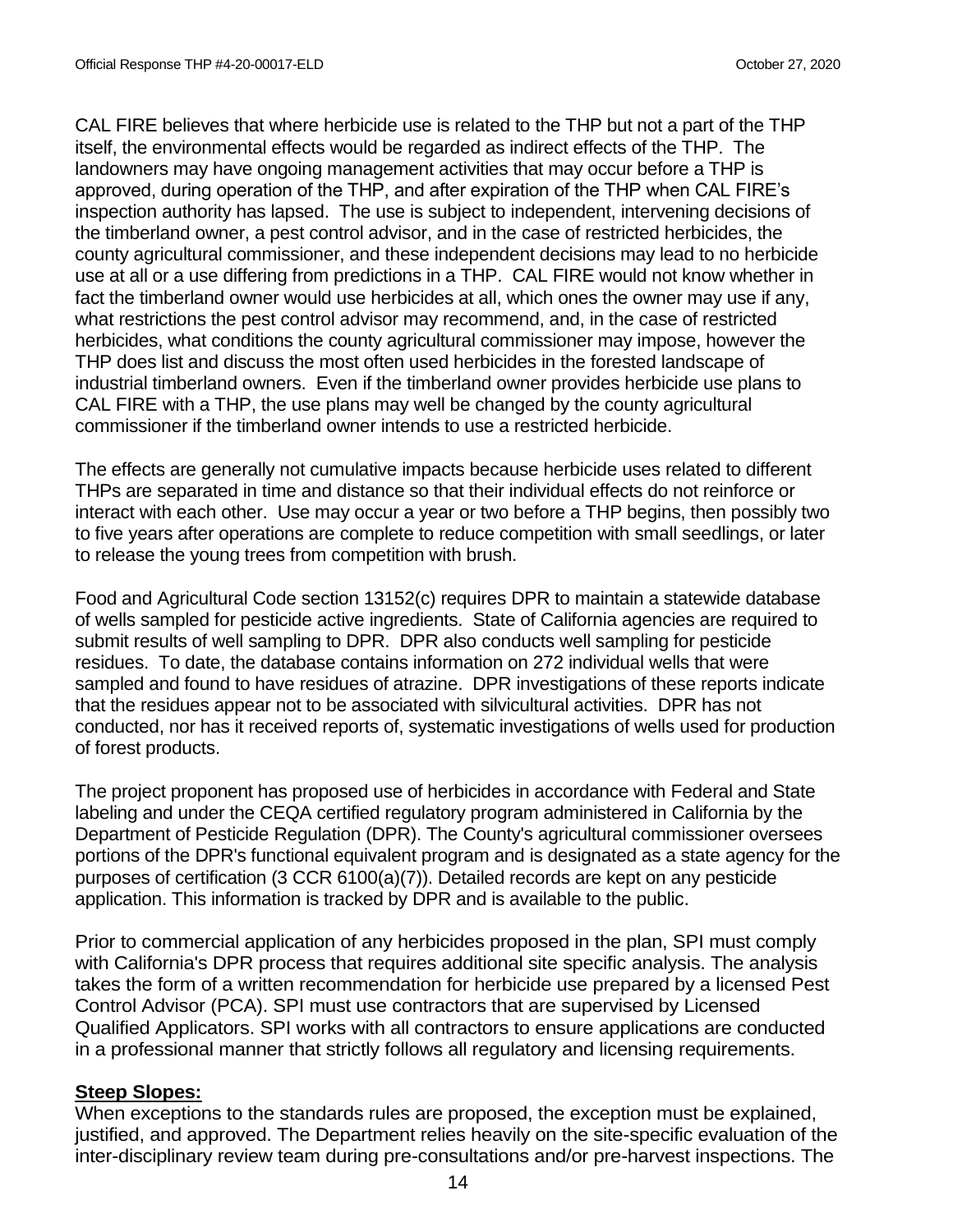CAL FIRE believes that where herbicide use is related to the THP but not a part of the THP itself, the environmental effects would be regarded as indirect effects of the THP. The landowners may have ongoing management activities that may occur before a THP is approved, during operation of the THP, and after expiration of the THP when CAL FIRE's inspection authority has lapsed. The use is subject to independent, intervening decisions of the timberland owner, a pest control advisor, and in the case of restricted herbicides, the county agricultural commissioner, and these independent decisions may lead to no herbicide use at all or a use differing from predictions in a THP. CAL FIRE would not know whether in fact the timberland owner would use herbicides at all, which ones the owner may use if any, what restrictions the pest control advisor may recommend, and, in the case of restricted herbicides, what conditions the county agricultural commissioner may impose, however the THP does list and discuss the most often used herbicides in the forested landscape of industrial timberland owners. Even if the timberland owner provides herbicide use plans to CAL FIRE with a THP, the use plans may well be changed by the county agricultural commissioner if the timberland owner intends to use a restricted herbicide.

The effects are generally not cumulative impacts because herbicide uses related to different THPs are separated in time and distance so that their individual effects do not reinforce or interact with each other. Use may occur a year or two before a THP begins, then possibly two to five years after operations are complete to reduce competition with small seedlings, or later to release the young trees from competition with brush.

Food and Agricultural Code section 13152(c) requires DPR to maintain a statewide database of wells sampled for pesticide active ingredients. State of California agencies are required to submit results of well sampling to DPR. DPR also conducts well sampling for pesticide residues. To date, the database contains information on 272 individual wells that were sampled and found to have residues of atrazine. DPR investigations of these reports indicate that the residues appear not to be associated with silvicultural activities. DPR has not conducted, nor has it received reports of, systematic investigations of wells used for production of forest products.

The project proponent has proposed use of herbicides in accordance with Federal and State labeling and under the CEQA certified regulatory program administered in California by the Department of Pesticide Regulation (DPR). The County's agricultural commissioner oversees portions of the DPR's functional equivalent program and is designated as a state agency for the purposes of certification (3 CCR 6100(a)(7)). Detailed records are kept on any pesticide application. This information is tracked by DPR and is available to the public.

Prior to commercial application of any herbicides proposed in the plan, SPI must comply with California's DPR process that requires additional site specific analysis. The analysis takes the form of a written recommendation for herbicide use prepared by a licensed Pest Control Advisor (PCA). SPI must use contractors that are supervised by Licensed Qualified Applicators. SPI works with all contractors to ensure applications are conducted in a professional manner that strictly follows all regulatory and licensing requirements.

## **Steep Slopes:**

When exceptions to the standards rules are proposed, the exception must be explained, justified, and approved. The Department relies heavily on the site-specific evaluation of the inter-disciplinary review team during pre-consultations and/or pre-harvest inspections. The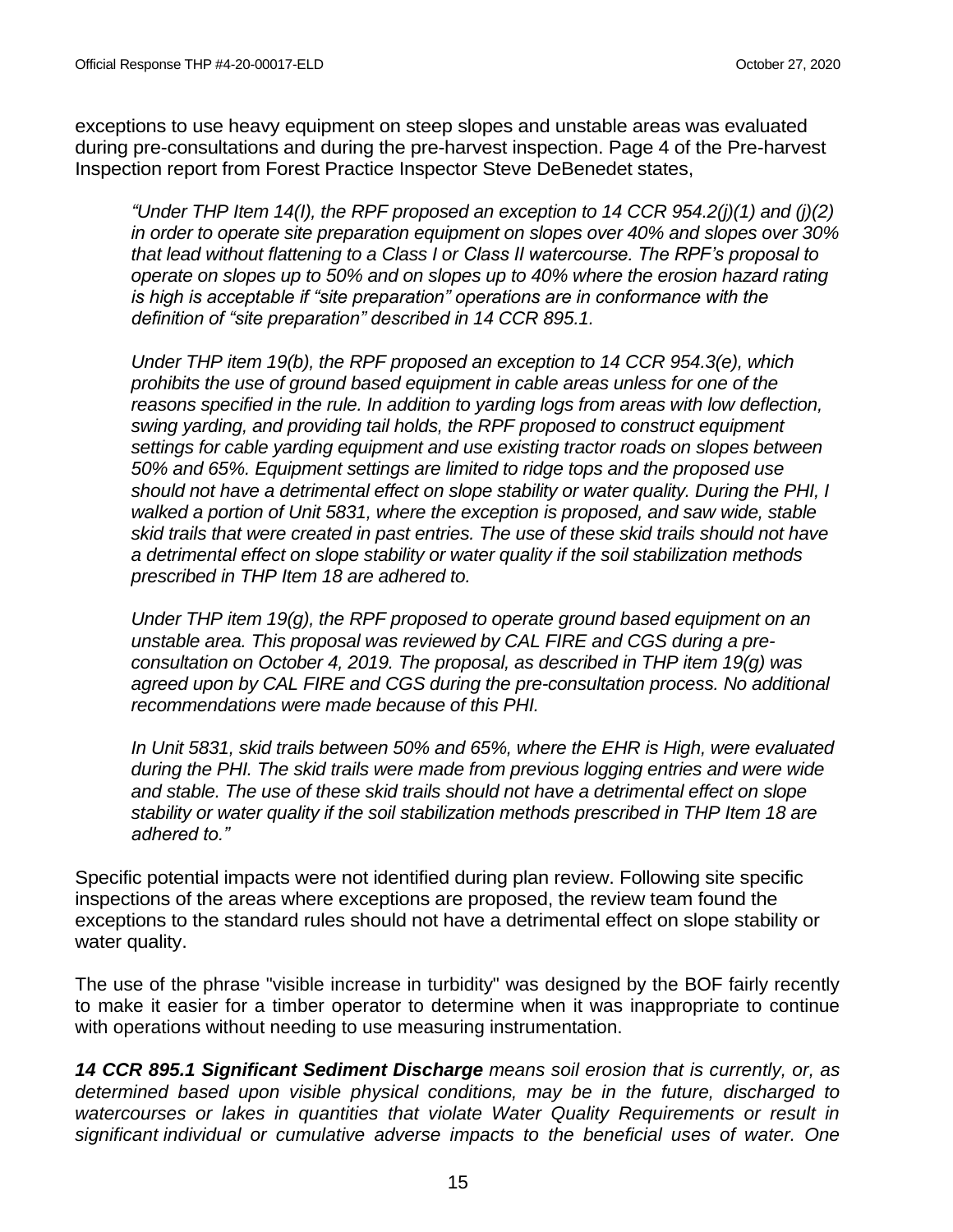exceptions to use heavy equipment on steep slopes and unstable areas was evaluated during pre-consultations and during the pre-harvest inspection. Page 4 of the Pre-harvest Inspection report from Forest Practice Inspector Steve DeBenedet states,

*"Under THP Item 14(I), the RPF proposed an exception to 14 CCR 954.2(j)(1) and (j)(2) in order to operate site preparation equipment on slopes over 40% and slopes over 30% that lead without flattening to a Class I or Class II watercourse. The RPF's proposal to operate on slopes up to 50% and on slopes up to 40% where the erosion hazard rating is high is acceptable if "site preparation" operations are in conformance with the definition of "site preparation" described in 14 CCR 895.1.* 

*Under THP item 19(b), the RPF proposed an exception to 14 CCR 954.3(e), which prohibits the use of ground based equipment in cable areas unless for one of the reasons specified in the rule. In addition to yarding logs from areas with low deflection, swing yarding, and providing tail holds, the RPF proposed to construct equipment settings for cable yarding equipment and use existing tractor roads on slopes between 50% and 65%. Equipment settings are limited to ridge tops and the proposed use should not have a detrimental effect on slope stability or water quality. During the PHI, I walked a portion of Unit 5831, where the exception is proposed, and saw wide, stable skid trails that were created in past entries. The use of these skid trails should not have a detrimental effect on slope stability or water quality if the soil stabilization methods prescribed in THP Item 18 are adhered to.* 

*Under THP item 19(g), the RPF proposed to operate ground based equipment on an unstable area. This proposal was reviewed by CAL FIRE and CGS during a preconsultation on October 4, 2019. The proposal, as described in THP item 19(g) was agreed upon by CAL FIRE and CGS during the pre-consultation process. No additional recommendations were made because of this PHI.*

*In Unit 5831, skid trails between 50% and 65%, where the EHR is High, were evaluated during the PHI. The skid trails were made from previous logging entries and were wide and stable. The use of these skid trails should not have a detrimental effect on slope stability or water quality if the soil stabilization methods prescribed in THP Item 18 are adhered to."*

Specific potential impacts were not identified during plan review. Following site specific inspections of the areas where exceptions are proposed, the review team found the exceptions to the standard rules should not have a detrimental effect on slope stability or water quality.

The use of the phrase "visible increase in turbidity" was designed by the BOF fairly recently to make it easier for a timber operator to determine when it was inappropriate to continue with operations without needing to use measuring instrumentation.

*14 CCR 895.1 Significant Sediment Discharge means soil erosion that is currently, or, as determined based upon visible physical conditions, may be in the future, discharged to watercourses or lakes in quantities that violate Water Quality Requirements or result in significant individual or cumulative adverse impacts to the beneficial uses of water. One*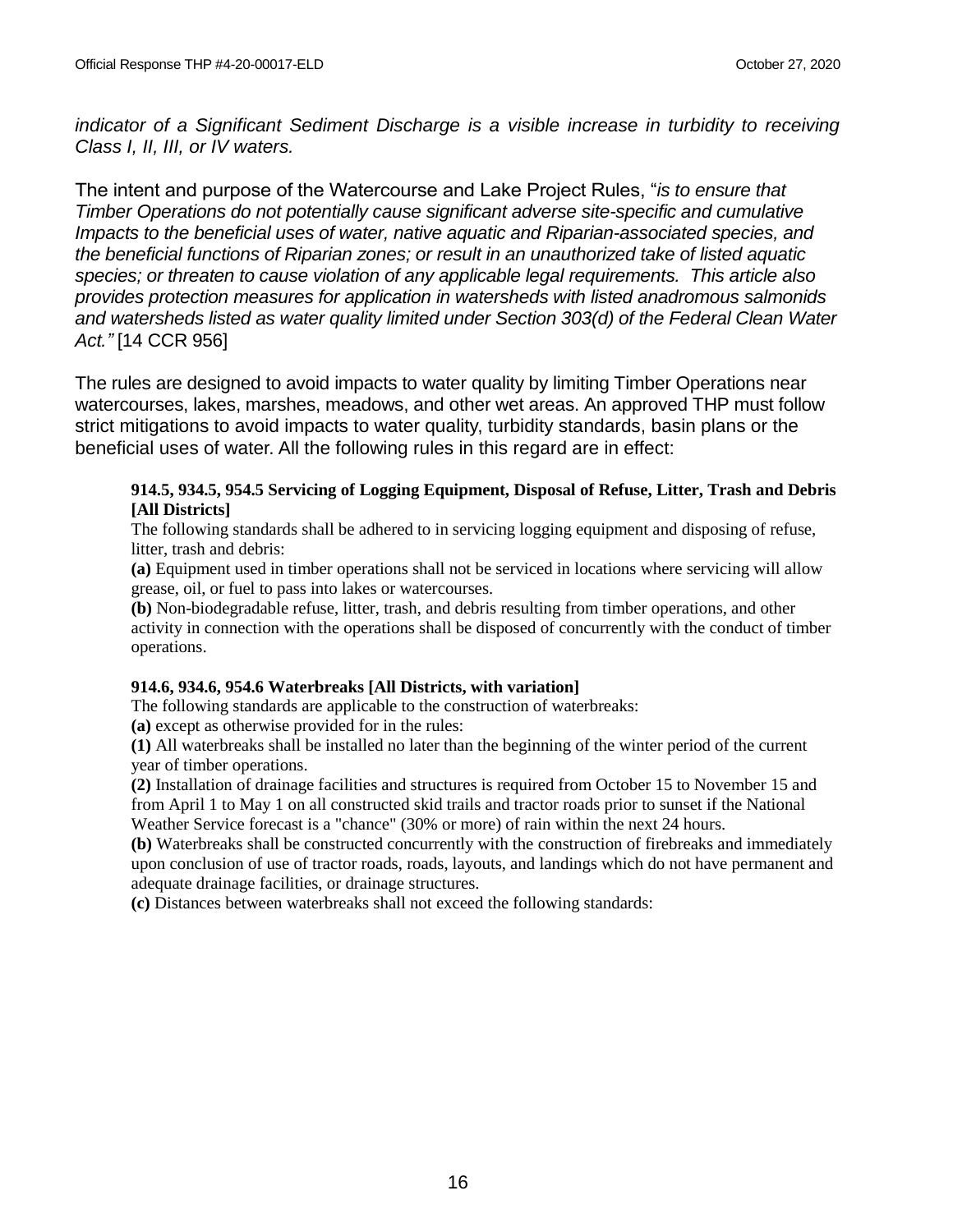*indicator of a Significant Sediment Discharge is a visible increase in turbidity to receiving Class I, II, III, or IV waters.*

The intent and purpose of the Watercourse and Lake Project Rules, "*is to ensure that Timber Operations do not potentially cause significant adverse site-specific and cumulative Impacts to the beneficial uses of water, native aquatic and Riparian-associated species, and the beneficial functions of Riparian zones; or result in an unauthorized take of listed aquatic species; or threaten to cause violation of any applicable legal requirements. This article also provides protection measures for application in watersheds with listed anadromous salmonids and watersheds listed as water quality limited under Section 303(d) of the Federal Clean Water Act."* [14 CCR 956]

The rules are designed to avoid impacts to water quality by limiting Timber Operations near watercourses, lakes, marshes, meadows, and other wet areas. An approved THP must follow strict mitigations to avoid impacts to water quality, turbidity standards, basin plans or the beneficial uses of water. All the following rules in this regard are in effect:

#### **914.5, 934.5, 954.5 Servicing of Logging Equipment, Disposal of Refuse, Litter, Trash and Debris [All Districts]**

The following standards shall be adhered to in servicing logging equipment and disposing of refuse, litter, trash and debris:

**(a)** Equipment used in timber operations shall not be serviced in locations where servicing will allow grease, oil, or fuel to pass into lakes or watercourses.

**(b)** Non-biodegradable refuse, litter, trash, and debris resulting from timber operations, and other activity in connection with the operations shall be disposed of concurrently with the conduct of timber operations.

## **914.6, 934.6, 954.6 Waterbreaks [All Districts, with variation]**

The following standards are applicable to the construction of waterbreaks:

**(a)** except as otherwise provided for in the rules:

**(1)** All waterbreaks shall be installed no later than the beginning of the winter period of the current year of timber operations.

**(2)** Installation of drainage facilities and structures is required from October 15 to November 15 and from April 1 to May 1 on all constructed skid trails and tractor roads prior to sunset if the National Weather Service forecast is a "chance" (30% or more) of rain within the next 24 hours.

**(b)** Waterbreaks shall be constructed concurrently with the construction of firebreaks and immediately upon conclusion of use of tractor roads, roads, layouts, and landings which do not have permanent and adequate drainage facilities, or drainage structures.

**(c)** Distances between waterbreaks shall not exceed the following standards: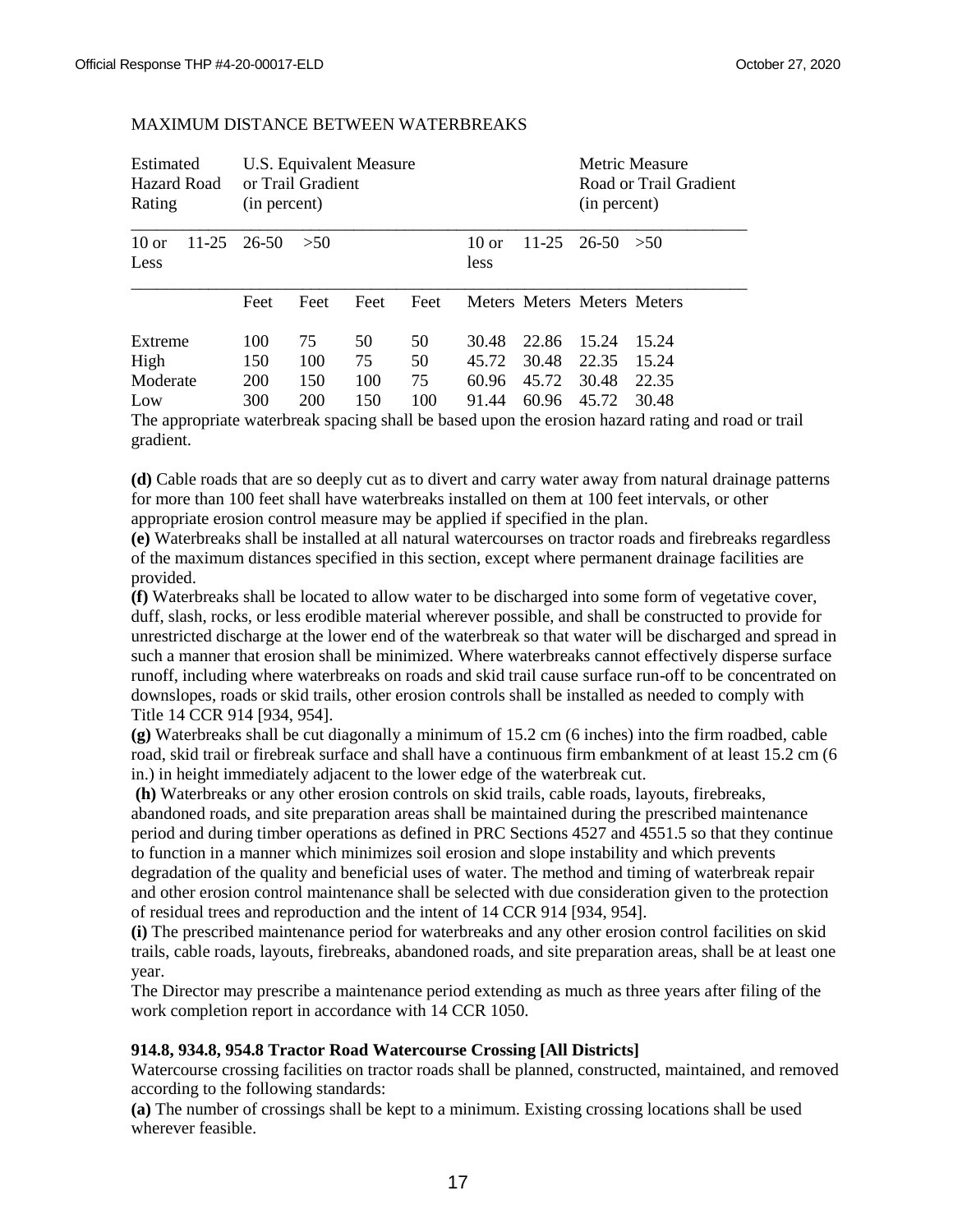| Estimated<br>Hazard Road<br>Rating    | U.S. Equivalent Measure<br>or Trail Gradient<br>(in percent) |                         |                        |                       |                                  | Metric Measure<br>Road or Trail Gradient<br>(in percent) |                                  |                                  |
|---------------------------------------|--------------------------------------------------------------|-------------------------|------------------------|-----------------------|----------------------------------|----------------------------------------------------------|----------------------------------|----------------------------------|
| $10 \text{ or }$<br>$11 - 25$<br>Less | 26-50                                                        | >50                     |                        |                       | $10 \text{ or }$<br>less         | $11-25$ 26-50                                            |                                  | > 50                             |
|                                       | Feet                                                         | Feet                    | Feet                   | Feet                  |                                  |                                                          | Meters Meters Meters Meters      |                                  |
| Extreme<br>High<br>Moderate<br>Low    | 100<br>150<br><b>200</b><br>300                              | 75<br>100<br>150<br>200 | 50<br>75<br>100<br>150 | 50<br>50<br>75<br>100 | 30.48<br>45.72<br>60.96<br>91.44 | 22.86<br>30.48<br>45.72<br>60.96                         | 15.24<br>22.35<br>30.48<br>45.72 | 15.24<br>15.24<br>22.35<br>30.48 |

#### MAXIMUM DISTANCE BETWEEN WATERBREAKS

The appropriate waterbreak spacing shall be based upon the erosion hazard rating and road or trail gradient.

**(d)** Cable roads that are so deeply cut as to divert and carry water away from natural drainage patterns for more than 100 feet shall have waterbreaks installed on them at 100 feet intervals, or other appropriate erosion control measure may be applied if specified in the plan.

**(e)** Waterbreaks shall be installed at all natural watercourses on tractor roads and firebreaks regardless of the maximum distances specified in this section, except where permanent drainage facilities are provided.

**(f)** Waterbreaks shall be located to allow water to be discharged into some form of vegetative cover, duff, slash, rocks, or less erodible material wherever possible, and shall be constructed to provide for unrestricted discharge at the lower end of the waterbreak so that water will be discharged and spread in such a manner that erosion shall be minimized. Where waterbreaks cannot effectively disperse surface runoff, including where waterbreaks on roads and skid trail cause surface run-off to be concentrated on downslopes, roads or skid trails, other erosion controls shall be installed as needed to comply with Title 14 CCR 914 [934, 954].

**(g)** Waterbreaks shall be cut diagonally a minimum of 15.2 cm (6 inches) into the firm roadbed, cable road, skid trail or firebreak surface and shall have a continuous firm embankment of at least 15.2 cm (6 in.) in height immediately adjacent to the lower edge of the waterbreak cut.

**(h)** Waterbreaks or any other erosion controls on skid trails, cable roads, layouts, firebreaks, abandoned roads, and site preparation areas shall be maintained during the prescribed maintenance period and during timber operations as defined in PRC Sections 4527 and 4551.5 so that they continue to function in a manner which minimizes soil erosion and slope instability and which prevents degradation of the quality and beneficial uses of water. The method and timing of waterbreak repair and other erosion control maintenance shall be selected with due consideration given to the protection of residual trees and reproduction and the intent of 14 CCR 914 [934, 954].

**(i)** The prescribed maintenance period for waterbreaks and any other erosion control facilities on skid trails, cable roads, layouts, firebreaks, abandoned roads, and site preparation areas, shall be at least one year.

The Director may prescribe a maintenance period extending as much as three years after filing of the work completion report in accordance with 14 CCR 1050.

#### **914.8, 934.8, 954.8 Tractor Road Watercourse Crossing [All Districts]**

Watercourse crossing facilities on tractor roads shall be planned, constructed, maintained, and removed according to the following standards:

**(a)** The number of crossings shall be kept to a minimum. Existing crossing locations shall be used wherever feasible.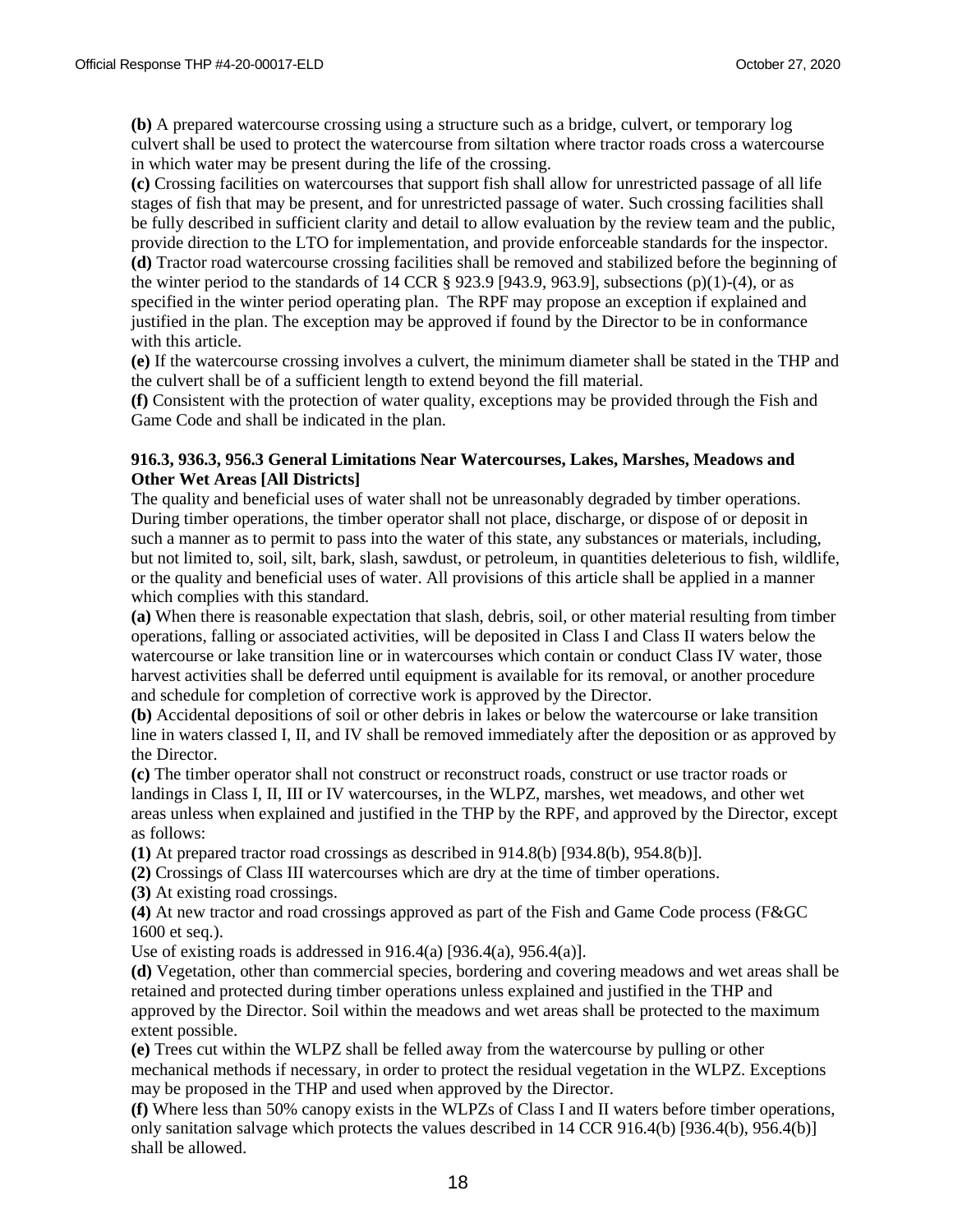**(b)** A prepared watercourse crossing using a structure such as a bridge, culvert, or temporary log culvert shall be used to protect the watercourse from siltation where tractor roads cross a watercourse in which water may be present during the life of the crossing.

**(c)** Crossing facilities on watercourses that support fish shall allow for unrestricted passage of all life stages of fish that may be present, and for unrestricted passage of water. Such crossing facilities shall be fully described in sufficient clarity and detail to allow evaluation by the review team and the public, provide direction to the LTO for implementation, and provide enforceable standards for the inspector. **(d)** Tractor road watercourse crossing facilities shall be removed and stabilized before the beginning of the winter period to the standards of 14 CCR  $\S$  923.9 [943.9, 963.9], subsections (p)(1)-(4), or as specified in the winter period operating plan. The RPF may propose an exception if explained and justified in the plan. The exception may be approved if found by the Director to be in conformance with this article.

**(e)** If the watercourse crossing involves a culvert, the minimum diameter shall be stated in the THP and the culvert shall be of a sufficient length to extend beyond the fill material.

**(f)** Consistent with the protection of water quality, exceptions may be provided through the Fish and Game Code and shall be indicated in the plan.

#### **916.3, 936.3, 956.3 General Limitations Near Watercourses, Lakes, Marshes, Meadows and Other Wet Areas [All Districts]**

The quality and beneficial uses of water shall not be unreasonably degraded by timber operations. During timber operations, the timber operator shall not place, discharge, or dispose of or deposit in such a manner as to permit to pass into the water of this state, any substances or materials, including, but not limited to, soil, silt, bark, slash, sawdust, or petroleum, in quantities deleterious to fish, wildlife, or the quality and beneficial uses of water. All provisions of this article shall be applied in a manner which complies with this standard.

**(a)** When there is reasonable expectation that slash, debris, soil, or other material resulting from timber operations, falling or associated activities, will be deposited in Class I and Class II waters below the watercourse or lake transition line or in watercourses which contain or conduct Class IV water, those harvest activities shall be deferred until equipment is available for its removal, or another procedure and schedule for completion of corrective work is approved by the Director.

**(b)** Accidental depositions of soil or other debris in lakes or below the watercourse or lake transition line in waters classed I, II, and IV shall be removed immediately after the deposition or as approved by the Director.

**(c)** The timber operator shall not construct or reconstruct roads, construct or use tractor roads or landings in Class I, II, III or IV watercourses, in the WLPZ, marshes, wet meadows, and other wet areas unless when explained and justified in the THP by the RPF, and approved by the Director, except as follows:

**(1)** At prepared tractor road crossings as described in 914.8(b) [934.8(b), 954.8(b)].

**(2)** Crossings of Class III watercourses which are dry at the time of timber operations.

**(3)** At existing road crossings.

**(4)** At new tractor and road crossings approved as part of the Fish and Game Code process (F&GC 1600 et seq.).

Use of existing roads is addressed in  $916.4(a)$  [936.4(a), 956.4(a)].

**(d)** Vegetation, other than commercial species, bordering and covering meadows and wet areas shall be retained and protected during timber operations unless explained and justified in the THP and approved by the Director. Soil within the meadows and wet areas shall be protected to the maximum extent possible.

**(e)** Trees cut within the WLPZ shall be felled away from the watercourse by pulling or other mechanical methods if necessary, in order to protect the residual vegetation in the WLPZ. Exceptions may be proposed in the THP and used when approved by the Director.

**(f)** Where less than 50% canopy exists in the WLPZs of Class I and II waters before timber operations, only sanitation salvage which protects the values described in 14 CCR 916.4(b) [936.4(b), 956.4(b)] shall be allowed.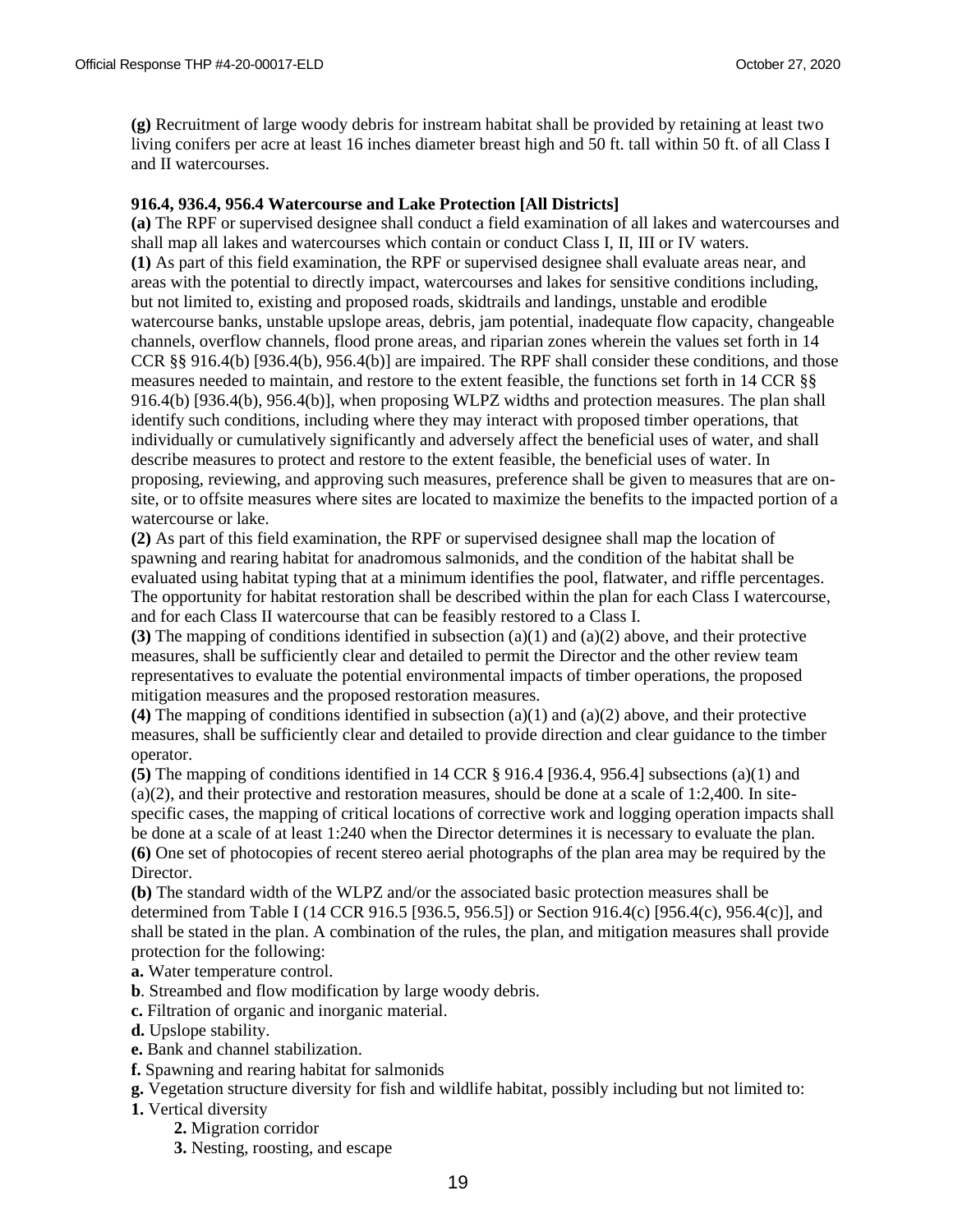**(g)** Recruitment of large woody debris for instream habitat shall be provided by retaining at least two living conifers per acre at least 16 inches diameter breast high and 50 ft. tall within 50 ft. of all Class I and II watercourses.

#### **916.4, 936.4, 956.4 Watercourse and Lake Protection [All Districts]**

**(a)** The RPF or supervised designee shall conduct a field examination of all lakes and watercourses and shall map all lakes and watercourses which contain or conduct Class I, II, III or IV waters. **(1)** As part of this field examination, the RPF or supervised designee shall evaluate areas near, and areas with the potential to directly impact, watercourses and lakes for sensitive conditions including, but not limited to, existing and proposed roads, skidtrails and landings, unstable and erodible watercourse banks, unstable upslope areas, debris, jam potential, inadequate flow capacity, changeable channels, overflow channels, flood prone areas, and riparian zones wherein the values set forth in 14 CCR §§ 916.4(b) [936.4(b), 956.4(b)] are impaired. The RPF shall consider these conditions, and those measures needed to maintain, and restore to the extent feasible, the functions set forth in 14 CCR §§ 916.4(b) [936.4(b), 956.4(b)], when proposing WLPZ widths and protection measures. The plan shall identify such conditions, including where they may interact with proposed timber operations, that individually or cumulatively significantly and adversely affect the beneficial uses of water, and shall describe measures to protect and restore to the extent feasible, the beneficial uses of water. In proposing, reviewing, and approving such measures, preference shall be given to measures that are onsite, or to offsite measures where sites are located to maximize the benefits to the impacted portion of a watercourse or lake.

**(2)** As part of this field examination, the RPF or supervised designee shall map the location of spawning and rearing habitat for anadromous salmonids, and the condition of the habitat shall be evaluated using habitat typing that at a minimum identifies the pool, flatwater, and riffle percentages. The opportunity for habitat restoration shall be described within the plan for each Class I watercourse, and for each Class II watercourse that can be feasibly restored to a Class I.

**(3)** The mapping of conditions identified in subsection (a)(1) and (a)(2) above, and their protective measures, shall be sufficiently clear and detailed to permit the Director and the other review team representatives to evaluate the potential environmental impacts of timber operations, the proposed mitigation measures and the proposed restoration measures.

**(4)** The mapping of conditions identified in subsection (a)(1) and (a)(2) above, and their protective measures, shall be sufficiently clear and detailed to provide direction and clear guidance to the timber operator.

**(5)** The mapping of conditions identified in 14 CCR § 916.4 [936.4, 956.4] subsections (a)(1) and (a)(2), and their protective and restoration measures, should be done at a scale of 1:2,400. In sitespecific cases, the mapping of critical locations of corrective work and logging operation impacts shall be done at a scale of at least 1:240 when the Director determines it is necessary to evaluate the plan. **(6)** One set of photocopies of recent stereo aerial photographs of the plan area may be required by the Director.

**(b)** The standard width of the WLPZ and/or the associated basic protection measures shall be determined from Table I (14 CCR 916.5 [936.5, 956.5]) or Section 916.4(c) [956.4(c), 956.4(c)], and shall be stated in the plan. A combination of the rules, the plan, and mitigation measures shall provide protection for the following:

- **a.** Water temperature control.
- **b**. Streambed and flow modification by large woody debris.
- **c.** Filtration of organic and inorganic material.
- **d.** Upslope stability.
- **e.** Bank and channel stabilization.
- **f.** Spawning and rearing habitat for salmonids
- **g.** Vegetation structure diversity for fish and wildlife habitat, possibly including but not limited to:
- **1.** Vertical diversity
	- **2.** Migration corridor
	- **3.** Nesting, roosting, and escape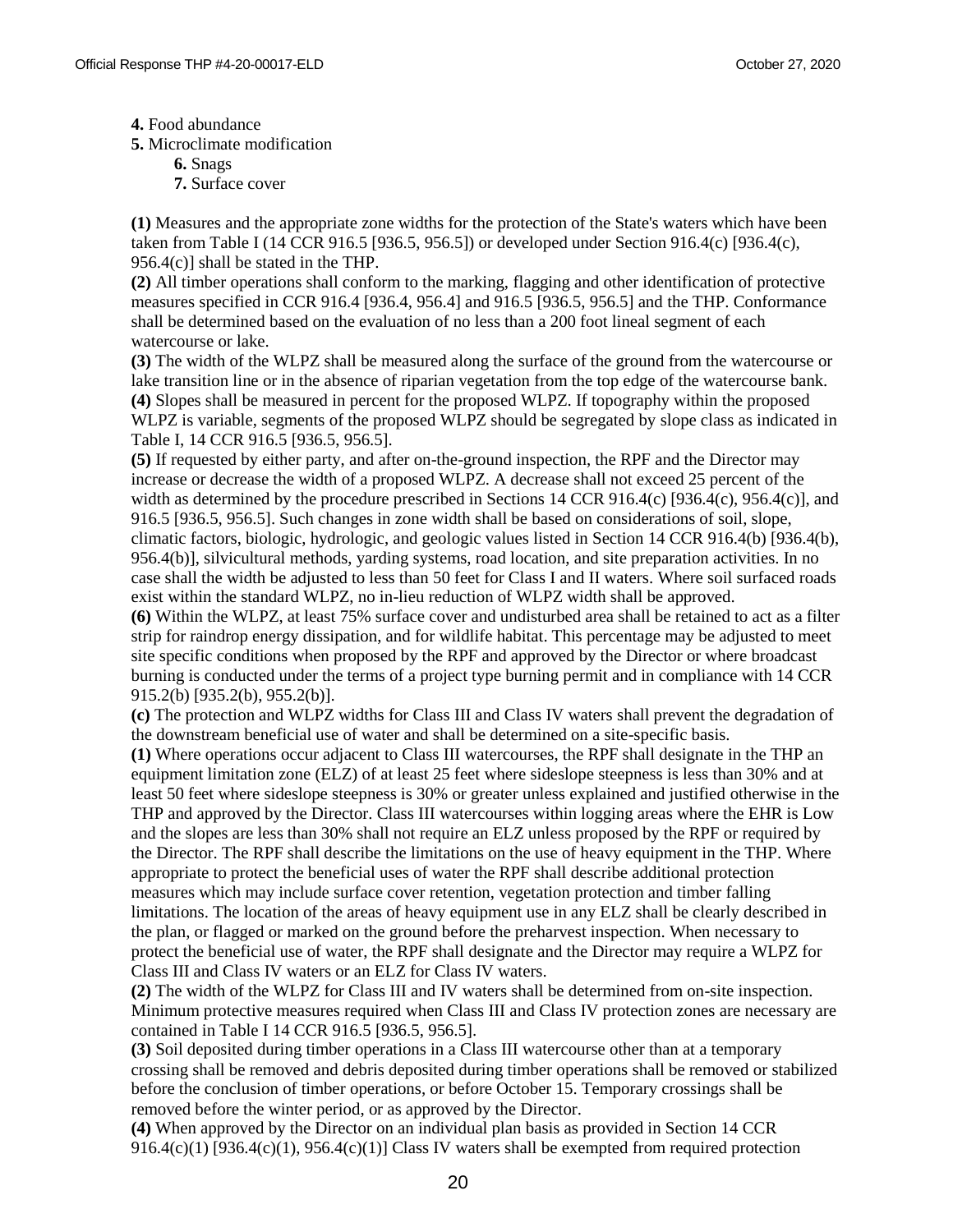**4.** Food abundance

**5.** Microclimate modification

- **6.** Snags
- **7.** Surface cover

**(1)** Measures and the appropriate zone widths for the protection of the State's waters which have been taken from Table I (14 CCR 916.5 [936.5, 956.5]) or developed under Section 916.4(c) [936.4(c), 956.4(c)] shall be stated in the THP.

**(2)** All timber operations shall conform to the marking, flagging and other identification of protective measures specified in CCR 916.4 [936.4, 956.4] and 916.5 [936.5, 956.5] and the THP. Conformance shall be determined based on the evaluation of no less than a 200 foot lineal segment of each watercourse or lake.

**(3)** The width of the WLPZ shall be measured along the surface of the ground from the watercourse or lake transition line or in the absence of riparian vegetation from the top edge of the watercourse bank. **(4)** Slopes shall be measured in percent for the proposed WLPZ. If topography within the proposed WLPZ is variable, segments of the proposed WLPZ should be segregated by slope class as indicated in Table I, 14 CCR 916.5 [936.5, 956.5].

**(5)** If requested by either party, and after on-the-ground inspection, the RPF and the Director may increase or decrease the width of a proposed WLPZ. A decrease shall not exceed 25 percent of the width as determined by the procedure prescribed in Sections 14 CCR 916.4(c) [936.4(c), 956.4(c)], and 916.5 [936.5, 956.5]. Such changes in zone width shall be based on considerations of soil, slope, climatic factors, biologic, hydrologic, and geologic values listed in Section 14 CCR 916.4(b) [936.4(b), 956.4(b)], silvicultural methods, yarding systems, road location, and site preparation activities. In no case shall the width be adjusted to less than 50 feet for Class I and II waters. Where soil surfaced roads exist within the standard WLPZ, no in-lieu reduction of WLPZ width shall be approved.

**(6)** Within the WLPZ, at least 75% surface cover and undisturbed area shall be retained to act as a filter strip for raindrop energy dissipation, and for wildlife habitat. This percentage may be adjusted to meet site specific conditions when proposed by the RPF and approved by the Director or where broadcast burning is conducted under the terms of a project type burning permit and in compliance with 14 CCR 915.2(b) [935.2(b), 955.2(b)].

**(c)** The protection and WLPZ widths for Class III and Class IV waters shall prevent the degradation of the downstream beneficial use of water and shall be determined on a site-specific basis.

**(1)** Where operations occur adjacent to Class III watercourses, the RPF shall designate in the THP an equipment limitation zone (ELZ) of at least 25 feet where sideslope steepness is less than 30% and at least 50 feet where sideslope steepness is 30% or greater unless explained and justified otherwise in the THP and approved by the Director. Class III watercourses within logging areas where the EHR is Low and the slopes are less than 30% shall not require an ELZ unless proposed by the RPF or required by the Director. The RPF shall describe the limitations on the use of heavy equipment in the THP. Where appropriate to protect the beneficial uses of water the RPF shall describe additional protection measures which may include surface cover retention, vegetation protection and timber falling limitations. The location of the areas of heavy equipment use in any ELZ shall be clearly described in the plan, or flagged or marked on the ground before the preharvest inspection. When necessary to protect the beneficial use of water, the RPF shall designate and the Director may require a WLPZ for Class III and Class IV waters or an ELZ for Class IV waters.

**(2)** The width of the WLPZ for Class III and IV waters shall be determined from on-site inspection. Minimum protective measures required when Class III and Class IV protection zones are necessary are contained in Table I 14 CCR 916.5 [936.5, 956.5].

**(3)** Soil deposited during timber operations in a Class III watercourse other than at a temporary crossing shall be removed and debris deposited during timber operations shall be removed or stabilized before the conclusion of timber operations, or before October 15. Temporary crossings shall be removed before the winter period, or as approved by the Director.

**(4)** When approved by the Director on an individual plan basis as provided in Section 14 CCR 916.4(c)(1) [936.4(c)(1), 956.4(c)(1)] Class IV waters shall be exempted from required protection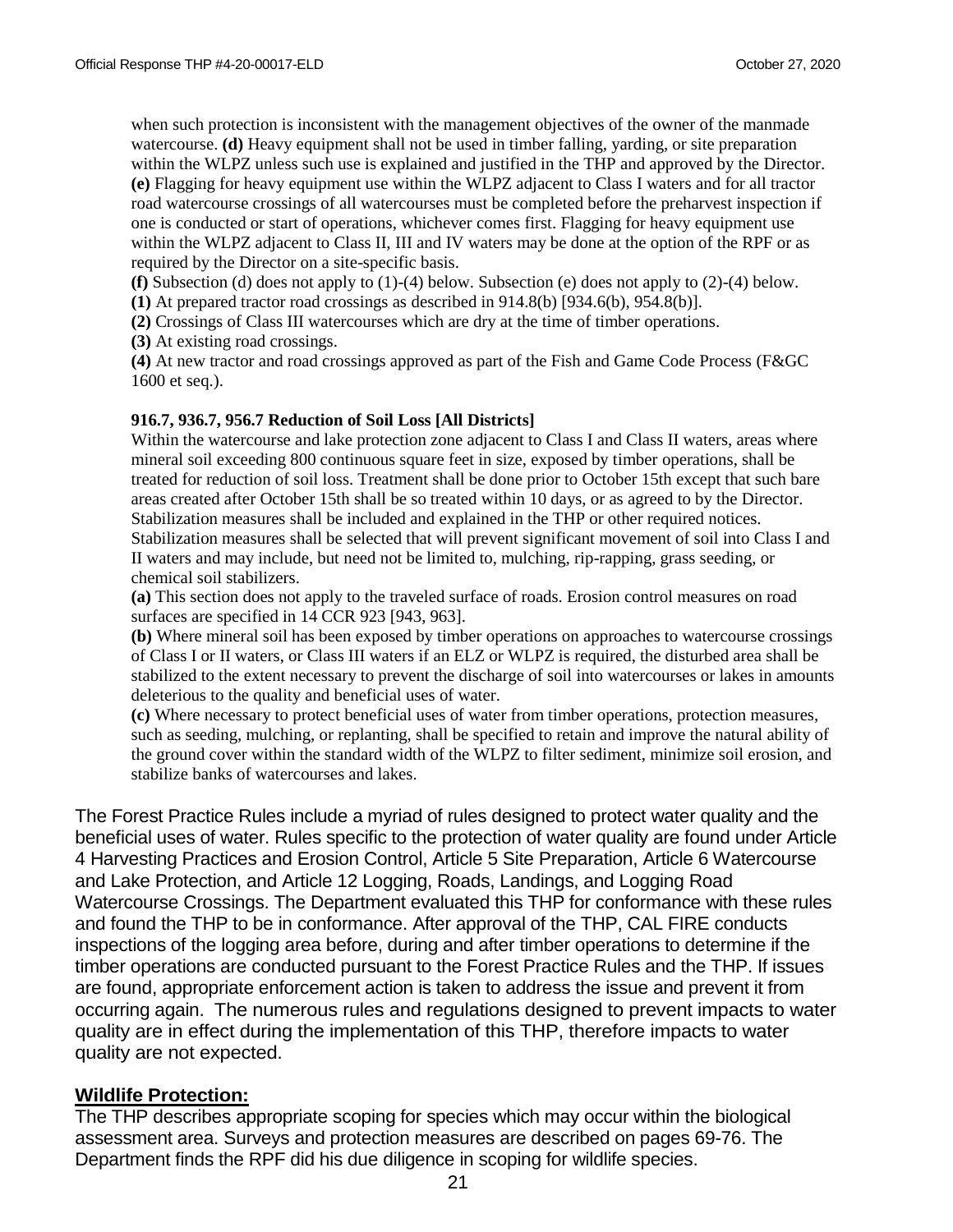when such protection is inconsistent with the management objectives of the owner of the manmade watercourse. **(d)** Heavy equipment shall not be used in timber falling, yarding, or site preparation within the WLPZ unless such use is explained and justified in the THP and approved by the Director. **(e)** Flagging for heavy equipment use within the WLPZ adjacent to Class I waters and for all tractor road watercourse crossings of all watercourses must be completed before the preharvest inspection if one is conducted or start of operations, whichever comes first. Flagging for heavy equipment use within the WLPZ adjacent to Class II, III and IV waters may be done at the option of the RPF or as required by the Director on a site-specific basis.

**(f)** Subsection (d) does not apply to (1)-(4) below. Subsection (e) does not apply to (2)-(4) below.

**(1)** At prepared tractor road crossings as described in 914.8(b) [934.6(b), 954.8(b)].

**(2)** Crossings of Class III watercourses which are dry at the time of timber operations.

**(3)** At existing road crossings.

**(4)** At new tractor and road crossings approved as part of the Fish and Game Code Process (F&GC 1600 et seq.).

#### **916.7, 936.7, 956.7 Reduction of Soil Loss [All Districts]**

Within the watercourse and lake protection zone adjacent to Class I and Class II waters, areas where mineral soil exceeding 800 continuous square feet in size, exposed by timber operations, shall be treated for reduction of soil loss. Treatment shall be done prior to October 15th except that such bare areas created after October 15th shall be so treated within 10 days, or as agreed to by the Director. Stabilization measures shall be included and explained in the THP or other required notices. Stabilization measures shall be selected that will prevent significant movement of soil into Class I and II waters and may include, but need not be limited to, mulching, rip-rapping, grass seeding, or chemical soil stabilizers.

**(a)** This section does not apply to the traveled surface of roads. Erosion control measures on road surfaces are specified in 14 CCR 923 [943, 963].

**(b)** Where mineral soil has been exposed by timber operations on approaches to watercourse crossings of Class I or II waters, or Class III waters if an ELZ or WLPZ is required, the disturbed area shall be stabilized to the extent necessary to prevent the discharge of soil into watercourses or lakes in amounts deleterious to the quality and beneficial uses of water.

**(c)** Where necessary to protect beneficial uses of water from timber operations, protection measures, such as seeding, mulching, or replanting, shall be specified to retain and improve the natural ability of the ground cover within the standard width of the WLPZ to filter sediment, minimize soil erosion, and stabilize banks of watercourses and lakes.

The Forest Practice Rules include a myriad of rules designed to protect water quality and the beneficial uses of water. Rules specific to the protection of water quality are found under Article 4 Harvesting Practices and Erosion Control, Article 5 Site Preparation, Article 6 Watercourse and Lake Protection, and Article 12 Logging, Roads, Landings, and Logging Road Watercourse Crossings. The Department evaluated this THP for conformance with these rules and found the THP to be in conformance. After approval of the THP, CAL FIRE conducts inspections of the logging area before, during and after timber operations to determine if the timber operations are conducted pursuant to the Forest Practice Rules and the THP. If issues are found, appropriate enforcement action is taken to address the issue and prevent it from occurring again. The numerous rules and regulations designed to prevent impacts to water quality are in effect during the implementation of this THP, therefore impacts to water quality are not expected.

#### **Wildlife Protection:**

The THP describes appropriate scoping for species which may occur within the biological assessment area. Surveys and protection measures are described on pages 69-76. The Department finds the RPF did his due diligence in scoping for wildlife species.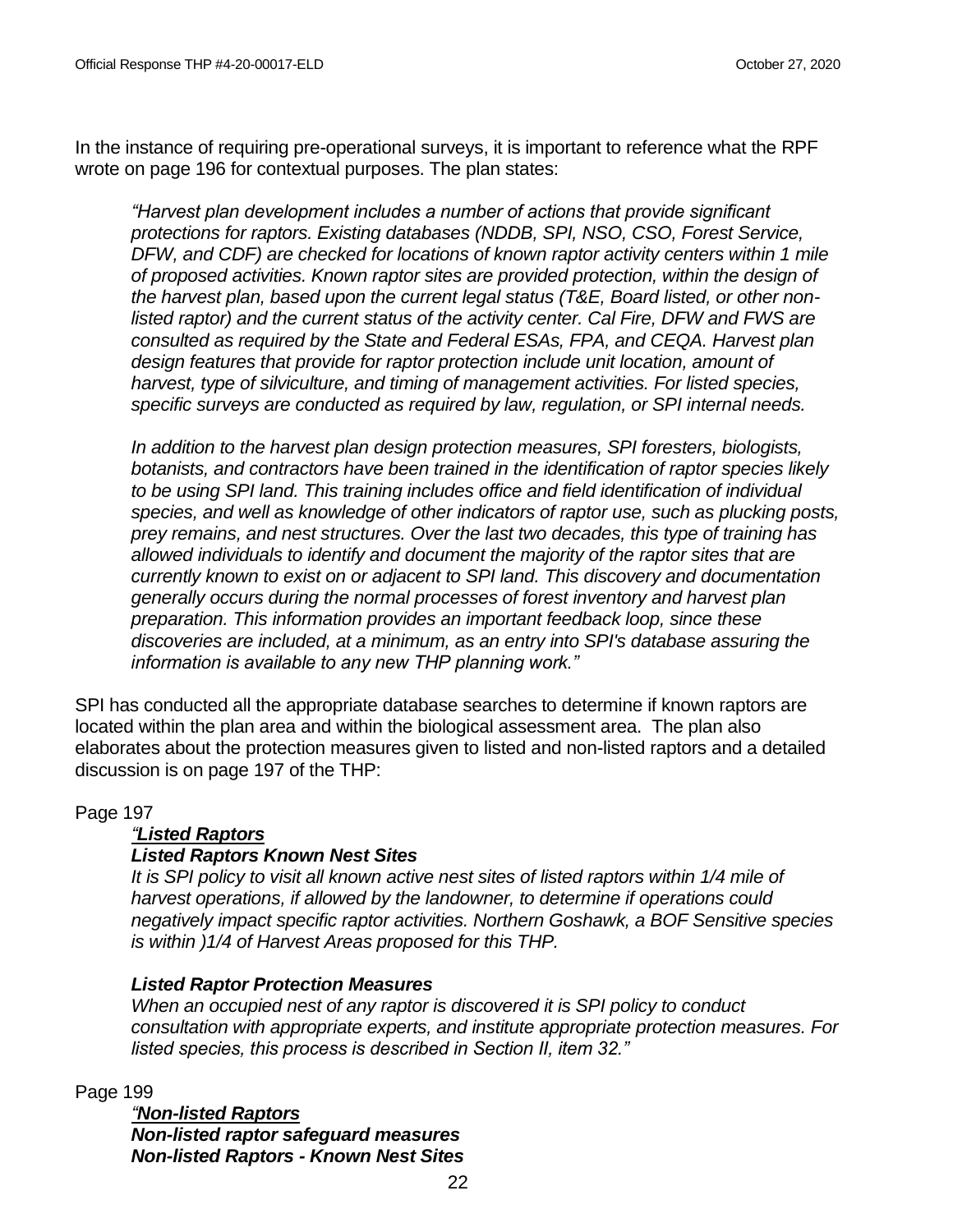In the instance of requiring pre-operational surveys, it is important to reference what the RPF wrote on page 196 for contextual purposes. The plan states:

*"Harvest plan development includes a number of actions that provide significant protections for raptors. Existing databases (NDDB, SPI, NSO, CSO, Forest Service, DFW, and CDF) are checked for locations of known raptor activity centers within 1 mile of proposed activities. Known raptor sites are provided protection, within the design of the harvest plan, based upon the current legal status (T&E, Board listed, or other nonlisted raptor) and the current status of the activity center. Cal Fire, DFW and FWS are consulted as required by the State and Federal ESAs, FPA, and CEQA. Harvest plan design features that provide for raptor protection include unit location, amount of harvest, type of silviculture, and timing of management activities. For listed species, specific surveys are conducted as required by law, regulation, or SPI internal needs.* 

*In addition to the harvest plan design protection measures, SPI foresters, biologists, botanists, and contractors have been trained in the identification of raptor species likely to be using SPI land. This training includes office and field identification of individual species, and well as knowledge of other indicators of raptor use, such as plucking posts, prey remains, and nest structures. Over the last two decades, this type of training has allowed individuals to identify and document the majority of the raptor sites that are currently known to exist on or adjacent to SPI land. This discovery and documentation generally occurs during the normal processes of forest inventory and harvest plan preparation. This information provides an important feedback loop, since these discoveries are included, at a minimum, as an entry into SPI's database assuring the information is available to any new THP planning work."*

SPI has conducted all the appropriate database searches to determine if known raptors are located within the plan area and within the biological assessment area. The plan also elaborates about the protection measures given to listed and non-listed raptors and a detailed discussion is on page 197 of the THP:

## Page 197

## *"Listed Raptors*

## *Listed Raptors Known Nest Sites*

*It is SPI policy to visit all known active nest sites of listed raptors within 1/4 mile of harvest operations, if allowed by the landowner, to determine if operations could negatively impact specific raptor activities. Northern Goshawk, a BOF Sensitive species is within )1/4 of Harvest Areas proposed for this THP.*

## *Listed Raptor Protection Measures*

*When an occupied nest of any raptor is discovered it is SPI policy to conduct consultation with appropriate experts, and institute appropriate protection measures. For listed species, this process is described in Section II, item 32."*

Page 199

*"Non-listed Raptors Non-listed raptor safeguard measures Non-listed Raptors - Known Nest Sites*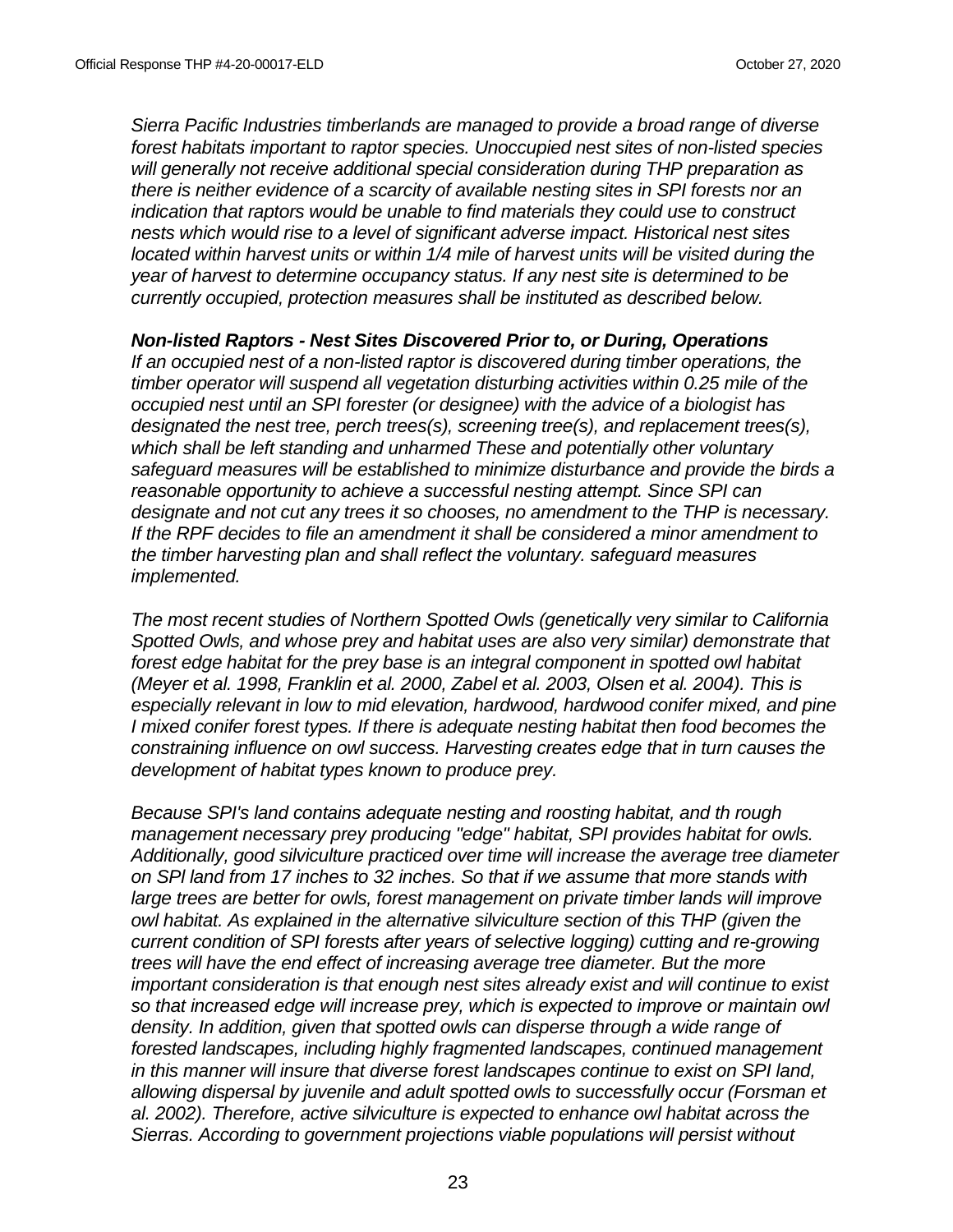*Sierra Pacific Industries timberlands are managed to provide a broad range of diverse forest habitats important to raptor species. Unoccupied nest sites of non-listed species will generally not receive additional special consideration during THP preparation as there is neither evidence of a scarcity of available nesting sites in SPI forests nor an indication that raptors would be unable to find materials they could use to construct nests which would rise to a level of significant adverse impact. Historical nest sites located within harvest units or within 1/4 mile of harvest units will be visited during the year of harvest to determine occupancy status. If any nest site is determined to be currently occupied, protection measures shall be instituted as described below.*

## *Non-listed Raptors - Nest Sites Discovered Prior to, or During, Operations*

*If an occupied nest of a non-listed raptor is discovered during timber operations, the timber operator will suspend all vegetation disturbing activities within 0.25 mile of the occupied nest until an SPI forester (or designee) with the advice of a biologist has designated the nest tree, perch trees(s), screening tree(s), and replacement trees(s), which shall be left standing and unharmed These and potentially other voluntary safeguard measures will be established to minimize disturbance and provide the birds a reasonable opportunity to achieve a successful nesting attempt. Since SPI can designate and not cut any trees it so chooses, no amendment to the THP is necessary. If the RPF decides to file an amendment it shall be considered a minor amendment to the timber harvesting plan and shall reflect the voluntary. safeguard measures implemented.*

*The most recent studies of Northern Spotted Owls (genetically very similar to California Spotted Owls, and whose prey and habitat uses are also very similar) demonstrate that forest edge habitat for the prey base is an integral component in spotted owl habitat (Meyer et al. 1998, Franklin et al. 2000, Zabel et al. 2003, Olsen et al. 2004). This is especially relevant in low to mid elevation, hardwood, hardwood conifer mixed, and pine I mixed conifer forest types. If there is adequate nesting habitat then food becomes the constraining influence on owl success. Harvesting creates edge that in turn causes the development of habitat types known to produce prey.*

*Because SPI's land contains adequate nesting and roosting habitat, and th rough management necessary prey producing "edge" habitat, SPI provides habitat for owls. Additionally, good silviculture practiced over time will increase the average tree diameter on SPl land from 17 inches to 32 inches. So that if we assume that more stands with large trees are better for owls, forest management on private timber lands will improve owl habitat. As explained in the alternative silviculture section of this THP (given the current condition of SPI forests after years of selective logging) cutting and re-growing trees will have the end effect of increasing average tree diameter. But the more important consideration is that enough nest sites already exist and will continue to exist so that increased edge will increase prey, which is expected to improve or maintain owl density. In addition, given that spotted owls can disperse through a wide range of forested landscapes, including highly fragmented landscapes, continued management in this manner will insure that diverse forest landscapes continue to exist on SPI land, allowing dispersal by juvenile and adult spotted owls to successfully occur (Forsman et al. 2002). Therefore, active silviculture is expected to enhance owl habitat across the Sierras. According to government projections viable populations will persist without*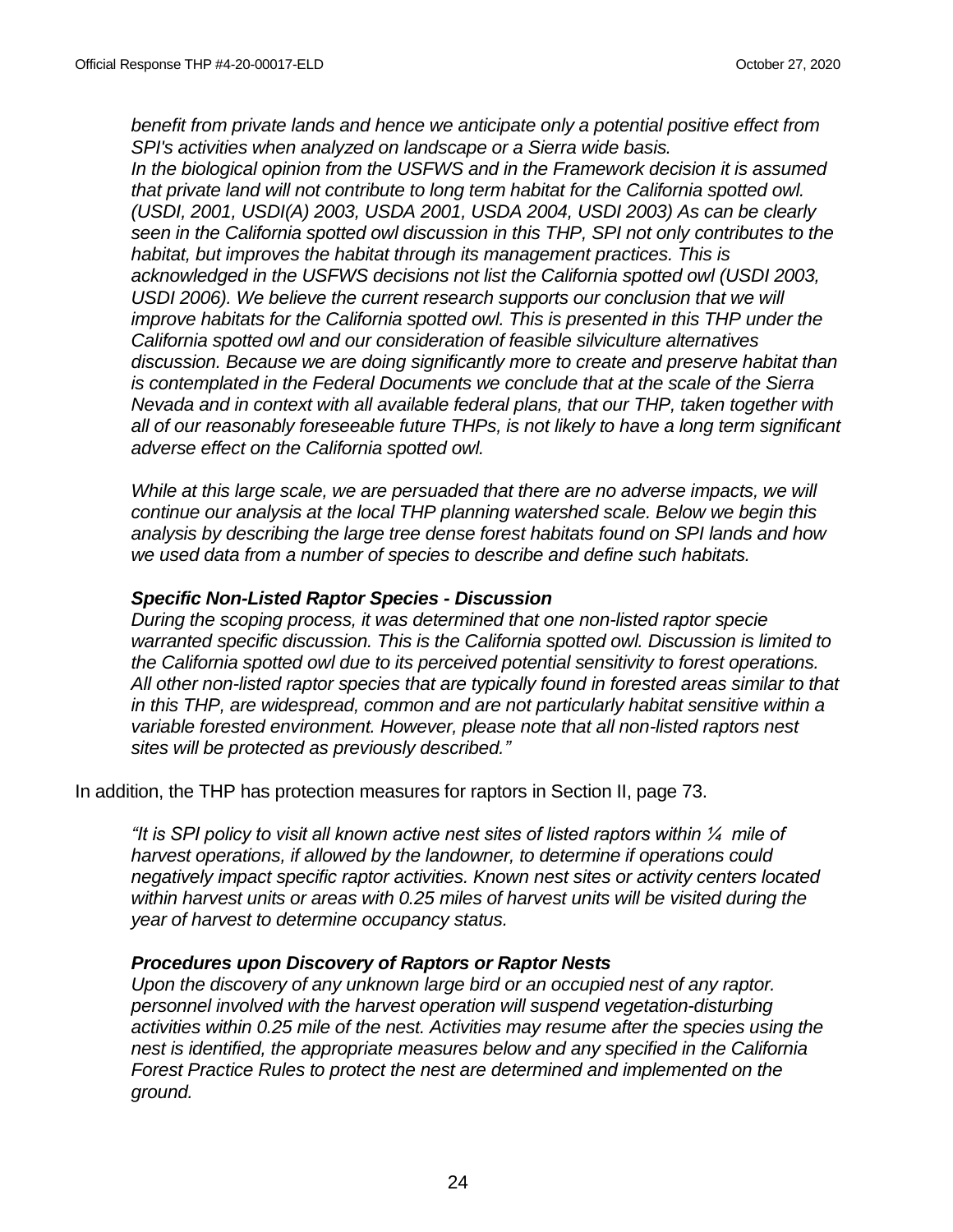*benefit from private lands and hence we anticipate only a potential positive effect from SPI's activities when analyzed on landscape or a Sierra wide basis. In the biological opinion from the USFWS and in the Framework decision it is assumed that private land will not contribute to long term habitat for the California spotted owl. (USDI, 2001, USDI(A) 2003, USDA 2001, USDA 2004, USDI 2003) As can be clearly seen in the California spotted owl discussion in this THP, SPI not only contributes to the habitat, but improves the habitat through its management practices. This is acknowledged in the USFWS decisions not list the California spotted owl (USDI 2003, USDI 2006). We believe the current research supports our conclusion that we will improve habitats for the California spotted owl. This is presented in this THP under the California spotted owl and our consideration of feasible silviculture alternatives discussion. Because we are doing significantly more to create and preserve habitat than is contemplated in the Federal Documents we conclude that at the scale of the Sierra Nevada and in context with all available federal plans, that our THP, taken together with all of our reasonably foreseeable future THPs, is not likely to have a long term significant adverse effect on the California spotted owl.*

*While at this large scale, we are persuaded that there are no adverse impacts, we will continue our analysis at the local THP planning watershed scale. Below we begin this analysis by describing the large tree dense forest habitats found on SPI lands and how we used data from a number of species to describe and define such habitats.*

## *Specific Non-Listed Raptor Species - Discussion*

*During the scoping process, it was determined that one non-listed raptor specie warranted specific discussion. This is the California spotted owl. Discussion is limited to the California spotted owl due to its perceived potential sensitivity to forest operations. All other non-listed raptor species that are typically found in forested areas similar to that in this THP, are widespread, common and are not particularly habitat sensitive within a variable forested environment. However, please note that all non-listed raptors nest sites will be protected as previously described."*

In addition, the THP has protection measures for raptors in Section II, page 73.

*"It is SPI policy to visit all known active nest sites of listed raptors within ¼ mile of harvest operations, if allowed by the landowner, to determine if operations could negatively impact specific raptor activities. Known nest sites or activity centers located within harvest units or areas with 0.25 miles of harvest units will be visited during the year of harvest to determine occupancy status.*

## *Procedures upon Discovery of Raptors or Raptor Nests*

*Upon the discovery of any unknown large bird or an occupied nest of any raptor. personnel involved with the harvest operation will suspend vegetation-disturbing activities within 0.25 mile of the nest. Activities may resume after the species using the nest is identified, the appropriate measures below and any specified in the California Forest Practice Rules to protect the nest are determined and implemented on the ground.*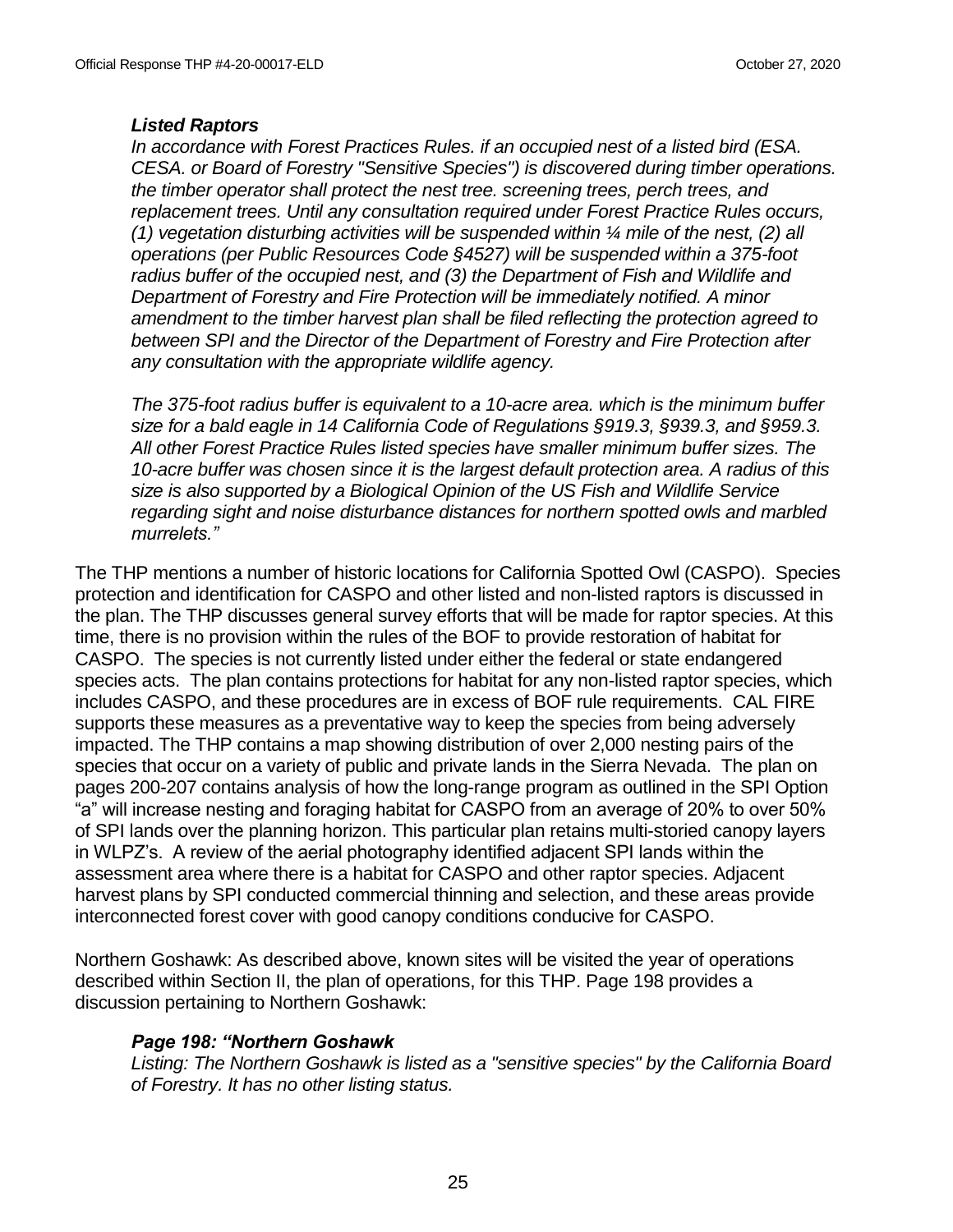## *Listed Raptors*

*In accordance with Forest Practices Rules. if an occupied nest of a listed bird (ESA. CESA. or Board of Forestry "Sensitive Species") is discovered during timber operations. the timber operator shall protect the nest tree. screening trees, perch trees, and replacement trees. Until any consultation required under Forest Practice Rules occurs, (1) vegetation disturbing activities will be suspended within ¼ mile of the nest, (2) all operations (per Public Resources Code §4527) will be suspended within a 375-foot radius buffer of the occupied nest, and (3) the Department of Fish and Wildlife and Department of Forestry and Fire Protection will be immediately notified. A minor amendment to the timber harvest plan shall be filed reflecting the protection agreed to between SPI and the Director of the Department of Forestry and Fire Protection after any consultation with the appropriate wildlife agency.*

*The 375-foot radius buffer is equivalent to a 10-acre area. which is the minimum buffer size for a bald eagle in 14 California Code of Regulations §919.3, §939.3, and §959.3. All other Forest Practice Rules listed species have smaller minimum buffer sizes. The 10-acre buffer was chosen since it is the largest default protection area. A radius of this size is also supported by a Biological Opinion of the US Fish and Wildlife Service regarding sight and noise disturbance distances for northern spotted owls and marbled murrelets."*

The THP mentions a number of historic locations for California Spotted Owl (CASPO). Species protection and identification for CASPO and other listed and non-listed raptors is discussed in the plan. The THP discusses general survey efforts that will be made for raptor species. At this time, there is no provision within the rules of the BOF to provide restoration of habitat for CASPO. The species is not currently listed under either the federal or state endangered species acts. The plan contains protections for habitat for any non-listed raptor species, which includes CASPO, and these procedures are in excess of BOF rule requirements. CAL FIRE supports these measures as a preventative way to keep the species from being adversely impacted. The THP contains a map showing distribution of over 2,000 nesting pairs of the species that occur on a variety of public and private lands in the Sierra Nevada. The plan on pages 200-207 contains analysis of how the long-range program as outlined in the SPI Option "a" will increase nesting and foraging habitat for CASPO from an average of 20% to over 50% of SPI lands over the planning horizon. This particular plan retains multi-storied canopy layers in WLPZ's. A review of the aerial photography identified adjacent SPI lands within the assessment area where there is a habitat for CASPO and other raptor species. Adjacent harvest plans by SPI conducted commercial thinning and selection, and these areas provide interconnected forest cover with good canopy conditions conducive for CASPO.

Northern Goshawk: As described above, known sites will be visited the year of operations described within Section II, the plan of operations, for this THP. Page 198 provides a discussion pertaining to Northern Goshawk:

## *Page 198: "Northern Goshawk*

*Listing: The Northern Goshawk is listed as a "sensitive species" by the California Board of Forestry. It has no other listing status.*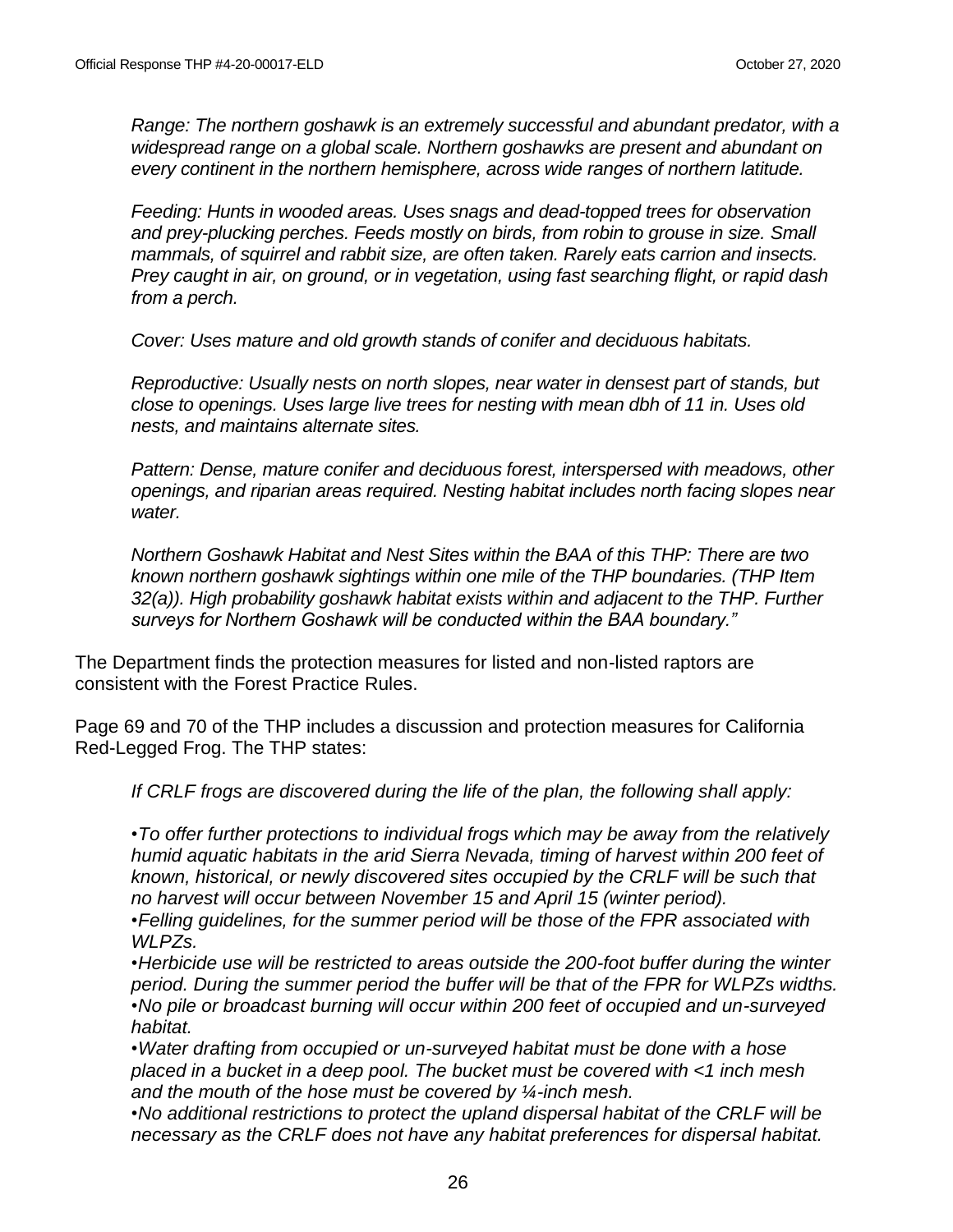*Range: The northern goshawk is an extremely successful and abundant predator, with a widespread range on a global scale. Northern goshawks are present and abundant on every continent in the northern hemisphere, across wide ranges of northern latitude.*

*Feeding: Hunts in wooded areas. Uses snags and dead-topped trees for observation and prey-plucking perches. Feeds mostly on birds, from robin to grouse in size. Small mammals, of squirrel and rabbit size, are often taken. Rarely eats carrion and insects. Prey caught in air, on ground, or in vegetation, using fast searching flight, or rapid dash from a perch.*

*Cover: Uses mature and old growth stands of conifer and deciduous habitats.*

*Reproductive: Usually nests on north slopes, near water in densest part of stands, but close to openings. Uses large live trees for nesting with mean dbh of 11 in. Uses old nests, and maintains alternate sites.*

*Pattern: Dense, mature conifer and deciduous forest, interspersed with meadows, other openings, and riparian areas required. Nesting habitat includes north facing slopes near water.*

*Northern Goshawk Habitat and Nest Sites within the BAA of this THP: There are two known northern goshawk sightings within one mile of the THP boundaries. (THP Item 32(a)). High probability goshawk habitat exists within and adjacent to the THP. Further surveys for Northern Goshawk will be conducted within the BAA boundary."*

The Department finds the protection measures for listed and non-listed raptors are consistent with the Forest Practice Rules.

Page 69 and 70 of the THP includes a discussion and protection measures for California Red-Legged Frog. The THP states:

*If CRLF frogs are discovered during the life of the plan, the following shall apply:*

*•To offer further protections to individual frogs which may be away from the relatively humid aquatic habitats in the arid Sierra Nevada, timing of harvest within 200 feet of known, historical, or newly discovered sites occupied by the CRLF will be such that no harvest will occur between November 15 and April 15 (winter period).*

*•Felling guidelines, for the summer period will be those of the FPR associated with WLPZs.*

*•Herbicide use will be restricted to areas outside the 200-foot buffer during the winter period. During the summer period the buffer will be that of the FPR for WLPZs widths. •No pile or broadcast burning will occur within 200 feet of occupied and un-surveyed habitat.*

*•Water drafting from occupied or un-surveyed habitat must be done with a hose placed in a bucket in a deep pool. The bucket must be covered with <1 inch mesh and the mouth of the hose must be covered by ¼-inch mesh.*

*•No additional restrictions to protect the upland dispersal habitat of the CRLF will be necessary as the CRLF does not have any habitat preferences for dispersal habitat.*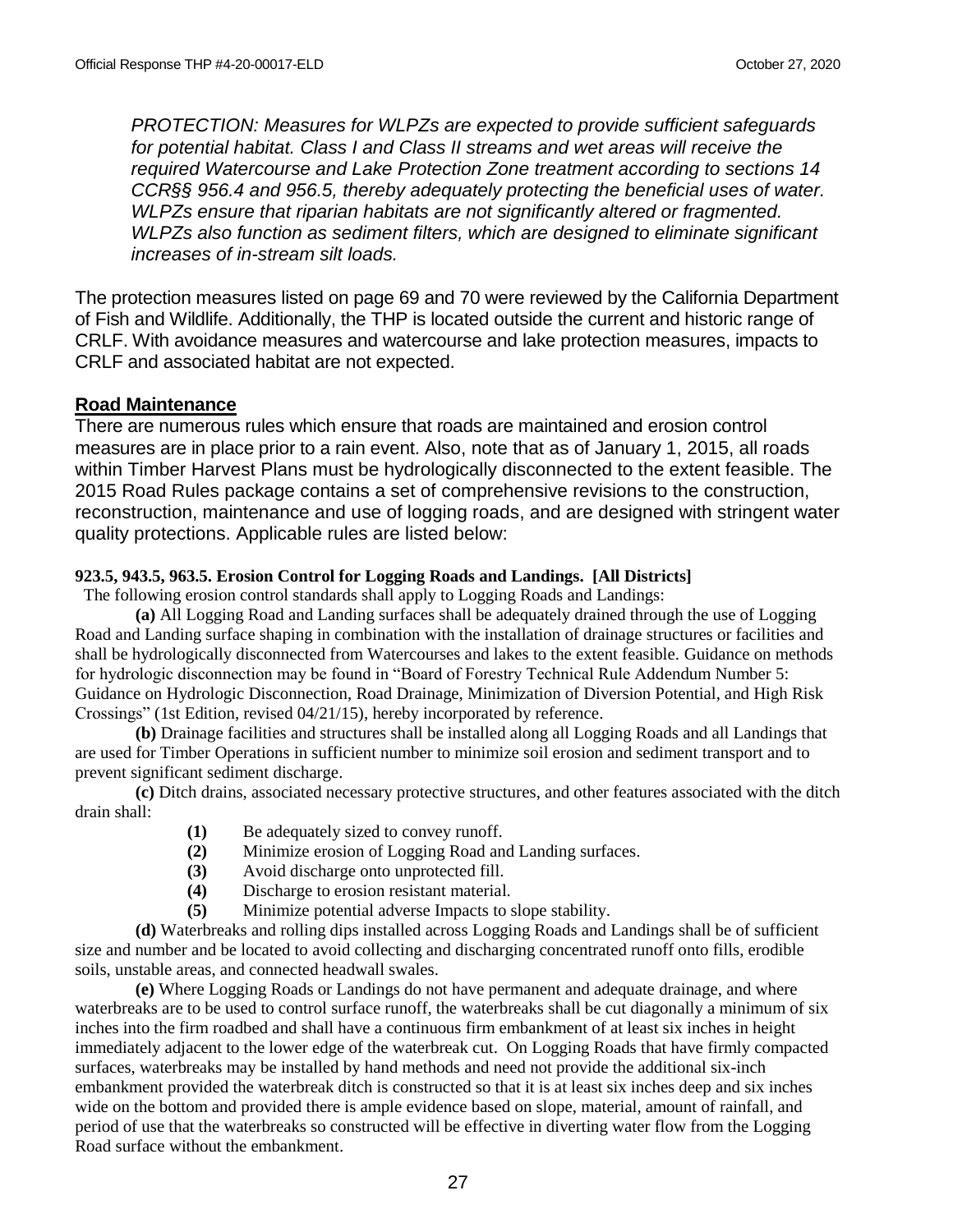*PROTECTION: Measures for WLPZs are expected to provide sufficient safeguards for potential habitat. Class I and Class II streams and wet areas will receive the required Watercourse and Lake Protection Zone treatment according to sections 14 CCR§§ 956.4 and 956.5, thereby adequately protecting the beneficial uses of water. WLPZs ensure that riparian habitats are not significantly altered or fragmented. WLPZs also function as sediment filters, which are designed to eliminate significant increases of in-stream silt loads.*

The protection measures listed on page 69 and 70 were reviewed by the California Department of Fish and Wildlife. Additionally, the THP is located outside the current and historic range of CRLF. With avoidance measures and watercourse and lake protection measures, impacts to CRLF and associated habitat are not expected.

## **Road Maintenance**

There are numerous rules which ensure that roads are maintained and erosion control measures are in place prior to a rain event. Also, note that as of January 1, 2015, all roads within Timber Harvest Plans must be hydrologically disconnected to the extent feasible. The 2015 Road Rules package contains a set of comprehensive revisions to the construction, reconstruction, maintenance and use of logging roads, and are designed with stringent water quality protections. Applicable rules are listed below:

#### **923.5, 943.5, 963.5. Erosion Control for Logging Roads and Landings. [All Districts]**

The following erosion control standards shall apply to Logging Roads and Landings:

**(a)** All Logging Road and Landing surfaces shall be adequately drained through the use of Logging Road and Landing surface shaping in combination with the installation of drainage structures or facilities and shall be hydrologically disconnected from Watercourses and lakes to the extent feasible. Guidance on methods for hydrologic disconnection may be found in "Board of Forestry Technical Rule Addendum Number 5: Guidance on Hydrologic Disconnection, Road Drainage, Minimization of Diversion Potential, and High Risk Crossings" (1st Edition, revised 04/21/15), hereby incorporated by reference.

**(b)** Drainage facilities and structures shall be installed along all Logging Roads and all Landings that are used for Timber Operations in sufficient number to minimize soil erosion and sediment transport and to prevent significant sediment discharge.

**(c)** Ditch drains, associated necessary protective structures, and other features associated with the ditch drain shall:

- **(1)** Be adequately sized to convey runoff.
- **(2)** Minimize erosion of Logging Road and Landing surfaces.
- **(3)** Avoid discharge onto unprotected fill.
- **(4)** Discharge to erosion resistant material.
- **(5)** Minimize potential adverse Impacts to slope stability.

**(d)** Waterbreaks and rolling dips installed across Logging Roads and Landings shall be of sufficient size and number and be located to avoid collecting and discharging concentrated runoff onto fills, erodible soils, unstable areas, and connected headwall swales.

**(e)** Where Logging Roads or Landings do not have permanent and adequate drainage, and where waterbreaks are to be used to control surface runoff, the waterbreaks shall be cut diagonally a minimum of six inches into the firm roadbed and shall have a continuous firm embankment of at least six inches in height immediately adjacent to the lower edge of the waterbreak cut. On Logging Roads that have firmly compacted surfaces, waterbreaks may be installed by hand methods and need not provide the additional six-inch embankment provided the waterbreak ditch is constructed so that it is at least six inches deep and six inches wide on the bottom and provided there is ample evidence based on slope, material, amount of rainfall, and period of use that the waterbreaks so constructed will be effective in diverting water flow from the Logging Road surface without the embankment.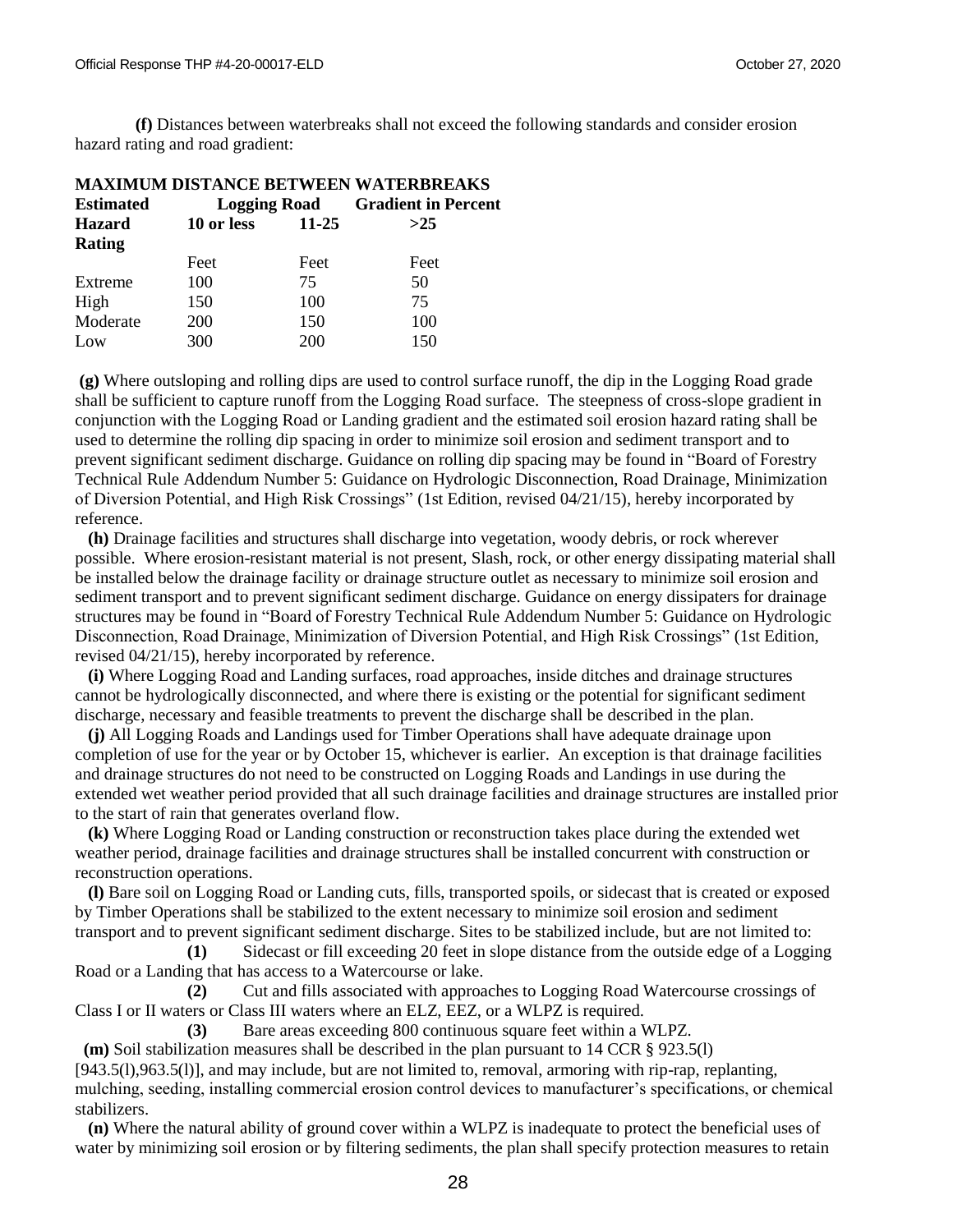**(f)** Distances between waterbreaks shall not exceed the following standards and consider erosion hazard rating and road gradient:

| <b>MAXIMUM DISTANCE BETWEEN WATERBREAKS</b> |            |       |                                         |  |  |  |
|---------------------------------------------|------------|-------|-----------------------------------------|--|--|--|
| <b>Estimated</b>                            |            |       | <b>Logging Road</b> Gradient in Percent |  |  |  |
| <b>Hazard</b>                               | 10 or less | 11-25 | >25                                     |  |  |  |
| Rating                                      |            |       |                                         |  |  |  |
|                                             | Feet       | Feet  | Feet                                    |  |  |  |
| Extreme                                     | 100        | 75    | 50                                      |  |  |  |
| High                                        | 150        | 100   | 75                                      |  |  |  |
| Moderate                                    | <b>200</b> | 150   | 100                                     |  |  |  |
| Low                                         | 300        | 200   | 150                                     |  |  |  |

**(g)** Where outsloping and rolling dips are used to control surface runoff, the dip in the Logging Road grade shall be sufficient to capture runoff from the Logging Road surface. The steepness of cross-slope gradient in conjunction with the Logging Road or Landing gradient and the estimated soil erosion hazard rating shall be used to determine the rolling dip spacing in order to minimize soil erosion and sediment transport and to prevent significant sediment discharge. Guidance on rolling dip spacing may be found in "Board of Forestry Technical Rule Addendum Number 5: Guidance on Hydrologic Disconnection, Road Drainage, Minimization of Diversion Potential, and High Risk Crossings" (1st Edition, revised 04/21/15), hereby incorporated by reference.

 **(h)** Drainage facilities and structures shall discharge into vegetation, woody debris, or rock wherever possible. Where erosion-resistant material is not present, Slash, rock, or other energy dissipating material shall be installed below the drainage facility or drainage structure outlet as necessary to minimize soil erosion and sediment transport and to prevent significant sediment discharge. Guidance on energy dissipaters for drainage structures may be found in "Board of Forestry Technical Rule Addendum Number 5: Guidance on Hydrologic Disconnection, Road Drainage, Minimization of Diversion Potential, and High Risk Crossings" (1st Edition, revised 04/21/15), hereby incorporated by reference.

 **(i)** Where Logging Road and Landing surfaces, road approaches, inside ditches and drainage structures cannot be hydrologically disconnected, and where there is existing or the potential for significant sediment discharge, necessary and feasible treatments to prevent the discharge shall be described in the plan.

 **(j)** All Logging Roads and Landings used for Timber Operations shall have adequate drainage upon completion of use for the year or by October 15*,* whichever is earlier. An exception is that drainage facilities and drainage structures do not need to be constructed on Logging Roads and Landings in use during the extended wet weather period provided that all such drainage facilities and drainage structures are installed prior to the start of rain that generates overland flow.

 **(k)** Where Logging Road or Landing construction or reconstruction takes place during the extended wet weather period, drainage facilities and drainage structures shall be installed concurrent with construction or reconstruction operations.

 **(l)** Bare soil on Logging Road or Landing cuts, fills, transported spoils, or sidecast that is created or exposed by Timber Operations shall be stabilized to the extent necessary to minimize soil erosion and sediment transport and to prevent significant sediment discharge. Sites to be stabilized include, but are not limited to:

**(1)** Sidecast or fill exceeding 20 feet in slope distance from the outside edge of a Logging Road or a Landing that has access to a Watercourse or lake.

**(2)** Cut and fills associated with approaches to Logging Road Watercourse crossings of Class I or II waters or Class III waters where an ELZ, EEZ, or a WLPZ is required.

**(3)** Bare areas exceeding 800 continuous square feet within a WLPZ.

 **(m)** Soil stabilization measures shall be described in the plan pursuant to 14 CCR § 923.5(l)

[943.5(l),963.5(l)], and may include, but are not limited to, removal, armoring with rip-rap, replanting, mulching, seeding, installing commercial erosion control devices to manufacturer's specifications, or chemical stabilizers.

 **(n)** Where the natural ability of ground cover within a WLPZ is inadequate to protect the beneficial uses of water by minimizing soil erosion or by filtering sediments, the plan shall specify protection measures to retain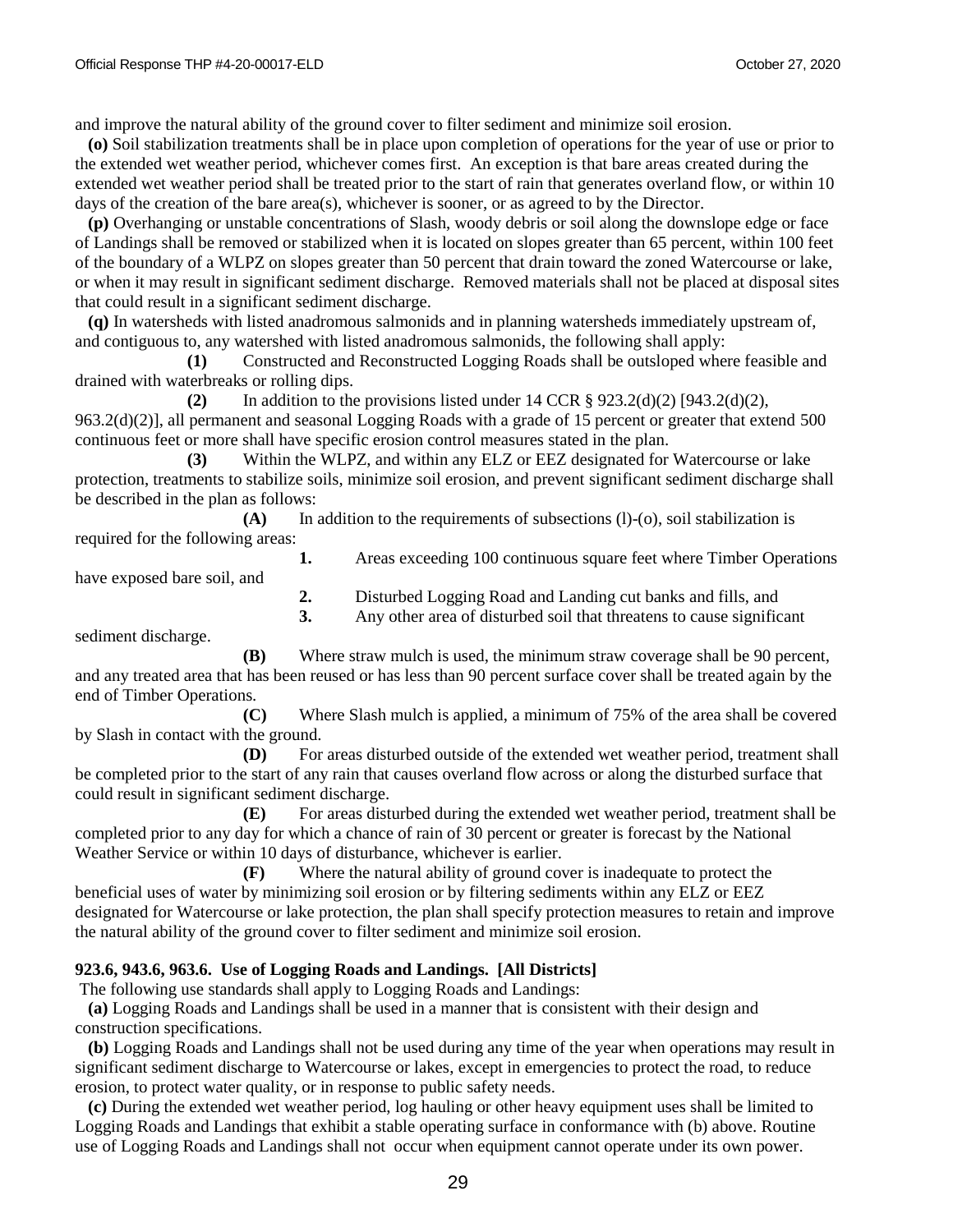and improve the natural ability of the ground cover to filter sediment and minimize soil erosion.

 **(o)** Soil stabilization treatments shall be in place upon completion of operations for the year of use or prior to the extended wet weather period, whichever comes first. An exception is that bare areas created during the extended wet weather period shall be treated prior to the start of rain that generates overland flow, or within 10 days of the creation of the bare area(s), whichever is sooner, or as agreed to by the Director.

 **(p)** Overhanging or unstable concentrations of Slash, woody debris or soil along the downslope edge or face of Landings shall be removed or stabilized when it is located on slopes greater than 65 percent, within 100 feet of the boundary of a WLPZ on slopes greater than 50 percent that drain toward the zoned Watercourse or lake, or when it may result in significant sediment discharge. Removed materials shall not be placed at disposal sites that could result in a significant sediment discharge.

 **(q)** In watersheds with listed anadromous salmonids and in planning watersheds immediately upstream of, and contiguous to, any watershed with listed anadromous salmonids, the following shall apply:

**(1)** Constructed and Reconstructed Logging Roads shall be outsloped where feasible and drained with waterbreaks or rolling dips.

**(2)** In addition to the provisions listed under 14 CCR § 923.2(d)(2) [943.2(d)(2), 963.2(d)(2)], all permanent and seasonal Logging Roads with a grade of 15 percent or greater that extend 500 continuous feet or more shall have specific erosion control measures stated in the plan.

**(3)** Within the WLPZ, and within any ELZ or EEZ designated for Watercourse or lake protection, treatments to stabilize soils, minimize soil erosion, and prevent significant sediment discharge shall be described in the plan as follows:

**(A)** In addition to the requirements of subsections (l)-(o), soil stabilization is required for the following areas:

**1.** Areas exceeding 100 continuous square feet where Timber Operations have exposed bare soil, and

**2.** Disturbed Logging Road and Landing cut banks and fills, and

**3.** Any other area of disturbed soil that threatens to cause significant

sediment discharge.

**(B)** Where straw mulch is used, the minimum straw coverage shall be 90 percent, and any treated area that has been reused or has less than 90 percent surface cover shall be treated again by the end of Timber Operations.

**(C)** Where Slash mulch is applied, a minimum of 75% of the area shall be covered by Slash in contact with the ground.

**(D)** For areas disturbed outside of the extended wet weather period, treatment shall be completed prior to the start of any rain that causes overland flow across or along the disturbed surface that could result in significant sediment discharge.

**(E)** For areas disturbed during the extended wet weather period, treatment shall be completed prior to any day for which a chance of rain of 30 percent or greater is forecast by the National Weather Service or within 10 days of disturbance, whichever is earlier.

**(F)** Where the natural ability of ground cover is inadequate to protect the beneficial uses of water by minimizing soil erosion or by filtering sediments within any ELZ or EEZ designated for Watercourse or lake protection, the plan shall specify protection measures to retain and improve the natural ability of the ground cover to filter sediment and minimize soil erosion.

#### **923.6, 943.6, 963.6. Use of Logging Roads and Landings. [All Districts]**

The following use standards shall apply to Logging Roads and Landings:

 **(a)** Logging Roads and Landings shall be used in a manner that is consistent with their design and construction specifications.

 **(b)** Logging Roads and Landings shall not be used during any time of the year when operations may result in significant sediment discharge to Watercourse or lakes, except in emergencies to protect the road, to reduce erosion, to protect water quality, or in response to public safety needs.

 **(c)** During the extended wet weather period, log hauling or other heavy equipment uses shall be limited to Logging Roads and Landings that exhibit a stable operating surface in conformance with (b) above. Routine use of Logging Roads and Landings shall not occur when equipment cannot operate under its own power.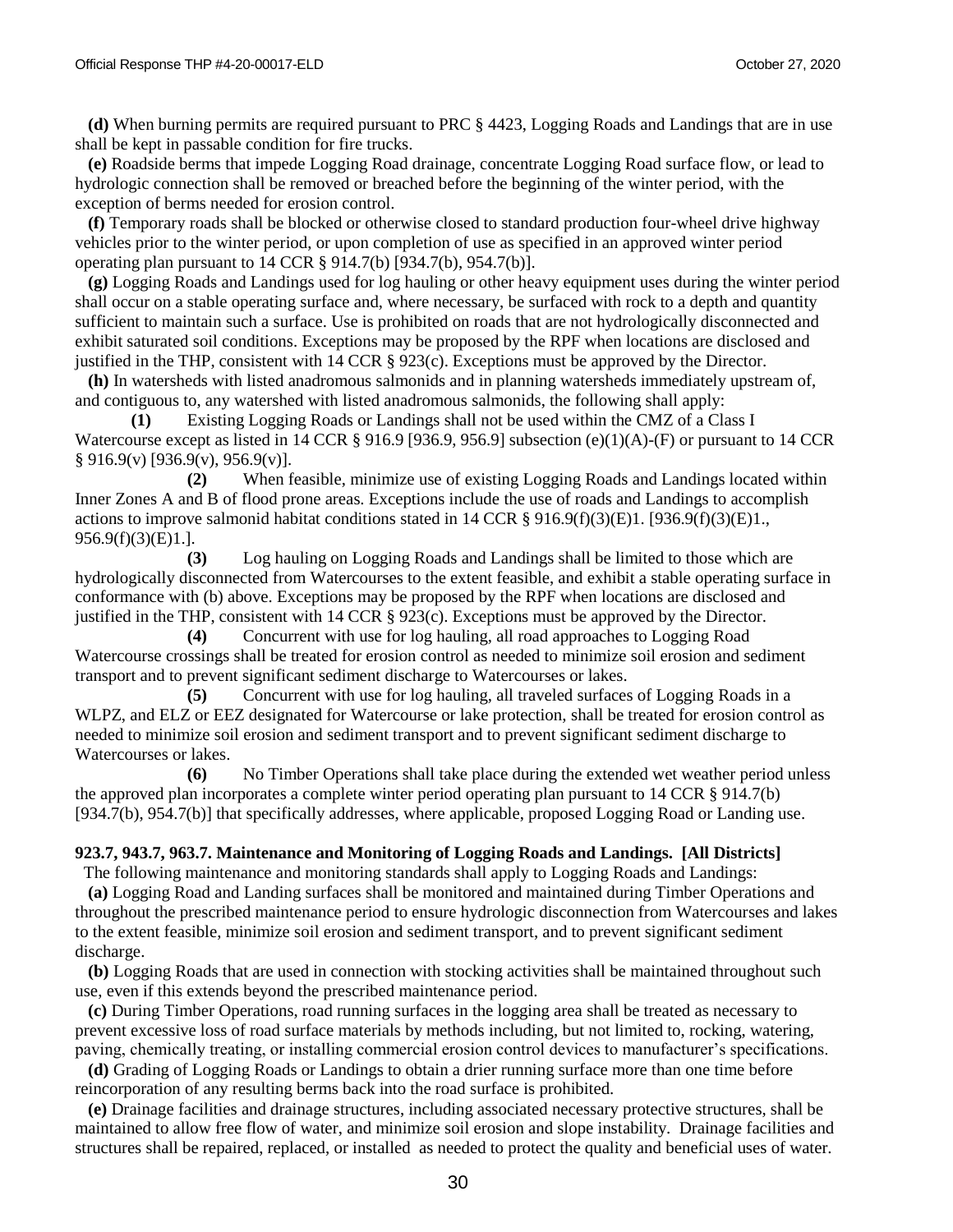**(d)** When burning permits are required pursuant to PRC § 4423, Logging Roads and Landings that are in use shall be kept in passable condition for fire trucks.

 **(e)** Roadside berms that impede Logging Road drainage, concentrate Logging Road surface flow, or lead to hydrologic connection shall be removed or breached before the beginning of the winter period, with the exception of berms needed for erosion control.

 **(f)** Temporary roads shall be blocked or otherwise closed to standard production four-wheel drive highway vehicles prior to the winter period, or upon completion of use as specified in an approved winter period operating plan pursuant to 14 CCR § 914.7(b) [934.7(b), 954.7(b)].

 **(g)** Logging Roads and Landings used for log hauling or other heavy equipment uses during the winter period shall occur on a stable operating surface and, where necessary, be surfaced with rock to a depth and quantity sufficient to maintain such a surface. Use is prohibited on roads that are not hydrologically disconnected and exhibit saturated soil conditions. Exceptions may be proposed by the RPF when locations are disclosed and justified in the THP, consistent with 14 CCR § 923(c). Exceptions must be approved by the Director.

 **(h)** In watersheds with listed anadromous salmonids and in planning watersheds immediately upstream of, and contiguous to, any watershed with listed anadromous salmonids, the following shall apply:

 **(1)** Existing Logging Roads or Landings shall not be used within the CMZ of a Class I Watercourse except as listed in 14 CCR § 916.9 [936.9, 956.9] subsection (e)(1)(A)-(F) or pursuant to 14 CCR  $§ 916.9(v) [936.9(v), 956.9(v)].$ 

**(2)** When feasible, minimize use of existing Logging Roads and Landings located within Inner Zones A and B of flood prone areas. Exceptions include the use of roads and Landings to accomplish actions to improve salmonid habitat conditions stated in 14 CCR § 916.9(f)(3)(E)1. [936.9(f)(3)(E)1., 956.9(f)(3)(E)1.].

**(3)** Log hauling on Logging Roads and Landings shall be limited to those which are hydrologically disconnected from Watercourses to the extent feasible, and exhibit a stable operating surface in conformance with (b) above. Exceptions may be proposed by the RPF when locations are disclosed and justified in the THP, consistent with 14 CCR § 923(c). Exceptions must be approved by the Director.

**(4)** Concurrent with use for log hauling, all road approaches to Logging Road Watercourse crossings shall be treated for erosion control as needed to minimize soil erosion and sediment transport and to prevent significant sediment discharge to Watercourses or lakes.

**(5)** Concurrent with use for log hauling, all traveled surfaces of Logging Roads in a WLPZ, and ELZ or EEZ designated for Watercourse or lake protection, shall be treated for erosion control as needed to minimize soil erosion and sediment transport and to prevent significant sediment discharge to Watercourses or lakes.

**(6)** No Timber Operations shall take place during the extended wet weather period unless the approved plan incorporates a complete winter period operating plan pursuant to 14 CCR § 914.7(b) [934.7(b), 954.7(b)] that specifically addresses, where applicable, proposed Logging Road or Landing use.

#### **923.7, 943.7, 963.7. Maintenance and Monitoring of Logging Roads and Landings. [All Districts]**

 The following maintenance and monitoring standards shall apply to Logging Roads and Landings: **(a)** Logging Road and Landing surfaces shall be monitored and maintained during Timber Operations and throughout the prescribed maintenance period to ensure hydrologic disconnection from Watercourses and lakes to the extent feasible, minimize soil erosion and sediment transport, and to prevent significant sediment discharge.

 **(b)** Logging Roads that are used in connection with stocking activities shall be maintained throughout such use, even if this extends beyond the prescribed maintenance period.

 **(c)** During Timber Operations, road running surfaces in the logging area shall be treated as necessary to prevent excessive loss of road surface materials by methods including, but not limited to, rocking, watering, paving, chemically treating, or installing commercial erosion control devices to manufacturer's specifications.

 **(d)** Grading of Logging Roads or Landings to obtain a drier running surface more than one time before reincorporation of any resulting berms back into the road surface is prohibited.

 **(e)** Drainage facilities and drainage structures, including associated necessary protective structures, shall be maintained to allow free flow of water, and minimize soil erosion and slope instability. Drainage facilities and structures shall be repaired, replaced, or installed as needed to protect the quality and beneficial uses of water.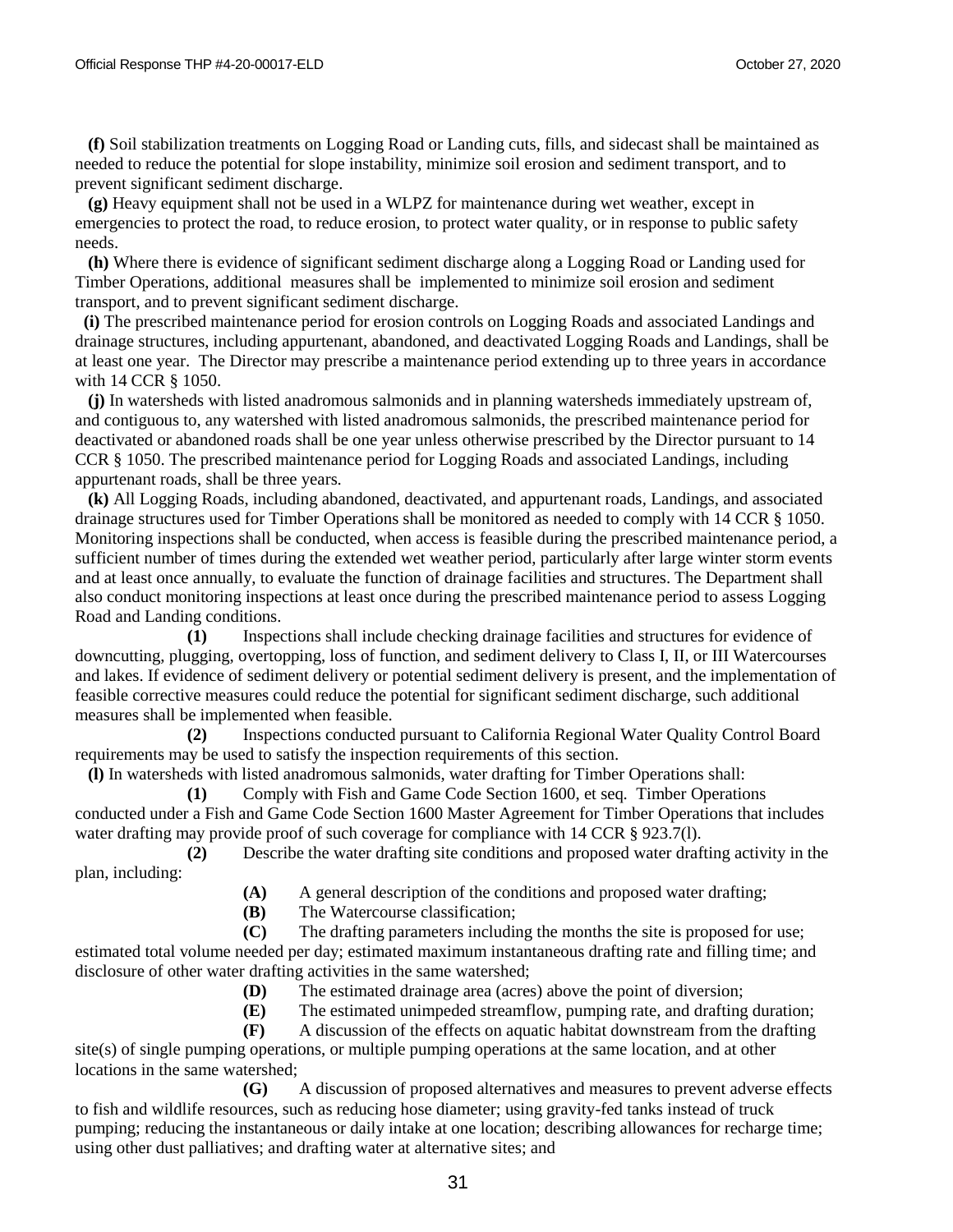**(f)** Soil stabilization treatments on Logging Road or Landing cuts, fills, and sidecast shall be maintained as needed to reduce the potential for slope instability, minimize soil erosion and sediment transport, and to prevent significant sediment discharge.

 **(g)** Heavy equipment shall not be used in a WLPZ for maintenance during wet weather, except in emergencies to protect the road, to reduce erosion, to protect water quality, or in response to public safety needs.

 **(h)** Where there is evidence of significant sediment discharge along a Logging Road or Landing used for Timber Operations, additional measures shall be implemented to minimize soil erosion and sediment transport, and to prevent significant sediment discharge.

**(i)** The prescribed maintenance period for erosion controls on Logging Roads and associated Landings and drainage structures, including appurtenant, abandoned, and deactivated Logging Roads and Landings, shall be at least one year. The Director may prescribe a maintenance period extending up to three years in accordance with 14 CCR § 1050.

 **(j)** In watersheds with listed anadromous salmonids and in planning watersheds immediately upstream of, and contiguous to, any watershed with listed anadromous salmonids, the prescribed maintenance period for deactivated or abandoned roads shall be one year unless otherwise prescribed by the Director pursuant to 14 CCR § 1050. The prescribed maintenance period for Logging Roads and associated Landings, including appurtenant roads, shall be three years.

 **(k)** All Logging Roads, including abandoned, deactivated, and appurtenant roads*,* Landings, and associated drainage structures used for Timber Operations shall be monitored as needed to comply with 14 CCR § 1050. Monitoring inspections shall be conducted, when access is feasible during the prescribed maintenance period, a sufficient number of times during the extended wet weather period, particularly after large winter storm events and at least once annually, to evaluate the function of drainage facilities and structures. The Department shall also conduct monitoring inspections at least once during the prescribed maintenance period to assess Logging Road and Landing conditions.

**(1)** Inspections shall include checking drainage facilities and structures for evidence of downcutting, plugging, overtopping, loss of function, and sediment delivery to Class I, II, or III Watercourses and lakes. If evidence of sediment delivery or potential sediment delivery is present, and the implementation of feasible corrective measures could reduce the potential for significant sediment discharge, such additional measures shall be implemented when feasible.

**(2)** Inspections conducted pursuant to California Regional Water Quality Control Board requirements may be used to satisfy the inspection requirements of this section.

**(l)** In watersheds with listed anadromous salmonids, water drafting for Timber Operations shall:

**(1)** Comply with Fish and Game Code Section 1600, et seq. Timber Operations conducted under a Fish and Game Code Section 1600 Master Agreement for Timber Operations that includes water drafting may provide proof of such coverage for compliance with 14 CCR § 923.7(1).

**(2)** Describe the water drafting site conditions and proposed water drafting activity in the plan, including:

**(A)** A general description of the conditions and proposed water drafting;

**(B)** The Watercourse classification;

**(C)** The drafting parameters including the months the site is proposed for use; estimated total volume needed per day; estimated maximum instantaneous drafting rate and filling time; and disclosure of other water drafting activities in the same watershed;

**(D)** The estimated drainage area (acres) above the point of diversion;

**(E)** The estimated unimpeded streamflow, pumping rate, and drafting duration;

**(F)** A discussion of the effects on aquatic habitat downstream from the drafting site(s) of single pumping operations, or multiple pumping operations at the same location, and at other locations in the same watershed;

**(G)** A discussion of proposed alternatives and measures to prevent adverse effects to fish and wildlife resources, such as reducing hose diameter; using gravity-fed tanks instead of truck pumping; reducing the instantaneous or daily intake at one location; describing allowances for recharge time; using other dust palliatives; and drafting water at alternative sites; and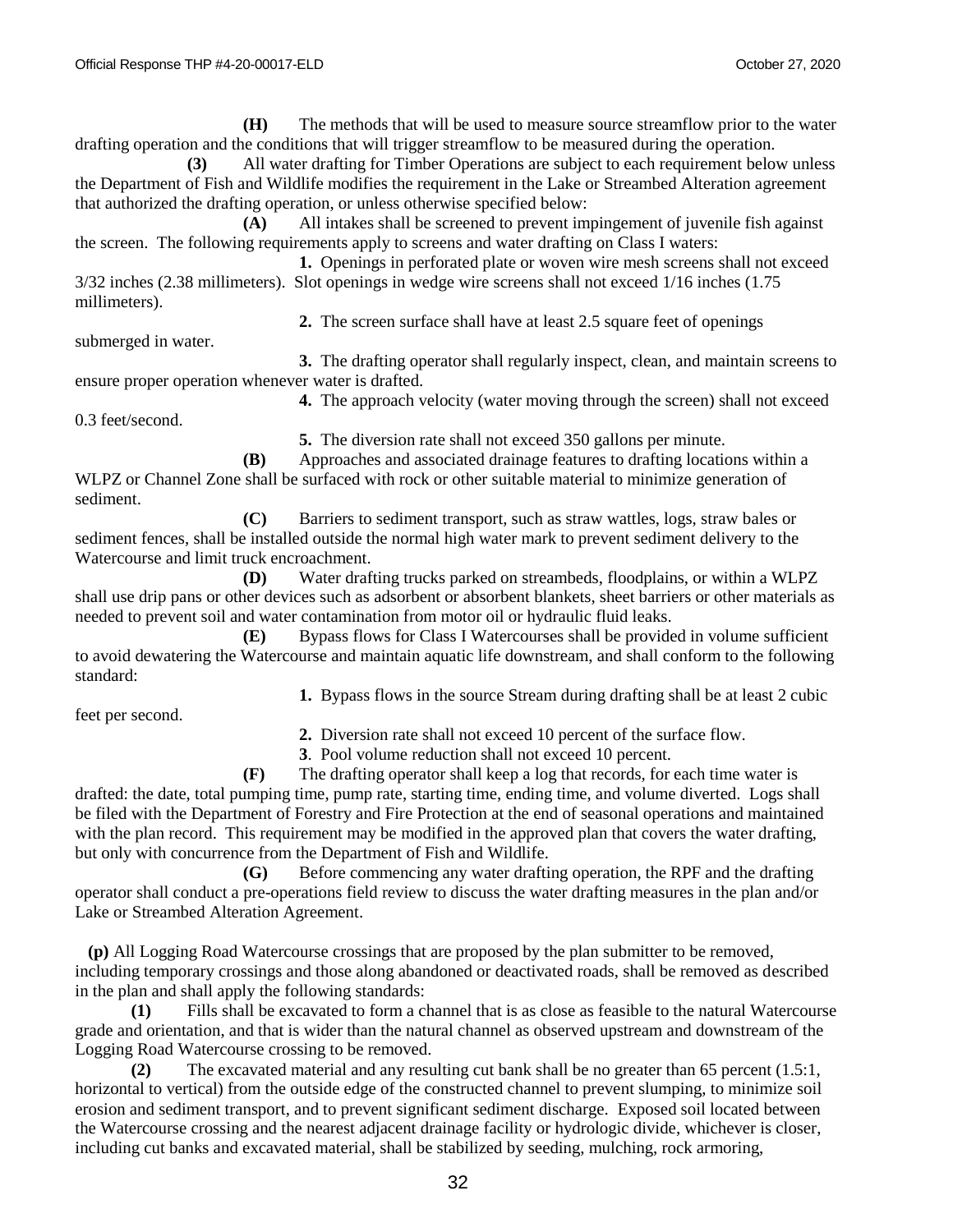**(H)** The methods that will be used to measure source streamflow prior to the water drafting operation and the conditions that will trigger streamflow to be measured during the operation.

**(3)** All water drafting for Timber Operations are subject to each requirement below unless the Department of Fish and Wildlife modifies the requirement in the Lake or Streambed Alteration agreement that authorized the drafting operation, or unless otherwise specified below:

**(A)** All intakes shall be screened to prevent impingement of juvenile fish against the screen. The following requirements apply to screens and water drafting on Class I waters:

**1.** Openings in perforated plate or woven wire mesh screens shall not exceed 3/32 inches (2.38 millimeters). Slot openings in wedge wire screens shall not exceed 1/16 inches (1.75 millimeters).

**2.** The screen surface shall have at least 2.5 square feet of openings

submerged in water.

**3.** The drafting operator shall regularly inspect, clean, and maintain screens to ensure proper operation whenever water is drafted.

**4.** The approach velocity (water moving through the screen) shall not exceed

0.3 feet/second.

**5.** The diversion rate shall not exceed 350 gallons per minute.

**(B)** Approaches and associated drainage features to drafting locations within a WLPZ or Channel Zone shall be surfaced with rock or other suitable material to minimize generation of sediment.

**(C)** Barriers to sediment transport, such as straw wattles, logs, straw bales or sediment fences, shall be installed outside the normal high water mark to prevent sediment delivery to the Watercourse and limit truck encroachment.

**(D)** Water drafting trucks parked on streambeds, floodplains, or within a WLPZ shall use drip pans or other devices such as adsorbent or absorbent blankets, sheet barriers or other materials as needed to prevent soil and water contamination from motor oil or hydraulic fluid leaks.

**(E)** Bypass flows for Class I Watercourses shall be provided in volume sufficient to avoid dewatering the Watercourse and maintain aquatic life downstream, and shall conform to the following standard:

**1.** Bypass flows in the source Stream during drafting shall be at least 2 cubic

feet per second.

**2.** Diversion rate shall not exceed 10 percent of the surface flow.

**3**. Pool volume reduction shall not exceed 10 percent.

**(F)** The drafting operator shall keep a log that records, for each time water is drafted: the date, total pumping time, pump rate, starting time, ending time, and volume diverted. Logs shall be filed with the Department of Forestry and Fire Protection at the end of seasonal operations and maintained with the plan record. This requirement may be modified in the approved plan that covers the water drafting, but only with concurrence from the Department of Fish and Wildlife.

**(G)** Before commencing any water drafting operation, the RPF and the drafting operator shall conduct a pre-operations field review to discuss the water drafting measures in the plan and/or Lake or Streambed Alteration Agreement.

 **(p)** All Logging Road Watercourse crossings that are proposed by the plan submitter to be removed, including temporary crossings and those along abandoned or deactivated roads, shall be removed as described in the plan and shall apply the following standards:

 **(1)** Fills shall be excavated to form a channel that is as close as feasible to the natural Watercourse grade and orientation, and that is wider than the natural channel as observed upstream and downstream of the Logging Road Watercourse crossing to be removed.

 **(2)** The excavated material and any resulting cut bank shall be no greater than 65 percent (1.5:1, horizontal to vertical) from the outside edge of the constructed channel to prevent slumping, to minimize soil erosion and sediment transport, and to prevent significant sediment discharge. Exposed soil located between the Watercourse crossing and the nearest adjacent drainage facility or hydrologic divide, whichever is closer, including cut banks and excavated material, shall be stabilized by seeding, mulching, rock armoring,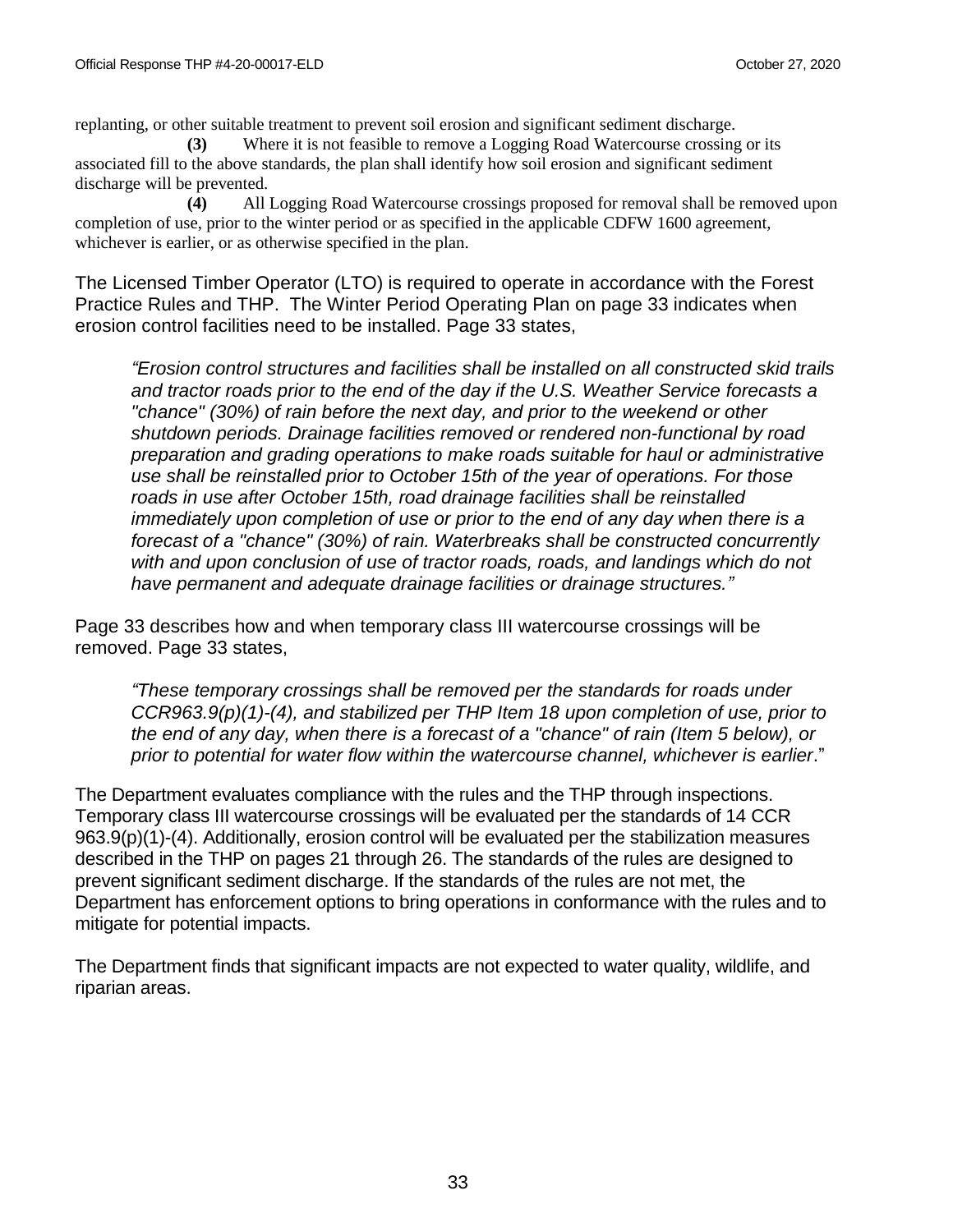replanting, or other suitable treatment to prevent soil erosion and significant sediment discharge.

**(3)** Where it is not feasible to remove a Logging Road Watercourse crossing or its associated fill to the above standards, the plan shall identify how soil erosion and significant sediment discharge will be prevented.

**(4)** All Logging Road Watercourse crossings proposed for removal shall be removed upon completion of use, prior to the winter period or as specified in the applicable CDFW 1600 agreement, whichever is earlier, or as otherwise specified in the plan.

The Licensed Timber Operator (LTO) is required to operate in accordance with the Forest Practice Rules and THP. The Winter Period Operating Plan on page 33 indicates when erosion control facilities need to be installed. Page 33 states,

*"Erosion control structures and facilities shall be installed on all constructed skid trails and tractor roads prior to the end of the day if the U.S. Weather Service forecasts a "chance" (30%) of rain before the next day, and prior to the weekend or other shutdown periods. Drainage facilities removed or rendered non-functional by road preparation and grading operations to make roads suitable for haul or administrative use shall be reinstalled prior to October 15th of the year of operations. For those roads in use after October 15th, road drainage facilities shall be reinstalled immediately upon completion of use or prior to the end of any day when there is a forecast of a "chance" (30%) of rain. Waterbreaks shall be constructed concurrently with and upon conclusion of use of tractor roads, roads, and landings which do not have permanent and adequate drainage facilities or drainage structures."*

Page 33 describes how and when temporary class III watercourse crossings will be removed. Page 33 states,

*"These temporary crossings shall be removed per the standards for roads under CCR963.9(p)(1)-(4), and stabilized per THP Item 18 upon completion of use, prior to the end of any day, when there is a forecast of a "chance" of rain (Item 5 below), or prior to potential for water flow within the watercourse channel, whichever is earlier*."

The Department evaluates compliance with the rules and the THP through inspections. Temporary class III watercourse crossings will be evaluated per the standards of 14 CCR 963.9(p)(1)-(4). Additionally, erosion control will be evaluated per the stabilization measures described in the THP on pages 21 through 26. The standards of the rules are designed to prevent significant sediment discharge. If the standards of the rules are not met, the Department has enforcement options to bring operations in conformance with the rules and to mitigate for potential impacts.

The Department finds that significant impacts are not expected to water quality, wildlife, and riparian areas.